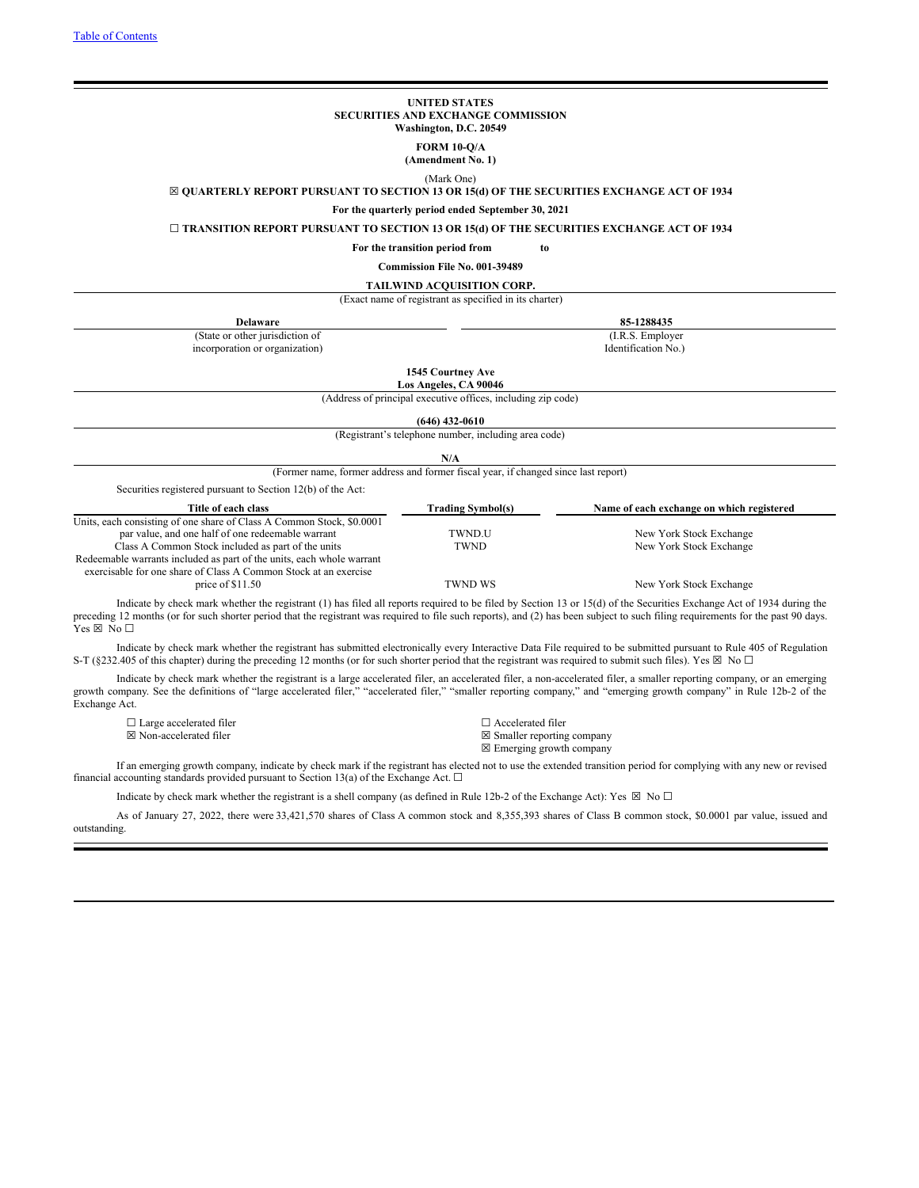#### **UNITED STATES SECURITIES AND EXCHANGE COMMISSION Washington, D.C. 20549**

**FORM 10-Q/A**

**(Amendment No. 1)**

(Mark One)

<span id="page-0-0"></span>☒ **QUARTERLY REPORT PURSUANT TO SECTION 13 OR 15(d) OF THE SECURITIES EXCHANGE ACT OF 1934**

**For the quarterly period ended September 30, 2021**

☐ **TRANSITION REPORT PURSUANT TO SECTION 13 OR 15(d) OF THE SECURITIES EXCHANGE ACT OF 1934**

**For the transition period from to**

**Commission File No. 001-39489**

**TAILWIND ACQUISITION CORP.**

(Exact name of registrant as specified in its charter)

| <b>Delaware</b>                                                                                                                                                       |                                                                                    | 85-1288435                                |
|-----------------------------------------------------------------------------------------------------------------------------------------------------------------------|------------------------------------------------------------------------------------|-------------------------------------------|
| (State or other jurisdiction of                                                                                                                                       |                                                                                    | (I.R.S. Employer)                         |
| incorporation or organization)                                                                                                                                        |                                                                                    | Identification No.)                       |
|                                                                                                                                                                       | 1545 Courtney Ave                                                                  |                                           |
|                                                                                                                                                                       | Los Angeles, CA 90046                                                              |                                           |
|                                                                                                                                                                       | (Address of principal executive offices, including zip code)                       |                                           |
|                                                                                                                                                                       |                                                                                    |                                           |
|                                                                                                                                                                       | (646) 432-0610                                                                     |                                           |
|                                                                                                                                                                       | (Registrant's telephone number, including area code)                               |                                           |
|                                                                                                                                                                       | N/A                                                                                |                                           |
|                                                                                                                                                                       |                                                                                    |                                           |
|                                                                                                                                                                       | (Former name, former address and former fiscal year, if changed since last report) |                                           |
| Securities registered pursuant to Section 12(b) of the Act:                                                                                                           |                                                                                    |                                           |
| Title of each class                                                                                                                                                   | <b>Trading Symbol(s)</b>                                                           | Name of each exchange on which registered |
| Units, each consisting of one share of Class A Common Stock, \$0.0001                                                                                                 |                                                                                    |                                           |
| par value, and one half of one redeemable warrant                                                                                                                     | TWND.U                                                                             | New York Stock Exchange                   |
| Class A Common Stock included as part of the units                                                                                                                    | <b>TWND</b>                                                                        | New York Stock Exchange                   |
| Redeemable warrants included as part of the units, each whole warrant<br>exercisable for one share of Class A Common Stock at an exercise                             |                                                                                    |                                           |
| price of $$11.50$                                                                                                                                                     | <b>TWND WS</b>                                                                     | New York Stock Exchange                   |
| Indicate by check mark whether the registrant (1) has filed all reports required to be filed by Section 13 or 15(d) of the Securities Exchange Act of 1934 during the |                                                                                    |                                           |

preceding 12 months (or for such shorter period that the registrant was required to file such reports), and (2) has been subject to such filing requirements for the past 90 days. Yes  $\boxtimes$  No  $\square$ 

Indicate by check mark whether the registrant has submitted electronically every Interactive Data File required to be submitted pursuant to Rule 405 of Regulation S-T (§232.405 of this chapter) during the preceding 12 months (or for such shorter period that the registrant was required to submit such files). Yes ⊠ No □

Indicate by check mark whether the registrant is a large accelerated filer, an accelerated filer, a non-accelerated filer, a smaller reporting company, or an emerging growth company. See the definitions of "large accelerated filer," "accelerated filer," "smaller reporting company," and "emerging growth company" in Rule 12b-2 of the Exchange Act.

☐ Large accelerated filer ☐ Accelerated filer  $\boxtimes$  Non-accelerated filer  $\boxtimes$  Smaller reporting company

☒ Emerging growth company

If an emerging growth company, indicate by check mark if the registrant has elected not to use the extended transition period for complying with any new or revised financial accounting standards provided pursuant to Section 13(a) of the Exchange Act.  $\Box$ 

Indicate by check mark whether the registrant is a shell company (as defined in Rule 12b-2 of the Exchange Act): Yes  $\boxtimes$  No  $\Box$ 

As of January 27, 2022, there were 33,421,570 shares of Class A common stock and 8,355,393 shares of Class B common stock, \$0.0001 par value, issued and outstanding.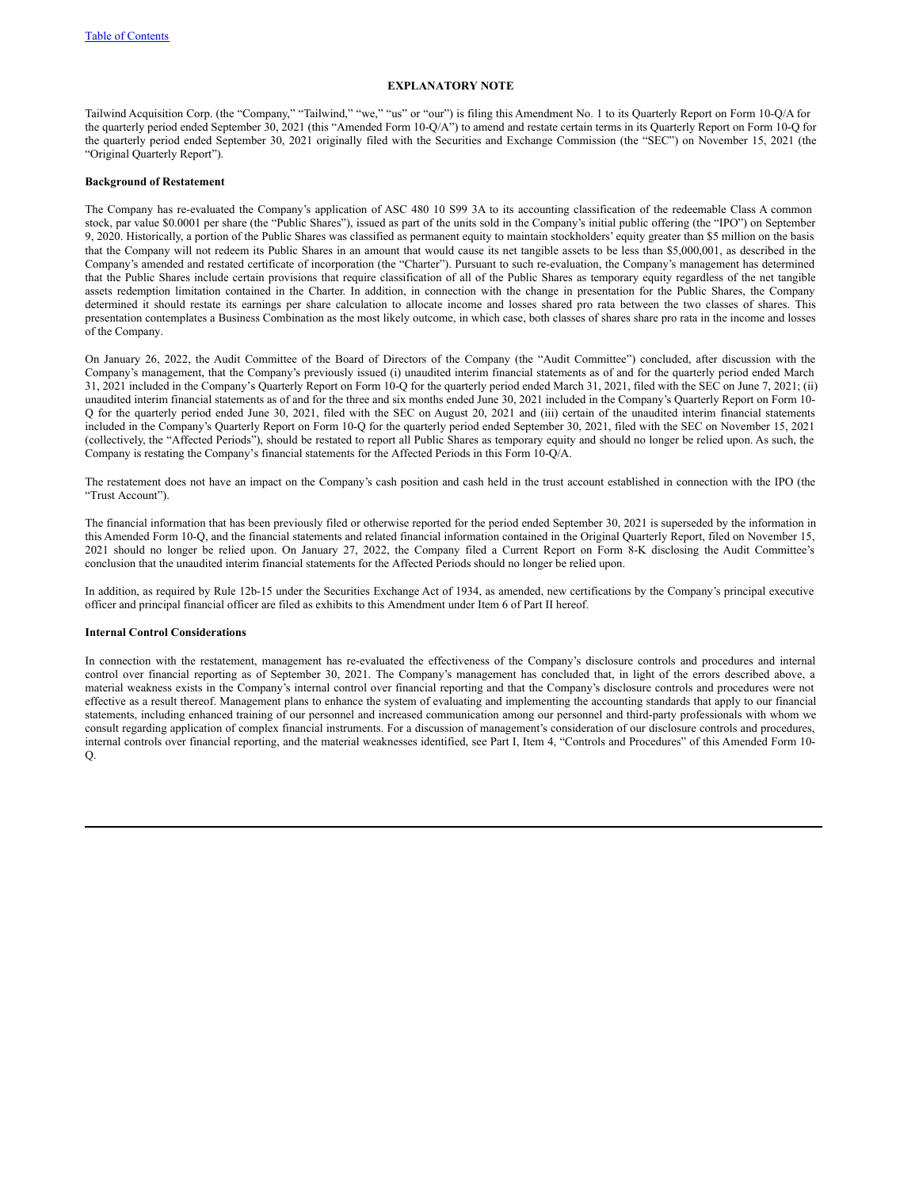## **EXPLANATORY NOTE**

Tailwind Acquisition Corp. (the "Company," "Tailwind," "we," "us" or "our") is filing this Amendment No. 1 to its Quarterly Report on Form 10-Q/A for the quarterly period ended September 30, 2021 (this "Amended Form 10-Q/A") to amend and restate certain terms in its Quarterly Report on Form 10-Q for the quarterly period ended September 30, 2021 originally filed with the Securities and Exchange Commission (the "SEC") on November 15, 2021 (the "Original Quarterly Report").

## **Background of Restatement**

The Company has re-evaluated the Company's application of ASC 480 10 S99 3A to its accounting classification of the redeemable Class A common stock, par value \$0.0001 per share (the "Public Shares"), issued as part of the units sold in the Company's initial public offering (the "IPO") on September 9, 2020. Historically, a portion of the Public Shares was classified as permanent equity to maintain stockholders' equity greater than \$5 million on the basis that the Company will not redeem its Public Shares in an amount that would cause its net tangible assets to be less than \$5,000,001, as described in the Company's amended and restated certificate of incorporation (the "Charter"). Pursuant to such re-evaluation, the Company's management has determined that the Public Shares include certain provisions that require classification of all of the Public Shares as temporary equity regardless of the net tangible assets redemption limitation contained in the Charter. In addition, in connection with the change in presentation for the Public Shares, the Company determined it should restate its earnings per share calculation to allocate income and losses shared pro rata between the two classes of shares. This presentation contemplates a Business Combination as the most likely outcome, in which case, both classes of shares share pro rata in the income and losses of the Company.

On January 26, 2022, the Audit Committee of the Board of Directors of the Company (the "Audit Committee") concluded, after discussion with the Company's management, that the Company's previously issued (i) unaudited interim financial statements as of and for the quarterly period ended March 31, 2021 included in the Company's Quarterly Report on Form 10-Q for the quarterly period ended March 31, 2021, filed with the SEC on June 7, 2021; (ii) unaudited interim financial statements as of and for the three and six months ended June 30, 2021 included in the Company's Quarterly Report on Form 10- Q for the quarterly period ended June 30, 2021, filed with the SEC on August 20, 2021 and (iii) certain of the unaudited interim financial statements included in the Company's Quarterly Report on Form 10-Q for the quarterly period ended September 30, 2021, filed with the SEC on November 15, 2021 (collectively, the "Affected Periods"), should be restated to report all Public Shares as temporary equity and should no longer be relied upon. As such, the Company is restating the Company's financial statements for the Affected Periods in this Form 10-Q/A.

The restatement does not have an impact on the Company's cash position and cash held in the trust account established in connection with the IPO (the "Trust Account").

The financial information that has been previously filed or otherwise reported for the period ended September 30, 2021 is superseded by the information in this Amended Form 10-Q, and the financial statements and related financial information contained in the Original Quarterly Report, filed on November 15, 2021 should no longer be relied upon. On January 27, 2022, the Company filed a Current Report on Form 8-K disclosing the Audit Committee's conclusion that the unaudited interim financial statements for the Affected Periods should no longer be relied upon.

In addition, as required by Rule 12b-15 under the Securities Exchange Act of 1934, as amended, new certifications by the Company's principal executive officer and principal financial officer are filed as exhibits to this Amendment under Item 6 of Part II hereof.

## **Internal Control Considerations**

In connection with the restatement, management has re-evaluated the effectiveness of the Company's disclosure controls and procedures and internal control over financial reporting as of September 30, 2021. The Company's management has concluded that, in light of the errors described above, a material weakness exists in the Company's internal control over financial reporting and that the Company's disclosure controls and procedures were not effective as a result thereof. Management plans to enhance the system of evaluating and implementing the accounting standards that apply to our financial statements, including enhanced training of our personnel and increased communication among our personnel and third-party professionals with whom we consult regarding application of complex financial instruments. For a discussion of management's consideration of our disclosure controls and procedures, internal controls over financial reporting, and the material weaknesses identified, see Part I, Item 4, "Controls and Procedures" of this Amended Form 10-  $\overline{O}$ .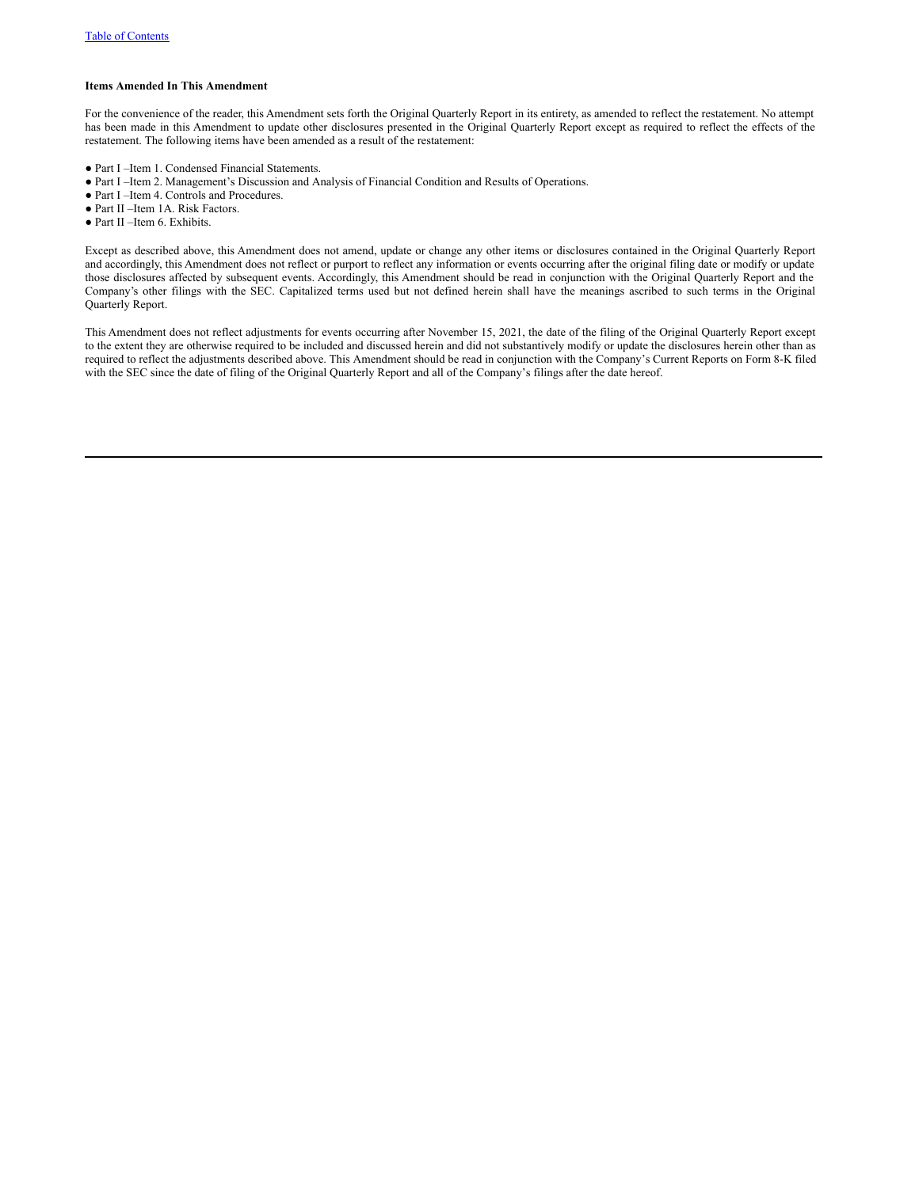## **Items Amended In This Amendment**

For the convenience of the reader, this Amendment sets forth the Original Quarterly Report in its entirety, as amended to reflect the restatement. No attempt has been made in this Amendment to update other disclosures presented in the Original Quarterly Report except as required to reflect the effects of the restatement. The following items have been amended as a result of the restatement:

- Part I –Item 1. Condensed Financial Statements.
- Part I –Item 2. Management's Discussion and Analysis of Financial Condition and Results of Operations.
- Part I –Item 4. Controls and Procedures.
- Part II –Item 1A. Risk Factors.
- Part II –Item 6. Exhibits.

Except as described above, this Amendment does not amend, update or change any other items or disclosures contained in the Original Quarterly Report and accordingly, this Amendment does not reflect or purport to reflect any information or events occurring after the original filing date or modify or update those disclosures affected by subsequent events. Accordingly, this Amendment should be read in conjunction with the Original Quarterly Report and the Company's other filings with the SEC. Capitalized terms used but not defined herein shall have the meanings ascribed to such terms in the Original Quarterly Report.

This Amendment does not reflect adjustments for events occurring after November 15, 2021, the date of the filing of the Original Quarterly Report except to the extent they are otherwise required to be included and discussed herein and did not substantively modify or update the disclosures herein other than as required to reflect the adjustments described above. This Amendment should be read in conjunction with the Company's Current Reports on Form 8-K filed with the SEC since the date of filing of the Original Quarterly Report and all of the Company's filings after the date hereof.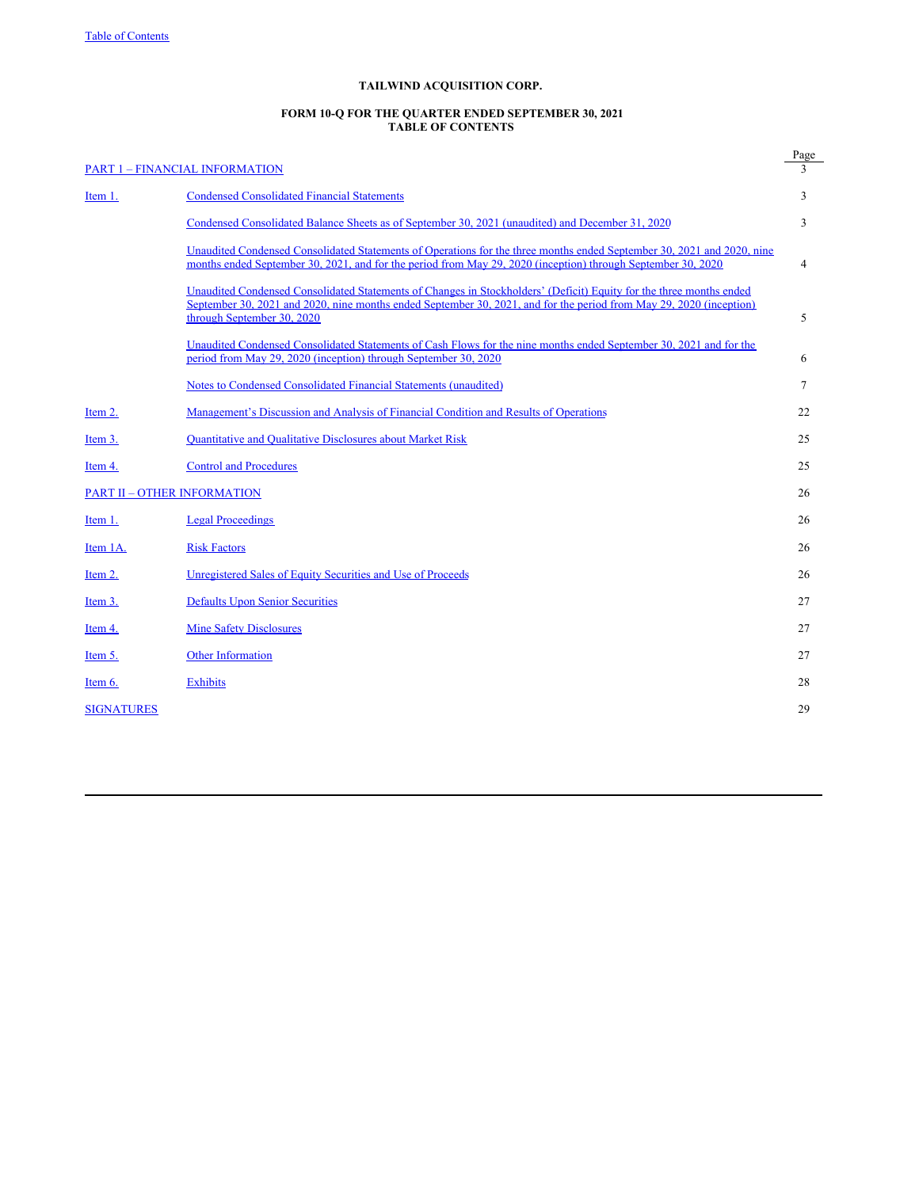# **TAILWIND ACQUISITION CORP.**

#### **FORM 10-Q FOR THE QUARTER ENDED SEPTEMBER 30, 2021 TABLE OF CONTENTS**

|                   | <b>PART 1 - FINANCIAL INFORMATION</b>                                                                                                                                                                                                                                    | Page   |
|-------------------|--------------------------------------------------------------------------------------------------------------------------------------------------------------------------------------------------------------------------------------------------------------------------|--------|
| Item 1.           | <b>Condensed Consolidated Financial Statements</b>                                                                                                                                                                                                                       | 3      |
|                   | Condensed Consolidated Balance Sheets as of September 30, 2021 (unaudited) and December 31, 2020                                                                                                                                                                         | 3      |
|                   | Unaudited Condensed Consolidated Statements of Operations for the three months ended September 30, 2021 and 2020, nine<br>months ended September 30, 2021, and for the period from May 29, 2020 (inception) through September 30, 2020                                   | 4      |
|                   | Unaudited Condensed Consolidated Statements of Changes in Stockholders' (Deficit) Equity for the three months ended<br>September 30, 2021 and 2020, nine months ended September 30, 2021, and for the period from May 29, 2020 (inception)<br>through September 30, 2020 | 5      |
|                   | Unaudited Condensed Consolidated Statements of Cash Flows for the nine months ended September 30, 2021 and for the<br>period from May 29, 2020 (inception) through September 30, 2020                                                                                    | 6      |
|                   | Notes to Condensed Consolidated Financial Statements (unaudited)                                                                                                                                                                                                         | $\tau$ |
| Item 2.           | Management's Discussion and Analysis of Financial Condition and Results of Operations                                                                                                                                                                                    | 22     |
| Item 3.           | <b>Quantitative and Qualitative Disclosures about Market Risk</b>                                                                                                                                                                                                        | 25     |
| Item 4.           | <b>Control and Procedures</b>                                                                                                                                                                                                                                            | 25     |
|                   | <b>PART II - OTHER INFORMATION</b>                                                                                                                                                                                                                                       | 26     |
| Item 1.           | <b>Legal Proceedings</b>                                                                                                                                                                                                                                                 | 26     |
| Item 1A.          | <b>Risk Factors</b>                                                                                                                                                                                                                                                      | 26     |
| Item 2.           | Unregistered Sales of Equity Securities and Use of Proceeds                                                                                                                                                                                                              | 26     |
| Item 3.           | <b>Defaults Upon Senior Securities</b>                                                                                                                                                                                                                                   | 27     |
| Item 4.           | <b>Mine Safety Disclosures</b>                                                                                                                                                                                                                                           | 27     |
| Item 5.           | <b>Other Information</b>                                                                                                                                                                                                                                                 | 27     |
| Item $6.$         | <b>Exhibits</b>                                                                                                                                                                                                                                                          | 28     |
| <b>SIGNATURES</b> |                                                                                                                                                                                                                                                                          | 29     |
|                   |                                                                                                                                                                                                                                                                          |        |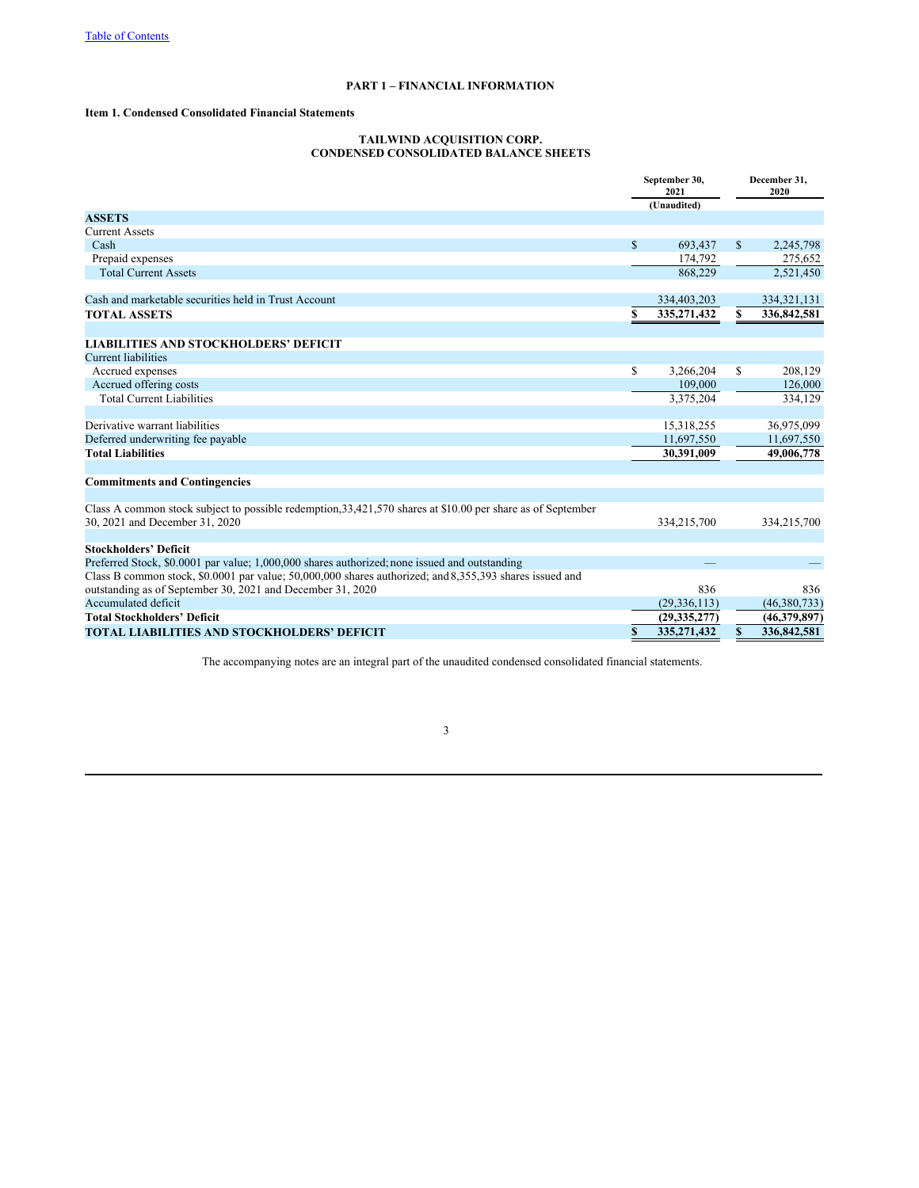# **PART 1 – FINANCIAL INFORMATION**

# **Item 1. Condensed Consolidated Financial Statements**

## **TAILWIND ACQUISITION CORP. CONDENSED CONSOLIDATED BALANCE SHEETS**

|                                                                                                                                                 |              | September 30,<br>2021 |              | December 31.<br>2020 |  |
|-------------------------------------------------------------------------------------------------------------------------------------------------|--------------|-----------------------|--------------|----------------------|--|
|                                                                                                                                                 |              | (Unaudited)           |              |                      |  |
| <b>ASSETS</b>                                                                                                                                   |              |                       |              |                      |  |
| <b>Current Assets</b>                                                                                                                           |              |                       |              |                      |  |
| Cash                                                                                                                                            | $\mathbb{S}$ | 693,437               | $\mathbb{S}$ | 2,245,798            |  |
| Prepaid expenses                                                                                                                                |              | 174,792               |              | 275,652              |  |
| <b>Total Current Assets</b>                                                                                                                     |              | 868,229               |              | 2,521,450            |  |
| Cash and marketable securities held in Trust Account                                                                                            |              | 334,403,203           |              | 334, 321, 131        |  |
| <b>TOTAL ASSETS</b>                                                                                                                             | \$           | 335,271,432           | \$           | 336,842,581          |  |
| <b>LIABILITIES AND STOCKHOLDERS' DEFICIT</b>                                                                                                    |              |                       |              |                      |  |
| <b>Current liabilities</b>                                                                                                                      |              |                       |              |                      |  |
| Accrued expenses                                                                                                                                | \$           | 3,266,204             | S            | 208,129              |  |
| Accrued offering costs                                                                                                                          |              | 109,000               |              | 126,000              |  |
| <b>Total Current Liabilities</b>                                                                                                                |              | 3,375,204             |              | 334,129              |  |
| Derivative warrant liabilities                                                                                                                  |              | 15,318,255            |              | 36,975,099           |  |
| Deferred underwriting fee payable                                                                                                               |              | 11,697,550            |              | 11,697,550           |  |
| <b>Total Liabilities</b>                                                                                                                        |              | 30,391,009            |              | 49,006,778           |  |
| <b>Commitments and Contingencies</b>                                                                                                            |              |                       |              |                      |  |
|                                                                                                                                                 |              |                       |              |                      |  |
| Class A common stock subject to possible redemption, 33, 421, 570 shares at \$10.00 per share as of September<br>30, 2021 and December 31, 2020 |              | 334,215,700           |              | 334,215,700          |  |
|                                                                                                                                                 |              |                       |              |                      |  |
| <b>Stockholders' Deficit</b>                                                                                                                    |              |                       |              |                      |  |
| Preferred Stock, \$0.0001 par value; 1,000,000 shares authorized; none issued and outstanding                                                   |              |                       |              |                      |  |
| Class B common stock, \$0,0001 par value; 50,000,000 shares authorized; and 8,355,393 shares issued and                                         |              |                       |              |                      |  |
| outstanding as of September 30, 2021 and December 31, 2020<br>Accumulated deficit                                                               |              | 836                   |              | 836                  |  |
|                                                                                                                                                 |              | (29, 336, 113)        |              | (46,380,733)         |  |
| <b>Total Stockholders' Deficit</b>                                                                                                              |              | (29, 335, 277)        |              | (46,379,897)         |  |
| <b>TOTAL LIABILITIES AND STOCKHOLDERS' DEFICIT</b>                                                                                              | \$           | 335, 271, 432         | S            | 336,842,581          |  |

The accompanying notes are an integral part of the unaudited condensed consolidated financial statements.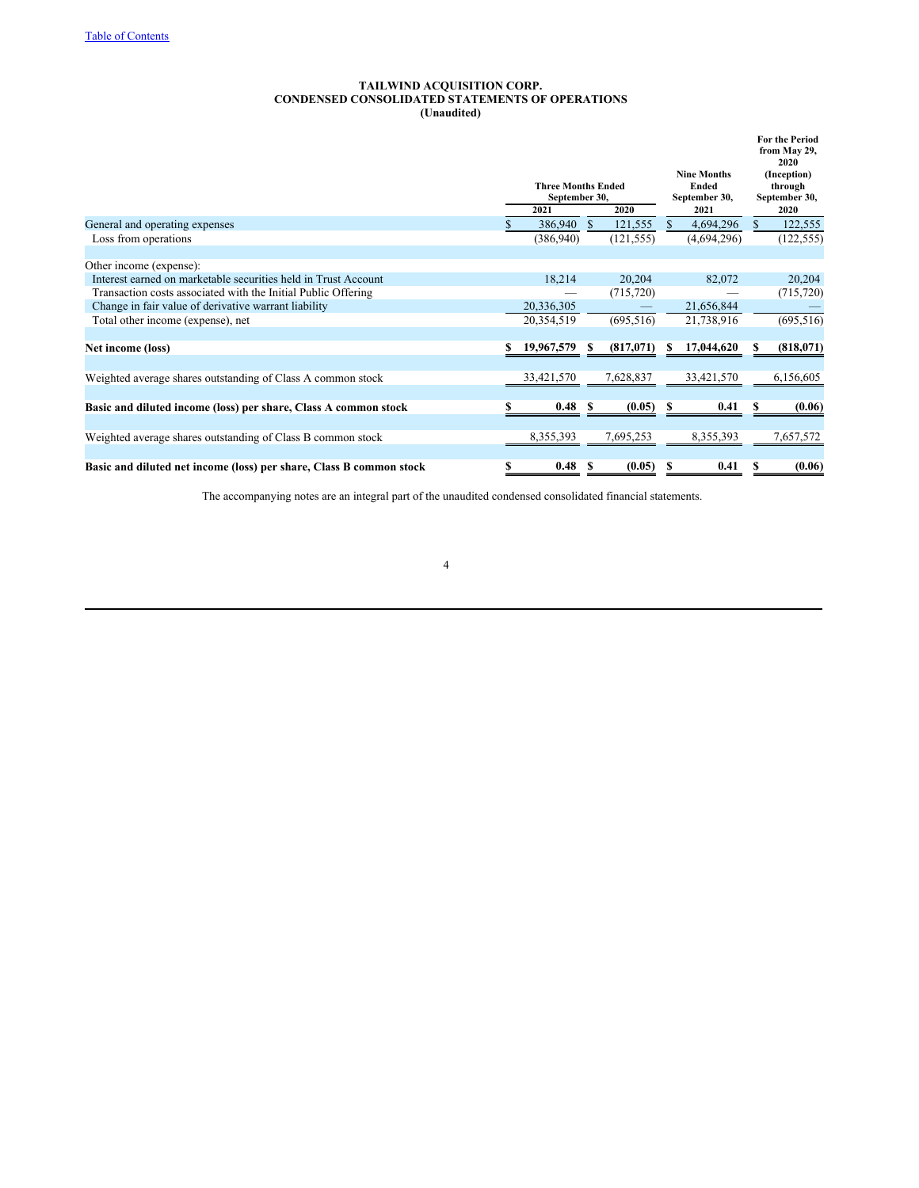## **TAILWIND ACQUISITION CORP. CONDENSED CONSOLIDATED STATEMENTS OF OPERATIONS (Unaudited)**

|                                                                     | <b>Three Months Ended</b><br>September 30,<br>2021<br>2020 |            |  |             |                 | <b>Nine Months</b><br><b>Ended</b><br>September 30,<br>2021 |              | <b>For the Period</b><br>from May 29,<br>2020<br>(Inception)<br>through<br>September 30,<br>2020 |
|---------------------------------------------------------------------|------------------------------------------------------------|------------|--|-------------|-----------------|-------------------------------------------------------------|--------------|--------------------------------------------------------------------------------------------------|
| General and operating expenses                                      | 386,940<br>121,555<br>S.                                   |            |  |             | 4,694,296<br>S. |                                                             |              | 122,555                                                                                          |
| Loss from operations                                                |                                                            | (386,940)  |  | (121, 555)  |                 | (4,694,296)                                                 | $\mathbb{S}$ | (122, 555)                                                                                       |
| Other income (expense):                                             |                                                            |            |  |             |                 |                                                             |              |                                                                                                  |
| Interest earned on marketable securities held in Trust Account      |                                                            | 18,214     |  | 20,204      |                 | 82,072                                                      |              | 20,204                                                                                           |
| Transaction costs associated with the Initial Public Offering       |                                                            |            |  | (715, 720)  |                 |                                                             |              | (715, 720)                                                                                       |
| Change in fair value of derivative warrant liability                |                                                            | 20,336,305 |  |             |                 | 21,656,844                                                  |              |                                                                                                  |
| Total other income (expense), net                                   |                                                            | 20,354,519 |  | (695, 516)  |                 | 21,738,916                                                  |              | (695, 516)                                                                                       |
| Net income (loss)                                                   | s                                                          | 19,967,579 |  | (817,071)   |                 | 17,044,620                                                  |              | (818,071)                                                                                        |
| Weighted average shares outstanding of Class A common stock         |                                                            | 33,421,570 |  | 7,628,837   |                 | 33,421,570                                                  |              | 6,156,605                                                                                        |
| Basic and diluted income (loss) per share, Class A common stock     | S                                                          | 0.48 S     |  | $(0.05)$ \$ |                 | 0.41                                                        | S            | (0.06)                                                                                           |
| Weighted average shares outstanding of Class B common stock         |                                                            | 8,355,393  |  | 7,695,253   |                 | 8,355,393                                                   |              | 7,657,572                                                                                        |
| Basic and diluted net income (loss) per share, Class B common stock |                                                            | 0.48       |  | (0.05)      |                 | 0.41                                                        |              | (0.06)                                                                                           |

The accompanying notes are an integral part of the unaudited condensed consolidated financial statements.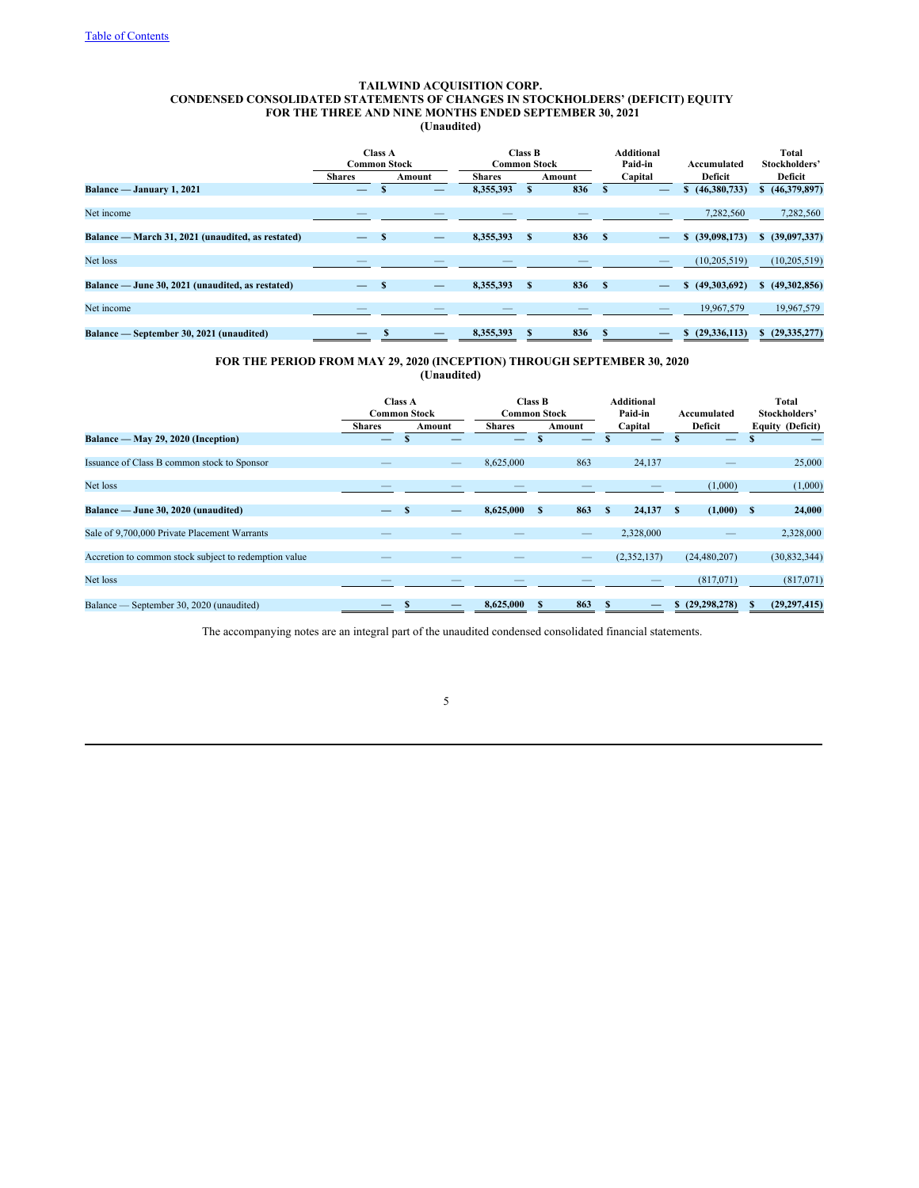## **TAILWIND ACQUISITION CORP. CONDENSED CONSOLIDATED STATEMENTS OF CHANGES IN STOCKHOLDERS' (DEFICIT) EQUITY FOR THE THREE AND NINE MONTHS ENDED SEPTEMBER 30, 2021 (Unaudited)**

| <b>Class A</b><br><b>Common Stock</b> |          |  |               |   |        |                                | Paid-in | Accumulated        | Total<br>Stockholders' |
|---------------------------------------|----------|--|---------------|---|--------|--------------------------------|---------|--------------------|------------------------|
| <b>Shares</b><br>Amount               |          |  | <b>Shares</b> |   | Amount |                                | Capital | Deficit            | Deficit                |
| —                                     |          |  | 8,355,393     |   | 836    |                                | _       | (46,380,733)       | (46,379,897)           |
|                                       |          |  |               |   |        |                                |         |                    |                        |
| __                                    |          |  |               |   |        |                                |         | 7,282,560          | 7,282,560              |
|                                       |          |  |               |   |        |                                |         |                    |                        |
|                                       | S        |  | 8,355,393     | s | 836    | - \$                           |         | (39,098,173)<br>S. | \$ (39,097,337)        |
|                                       |          |  |               |   |        |                                |         |                    |                        |
|                                       |          |  |               |   |        |                                |         | (10, 205, 519)     | (10, 205, 519)         |
|                                       |          |  |               |   |        |                                |         |                    |                        |
|                                       | <b>S</b> |  | 8,355,393     | S | 836    | - \$                           |         | (49,303,692)       | \$ (49,302,856)        |
|                                       |          |  |               |   |        |                                |         |                    |                        |
|                                       |          |  |               |   |        |                                |         | 19,967,579         | 19,967,579             |
|                                       |          |  |               |   |        |                                |         |                    |                        |
|                                       |          |  | 8,355,393     |   | 836    |                                |         | (29, 336, 113)     | \$ (29,335,277)        |
|                                       |          |  |               |   |        | Class B<br><b>Common Stock</b> |         | Additional         |                        |

## **FOR THE PERIOD FROM MAY 29, 2020 (INCEPTION) THROUGH SEPTEMBER 30, 2020 (Unaudited)**

|                                                       | <b>Class A</b><br><b>Common Stock</b> |              |        | <b>Common Stock</b> | Class B      |                          |    | Additional<br>Paid-in |      | Accumulated    |                         | Total<br>Stockholders' |  |
|-------------------------------------------------------|---------------------------------------|--------------|--------|---------------------|--------------|--------------------------|----|-----------------------|------|----------------|-------------------------|------------------------|--|
|                                                       | <b>Shares</b>                         |              | Amount | <b>Shares</b>       |              | Amount                   |    | Capital               |      | Deficit        | <b>Equity (Deficit)</b> |                        |  |
| Balance — May 29, 2020 (Inception)                    | _                                     |              |        |                     |              |                          |    |                       |      |                |                         |                        |  |
|                                                       |                                       |              |        |                     |              |                          |    |                       |      |                |                         |                        |  |
| Issuance of Class B common stock to Sponsor           |                                       |              |        | 8,625,000           |              | 863                      |    | 24,137                |      |                |                         | 25,000                 |  |
|                                                       |                                       |              |        |                     |              |                          |    |                       |      |                |                         |                        |  |
| Net loss                                              |                                       |              |        |                     |              |                          |    |                       |      | (1,000)        |                         | (1,000)                |  |
|                                                       |                                       |              |        |                     |              |                          |    |                       |      |                |                         |                        |  |
| Balance — June 30, 2020 (unaudited)                   |                                       | $\mathbf{s}$ |        | 8,625,000           | <sup>S</sup> | 863                      | -S | 24,137                | - \$ | (1,000)        | $\mathbf{s}$            | 24,000                 |  |
|                                                       |                                       |              |        |                     |              |                          |    |                       |      |                |                         |                        |  |
| Sale of 9,700,000 Private Placement Warrants          |                                       |              |        |                     |              | $\overline{\phantom{a}}$ |    | 2,328,000             |      |                |                         | 2,328,000              |  |
|                                                       |                                       |              |        |                     |              |                          |    |                       |      |                |                         |                        |  |
| Accretion to common stock subject to redemption value |                                       |              |        |                     |              |                          |    | (2,352,137)           |      | (24, 480, 207) |                         | (30, 832, 344)         |  |
|                                                       |                                       |              |        |                     |              |                          |    |                       |      |                |                         |                        |  |
| Net loss                                              |                                       |              |        |                     |              |                          |    |                       |      | (817,071)      |                         | (817,071)              |  |
|                                                       |                                       |              |        |                     |              |                          |    |                       |      |                |                         |                        |  |
| Balance — September 30, 2020 (unaudited)              |                                       |              |        | 8,625,000           |              | 863                      |    |                       | S    | (29, 298, 278) |                         | (29, 297, 415)         |  |

The accompanying notes are an integral part of the unaudited condensed consolidated financial statements.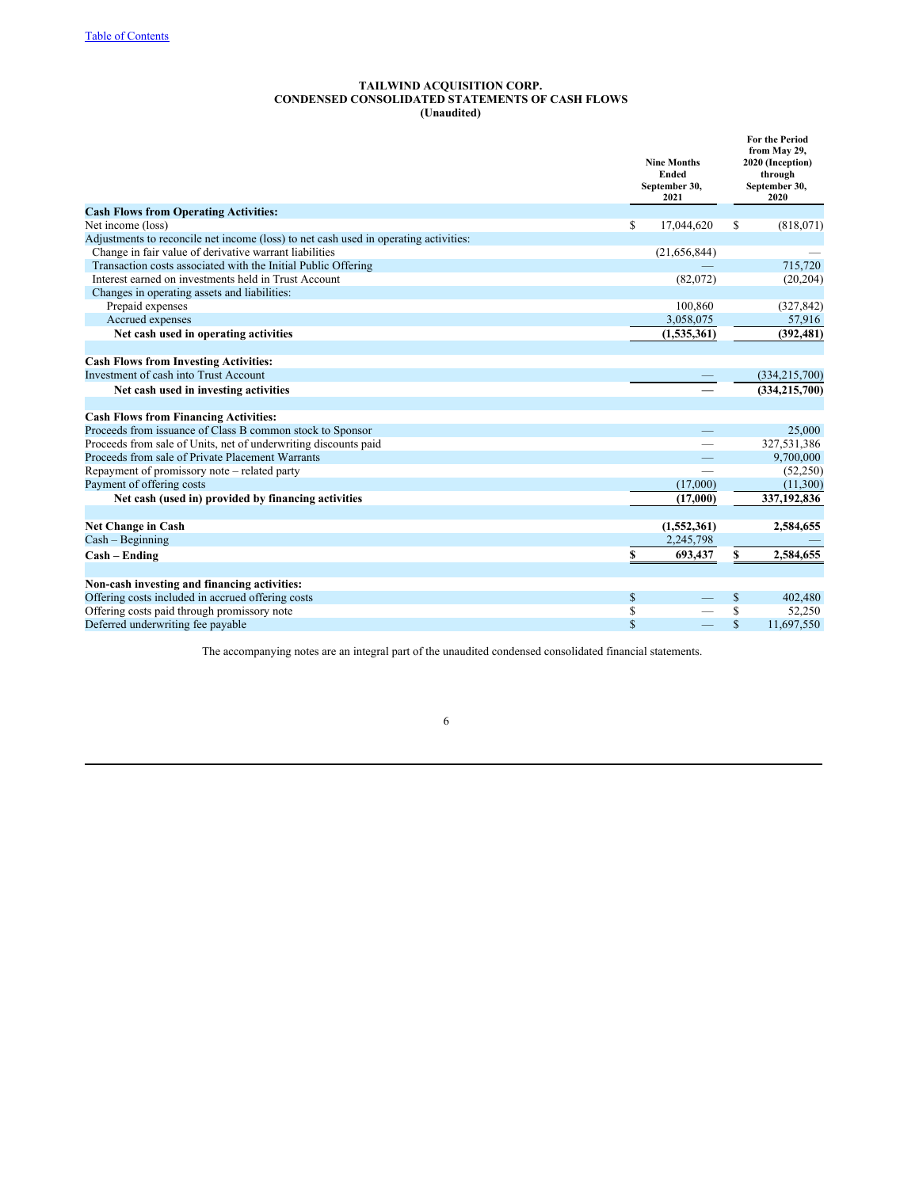## **TAILWIND ACQUISITION CORP. CONDENSED CONSOLIDATED STATEMENTS OF CASH FLOWS (Unaudited)**

|                                                                                      |    | <b>Nine Months</b><br><b>Ended</b><br>September 30,<br>2021 |              | <b>For the Period</b><br>from May 29,<br>2020 (Inception)<br>through<br>September 30,<br>2020 |
|--------------------------------------------------------------------------------------|----|-------------------------------------------------------------|--------------|-----------------------------------------------------------------------------------------------|
| <b>Cash Flows from Operating Activities:</b>                                         |    |                                                             |              |                                                                                               |
| Net income (loss)                                                                    | \$ | 17,044,620                                                  | S            | (818,071)                                                                                     |
| Adjustments to reconcile net income (loss) to net cash used in operating activities: |    |                                                             |              |                                                                                               |
| Change in fair value of derivative warrant liabilities                               |    | (21,656,844)                                                |              |                                                                                               |
| Transaction costs associated with the Initial Public Offering                        |    |                                                             |              | 715,720                                                                                       |
| Interest earned on investments held in Trust Account                                 |    | (82,072)                                                    |              | (20, 204)                                                                                     |
| Changes in operating assets and liabilities:                                         |    |                                                             |              |                                                                                               |
| Prepaid expenses                                                                     |    | 100,860                                                     |              | (327, 842)                                                                                    |
| Accrued expenses                                                                     |    | 3,058,075                                                   |              | 57,916                                                                                        |
| Net cash used in operating activities                                                |    | (1,535,361)                                                 |              | (392, 481)                                                                                    |
|                                                                                      |    |                                                             |              |                                                                                               |
| <b>Cash Flows from Investing Activities:</b>                                         |    |                                                             |              |                                                                                               |
| Investment of cash into Trust Account                                                |    |                                                             |              | (334, 215, 700)                                                                               |
| Net cash used in investing activities                                                |    |                                                             |              | (334, 215, 700)                                                                               |
|                                                                                      |    |                                                             |              |                                                                                               |
| <b>Cash Flows from Financing Activities:</b>                                         |    |                                                             |              |                                                                                               |
| Proceeds from issuance of Class B common stock to Sponsor                            |    |                                                             |              | 25,000                                                                                        |
| Proceeds from sale of Units, net of underwriting discounts paid                      |    |                                                             |              | 327,531,386                                                                                   |
| Proceeds from sale of Private Placement Warrants                                     |    |                                                             |              | 9,700,000                                                                                     |
| Repayment of promissory note – related party                                         |    |                                                             |              | (52,250)                                                                                      |
| Payment of offering costs                                                            |    | (17,000)                                                    |              | (11,300)                                                                                      |
| Net cash (used in) provided by financing activities                                  |    | (17,000)                                                    |              | 337,192,836                                                                                   |
|                                                                                      |    |                                                             |              |                                                                                               |
| <b>Net Change in Cash</b>                                                            |    | (1,552,361)                                                 |              | 2,584,655                                                                                     |
| $Cash - Beginning$                                                                   |    | 2,245,798                                                   |              |                                                                                               |
| $Cash - Ending$                                                                      | S  | 693,437                                                     | \$           | 2,584,655                                                                                     |
| Non-cash investing and financing activities:                                         |    |                                                             |              |                                                                                               |
| Offering costs included in accrued offering costs                                    | \$ |                                                             | \$           | 402,480                                                                                       |
| Offering costs paid through promissory note                                          | \$ |                                                             | \$           | 52,250                                                                                        |
| Deferred underwriting fee payable                                                    | \$ |                                                             | $\mathbb{S}$ | 11,697,550                                                                                    |
|                                                                                      |    |                                                             |              |                                                                                               |

The accompanying notes are an integral part of the unaudited condensed consolidated financial statements.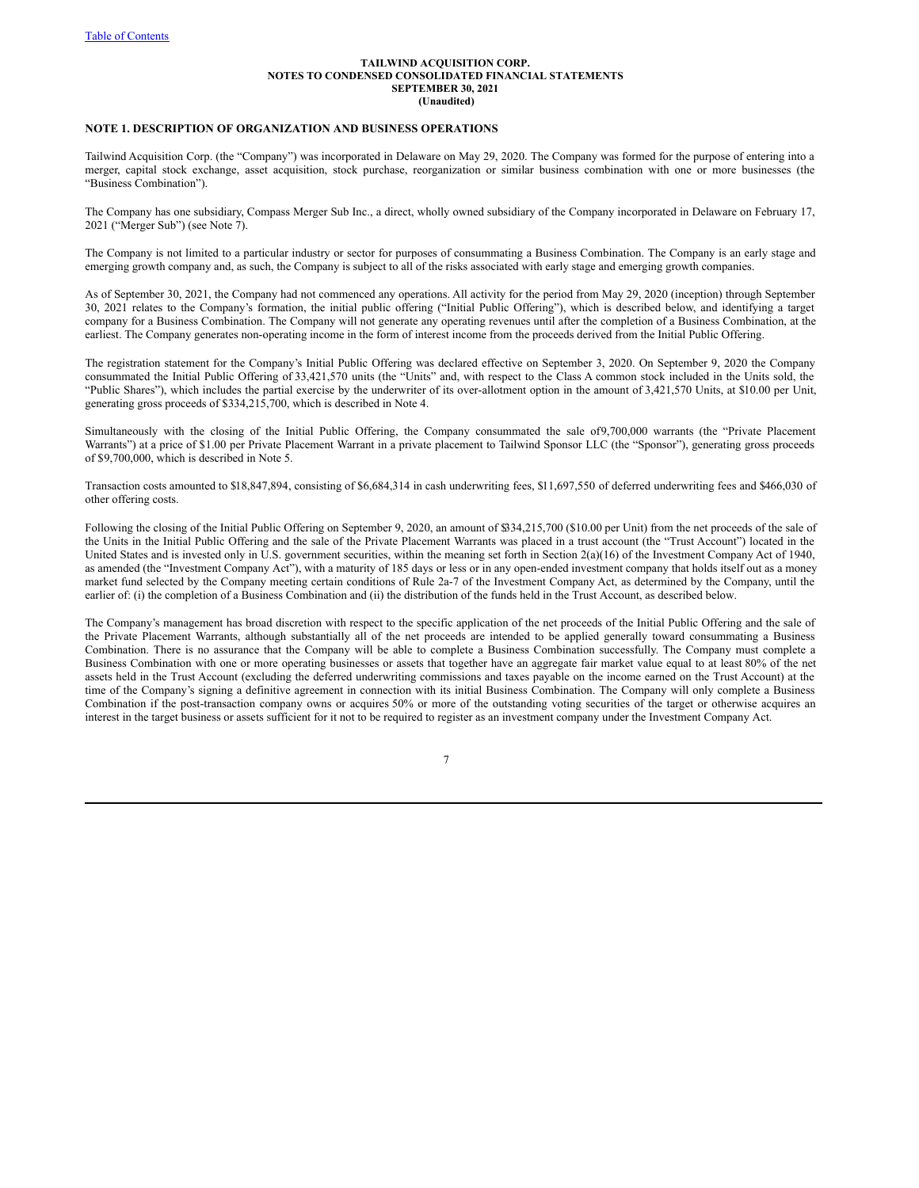## **NOTE 1. DESCRIPTION OF ORGANIZATION AND BUSINESS OPERATIONS**

Tailwind Acquisition Corp. (the "Company") was incorporated in Delaware on May 29, 2020. The Company was formed for the purpose of entering into a merger, capital stock exchange, asset acquisition, stock purchase, reorganization or similar business combination with one or more businesses (the "Business Combination").

The Company has one subsidiary, Compass Merger Sub Inc., a direct, wholly owned subsidiary of the Company incorporated in Delaware on February 17, 2021 ("Merger Sub") (see Note 7).

The Company is not limited to a particular industry or sector for purposes of consummating a Business Combination. The Company is an early stage and emerging growth company and, as such, the Company is subject to all of the risks associated with early stage and emerging growth companies.

As of September 30, 2021, the Company had not commenced any operations. All activity for the period from May 29, 2020 (inception) through September 30, 2021 relates to the Company's formation, the initial public offering ("Initial Public Offering"), which is described below, and identifying a target company for a Business Combination. The Company will not generate any operating revenues until after the completion of a Business Combination, at the earliest. The Company generates non-operating income in the form of interest income from the proceeds derived from the Initial Public Offering.

The registration statement for the Company's Initial Public Offering was declared effective on September 3, 2020. On September 9, 2020 the Company consummated the Initial Public Offering of 33,421,570 units (the "Units" and, with respect to the Class A common stock included in the Units sold, the "Public Shares"), which includes the partial exercise by the underwriter of its over-allotment option in the amount of 3,421,570 Units, at \$10.00 per Unit, generating gross proceeds of \$334,215,700, which is described in Note 4.

Simultaneously with the closing of the Initial Public Offering, the Company consummated the sale of9,700,000 warrants (the "Private Placement Warrants") at a price of \$1.00 per Private Placement Warrant in a private placement to Tailwind Sponsor LLC (the "Sponsor"), generating gross proceeds of \$9,700,000, which is described in Note 5.

Transaction costs amounted to \$18,847,894, consisting of \$6,684,314 in cash underwriting fees, \$11,697,550 of deferred underwriting fees and \$466,030 of other offering costs.

Following the closing of the Initial Public Offering on September 9, 2020, an amount of \$34,215,700 (\$10.00 per Unit) from the net proceeds of the sale of the Units in the Initial Public Offering and the sale of the Private Placement Warrants was placed in a trust account (the "Trust Account") located in the United States and is invested only in U.S. government securities, within the meaning set forth in Section 2(a)(16) of the Investment Company Act of 1940, as amended (the "Investment Company Act"), with a maturity of 185 days or less or in any open-ended investment company that holds itself out as a money market fund selected by the Company meeting certain conditions of Rule 2a-7 of the Investment Company Act, as determined by the Company, until the earlier of: (i) the completion of a Business Combination and (ii) the distribution of the funds held in the Trust Account, as described below.

The Company's management has broad discretion with respect to the specific application of the net proceeds of the Initial Public Offering and the sale of the Private Placement Warrants, although substantially all of the net proceeds are intended to be applied generally toward consummating a Business Combination. There is no assurance that the Company will be able to complete a Business Combination successfully. The Company must complete a Business Combination with one or more operating businesses or assets that together have an aggregate fair market value equal to at least 80% of the net assets held in the Trust Account (excluding the deferred underwriting commissions and taxes payable on the income earned on the Trust Account) at the time of the Company's signing a definitive agreement in connection with its initial Business Combination. The Company will only complete a Business Combination if the post-transaction company owns or acquires 50% or more of the outstanding voting securities of the target or otherwise acquires an interest in the target business or assets sufficient for it not to be required to register as an investment company under the Investment Company Act.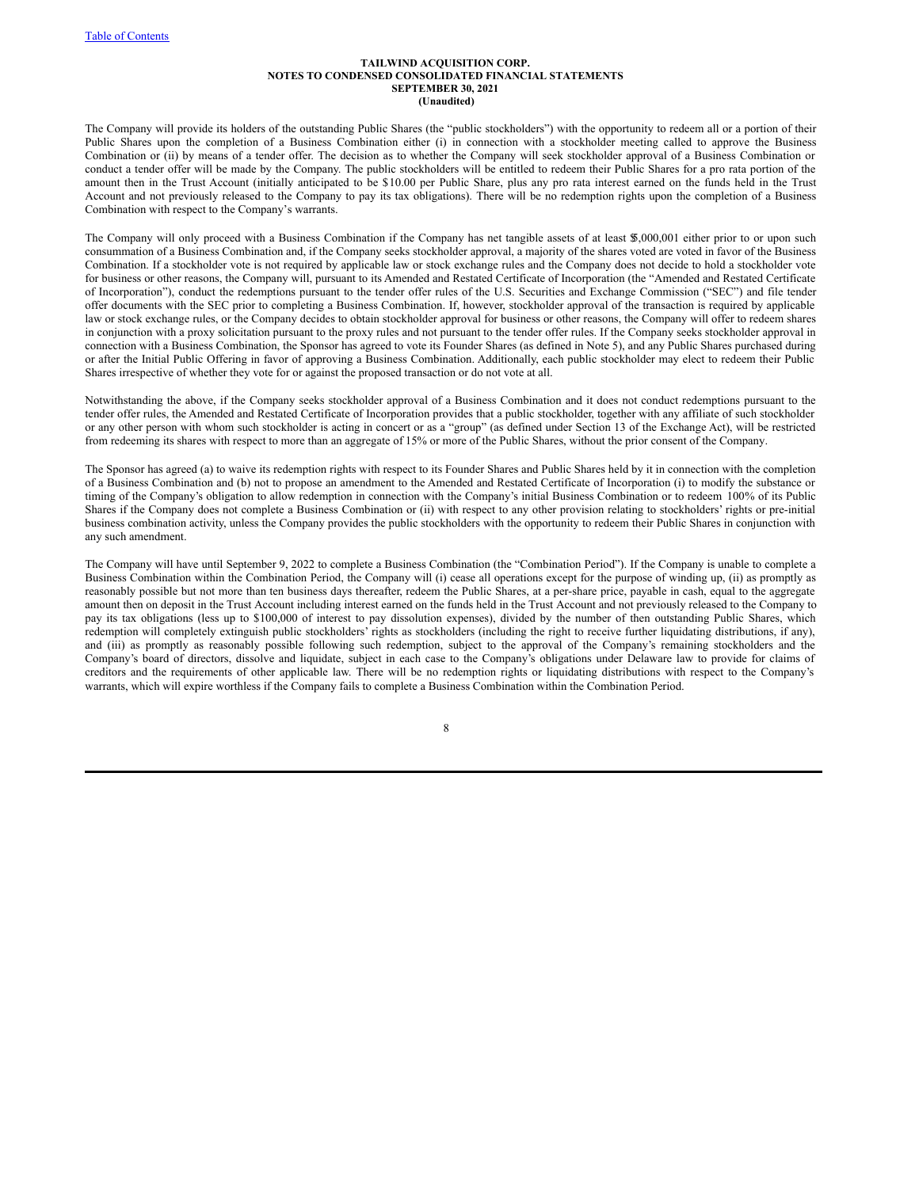The Company will provide its holders of the outstanding Public Shares (the "public stockholders") with the opportunity to redeem all or a portion of their Public Shares upon the completion of a Business Combination either (i) in connection with a stockholder meeting called to approve the Business Combination or (ii) by means of a tender offer. The decision as to whether the Company will seek stockholder approval of a Business Combination or conduct a tender offer will be made by the Company. The public stockholders will be entitled to redeem their Public Shares for a pro rata portion of the amount then in the Trust Account (initially anticipated to be \$10.00 per Public Share, plus any pro rata interest earned on the funds held in the Trust Account and not previously released to the Company to pay its tax obligations). There will be no redemption rights upon the completion of a Business Combination with respect to the Company's warrants.

The Company will only proceed with a Business Combination if the Company has net tangible assets of at least \$5,000,001 either prior to or upon such consummation of a Business Combination and, if the Company seeks stockholder approval, a majority of the shares voted are voted in favor of the Business Combination. If a stockholder vote is not required by applicable law or stock exchange rules and the Company does not decide to hold a stockholder vote for business or other reasons, the Company will, pursuant to its Amended and Restated Certificate of Incorporation (the "Amended and Restated Certificate of Incorporation"), conduct the redemptions pursuant to the tender offer rules of the U.S. Securities and Exchange Commission ("SEC") and file tender offer documents with the SEC prior to completing a Business Combination. If, however, stockholder approval of the transaction is required by applicable law or stock exchange rules, or the Company decides to obtain stockholder approval for business or other reasons, the Company will offer to redeem shares in conjunction with a proxy solicitation pursuant to the proxy rules and not pursuant to the tender offer rules. If the Company seeks stockholder approval in connection with a Business Combination, the Sponsor has agreed to vote its Founder Shares (as defined in Note 5), and any Public Shares purchased during or after the Initial Public Offering in favor of approving a Business Combination. Additionally, each public stockholder may elect to redeem their Public Shares irrespective of whether they vote for or against the proposed transaction or do not vote at all.

Notwithstanding the above, if the Company seeks stockholder approval of a Business Combination and it does not conduct redemptions pursuant to the tender offer rules, the Amended and Restated Certificate of Incorporation provides that a public stockholder, together with any affiliate of such stockholder or any other person with whom such stockholder is acting in concert or as a "group" (as defined under Section 13 of the Exchange Act), will be restricted from redeeming its shares with respect to more than an aggregate of 15% or more of the Public Shares, without the prior consent of the Company.

The Sponsor has agreed (a) to waive its redemption rights with respect to its Founder Shares and Public Shares held by it in connection with the completion of a Business Combination and (b) not to propose an amendment to the Amended and Restated Certificate of Incorporation (i) to modify the substance or timing of the Company's obligation to allow redemption in connection with the Company's initial Business Combination or to redeem 100% of its Public Shares if the Company does not complete a Business Combination or (ii) with respect to any other provision relating to stockholders' rights or pre-initial business combination activity, unless the Company provides the public stockholders with the opportunity to redeem their Public Shares in conjunction with any such amendment.

The Company will have until September 9, 2022 to complete a Business Combination (the "Combination Period"). If the Company is unable to complete a Business Combination within the Combination Period, the Company will (i) cease all operations except for the purpose of winding up, (ii) as promptly as reasonably possible but not more than ten business days thereafter, redeem the Public Shares, at a per-share price, payable in cash, equal to the aggregate amount then on deposit in the Trust Account including interest earned on the funds held in the Trust Account and not previously released to the Company to pay its tax obligations (less up to \$100,000 of interest to pay dissolution expenses), divided by the number of then outstanding Public Shares, which redemption will completely extinguish public stockholders' rights as stockholders (including the right to receive further liquidating distributions, if any), and (iii) as promptly as reasonably possible following such redemption, subject to the approval of the Company's remaining stockholders and the Company's board of directors, dissolve and liquidate, subject in each case to the Company's obligations under Delaware law to provide for claims of creditors and the requirements of other applicable law. There will be no redemption rights or liquidating distributions with respect to the Company's warrants, which will expire worthless if the Company fails to complete a Business Combination within the Combination Period.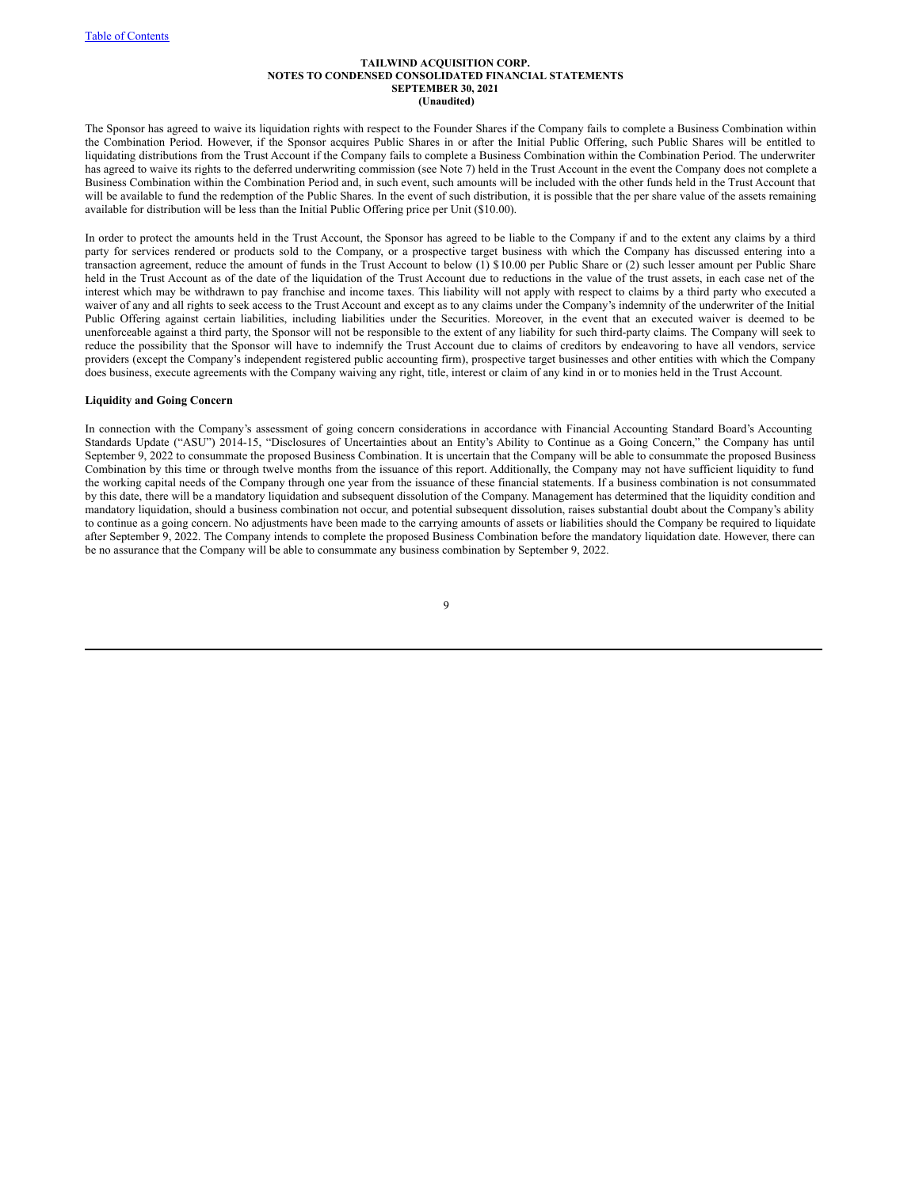The Sponsor has agreed to waive its liquidation rights with respect to the Founder Shares if the Company fails to complete a Business Combination within the Combination Period. However, if the Sponsor acquires Public Shares in or after the Initial Public Offering, such Public Shares will be entitled to liquidating distributions from the Trust Account if the Company fails to complete a Business Combination within the Combination Period. The underwriter has agreed to waive its rights to the deferred underwriting commission (see Note 7) held in the Trust Account in the event the Company does not complete a Business Combination within the Combination Period and, in such event, such amounts will be included with the other funds held in the Trust Account that will be available to fund the redemption of the Public Shares. In the event of such distribution, it is possible that the per share value of the assets remaining available for distribution will be less than the Initial Public Offering price per Unit (\$10.00).

In order to protect the amounts held in the Trust Account, the Sponsor has agreed to be liable to the Company if and to the extent any claims by a third party for services rendered or products sold to the Company, or a prospective target business with which the Company has discussed entering into a transaction agreement, reduce the amount of funds in the Trust Account to below (1) \$10.00 per Public Share or (2) such lesser amount per Public Share held in the Trust Account as of the date of the liquidation of the Trust Account due to reductions in the value of the trust assets, in each case net of the interest which may be withdrawn to pay franchise and income taxes. This liability will not apply with respect to claims by a third party who executed a waiver of any and all rights to seek access to the Trust Account and except as to any claims under the Company's indemnity of the underwriter of the Initial Public Offering against certain liabilities, including liabilities under the Securities. Moreover, in the event that an executed waiver is deemed to be unenforceable against a third party, the Sponsor will not be responsible to the extent of any liability for such third-party claims. The Company will seek to reduce the possibility that the Sponsor will have to indemnify the Trust Account due to claims of creditors by endeavoring to have all vendors, service providers (except the Company's independent registered public accounting firm), prospective target businesses and other entities with which the Company does business, execute agreements with the Company waiving any right, title, interest or claim of any kind in or to monies held in the Trust Account.

#### **Liquidity and Going Concern**

In connection with the Company's assessment of going concern considerations in accordance with Financial Accounting Standard Board's Accounting Standards Update ("ASU") 2014-15, "Disclosures of Uncertainties about an Entity's Ability to Continue as a Going Concern," the Company has until September 9, 2022 to consummate the proposed Business Combination. It is uncertain that the Company will be able to consummate the proposed Business Combination by this time or through twelve months from the issuance of this report. Additionally, the Company may not have sufficient liquidity to fund the working capital needs of the Company through one year from the issuance of these financial statements. If a business combination is not consummated by this date, there will be a mandatory liquidation and subsequent dissolution of the Company. Management has determined that the liquidity condition and mandatory liquidation, should a business combination not occur, and potential subsequent dissolution, raises substantial doubt about the Company's ability to continue as a going concern. No adjustments have been made to the carrying amounts of assets or liabilities should the Company be required to liquidate after September 9, 2022. The Company intends to complete the proposed Business Combination before the mandatory liquidation date. However, there can be no assurance that the Company will be able to consummate any business combination by September 9, 2022.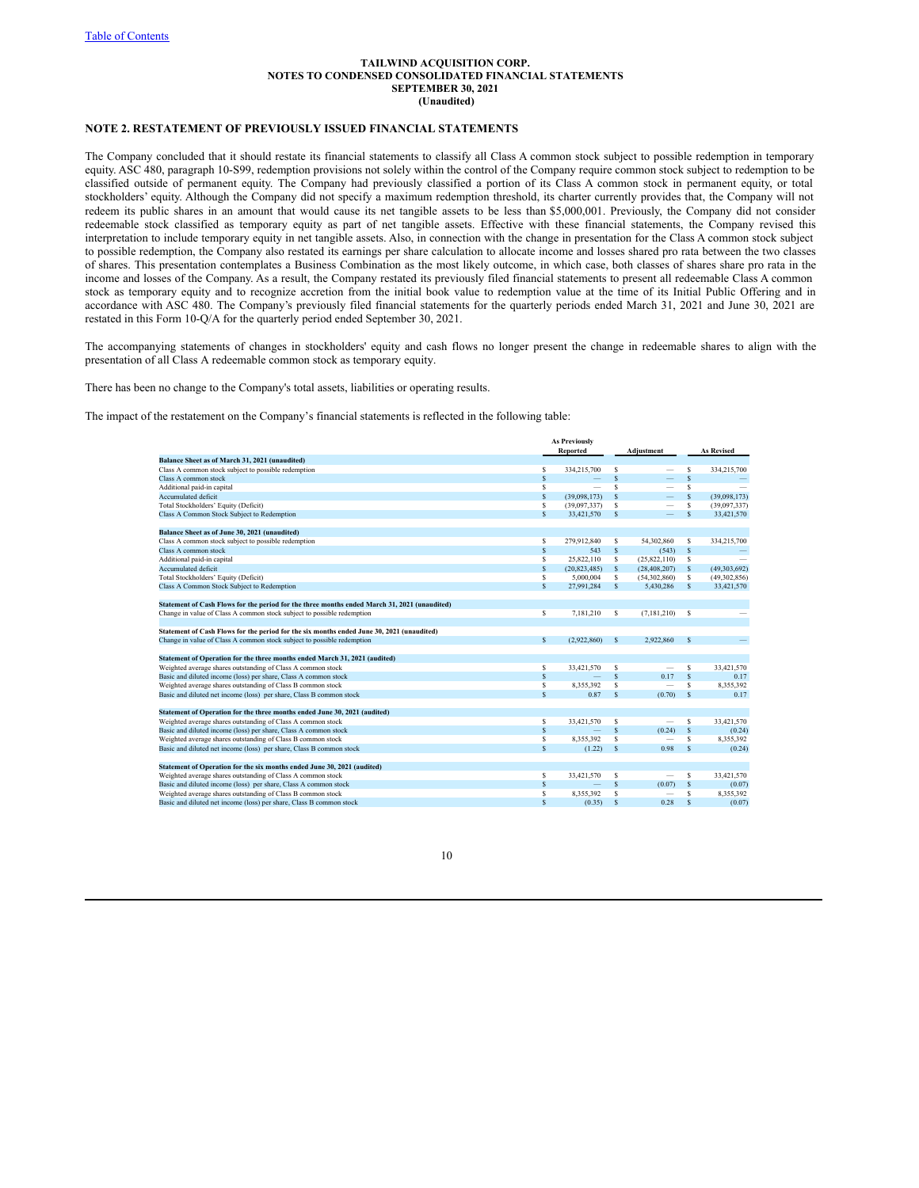## **NOTE 2. RESTATEMENT OF PREVIOUSLY ISSUED FINANCIAL STATEMENTS**

The Company concluded that it should restate its financial statements to classify all Class A common stock subject to possible redemption in temporary equity. ASC 480, paragraph 10-S99, redemption provisions not solely within the control of the Company require common stock subject to redemption to be classified outside of permanent equity. The Company had previously classified a portion of its Class A common stock in permanent equity, or total stockholders' equity. Although the Company did not specify a maximum redemption threshold, its charter currently provides that, the Company will not redeem its public shares in an amount that would cause its net tangible assets to be less than \$5,000,001. Previously, the Company did not consider redeemable stock classified as temporary equity as part of net tangible assets. Effective with these financial statements, the Company revised this interpretation to include temporary equity in net tangible assets. Also, in connection with the change in presentation for the Class A common stock subject to possible redemption, the Company also restated its earnings per share calculation to allocate income and losses shared pro rata between the two classes of shares. This presentation contemplates a Business Combination as the most likely outcome, in which case, both classes of shares share pro rata in the income and losses of the Company. As a result, the Company restated its previously filed financial statements to present all redeemable Class A common stock as temporary equity and to recognize accretion from the initial book value to redemption value at the time of its Initial Public Offering and in accordance with ASC 480. The Company's previously filed financial statements for the quarterly periods ended March 31, 2021 and June 30, 2021 are restated in this Form 10-Q/A for the quarterly period ended September 30, 2021.

The accompanying statements of changes in stockholders' equity and cash flows no longer present the change in redeemable shares to align with the presentation of all Class A redeemable common stock as temporary equity.

There has been no change to the Company's total assets, liabilities or operating results.

The impact of the restatement on the Company's financial statements is reflected in the following table:

|                                                                                              |   | <b>As Previously</b>     |              |                          |                    |                   |
|----------------------------------------------------------------------------------------------|---|--------------------------|--------------|--------------------------|--------------------|-------------------|
|                                                                                              |   | <b>Reported</b>          |              | Adiustment               |                    | <b>As Revised</b> |
| Balance Sheet as of March 31, 2021 (unaudited)                                               |   |                          |              |                          |                    |                   |
| Class A common stock subject to possible redemption                                          | s | 334,215,700              | S            |                          | S                  | 334,215,700       |
| Class A common stock                                                                         | s |                          | S            |                          | S                  |                   |
| Additional paid-in capital                                                                   | S | $\overline{\phantom{a}}$ | S            |                          | S                  |                   |
| Accumulated deficit                                                                          | s | (39.098.173)             | S            |                          | S                  | (39,098,173)      |
| Total Stockholders' Equity (Deficit)                                                         | S | (39,097,337)             | s            |                          | s                  | (39,097,337)      |
| Class A Common Stock Subject to Redemption                                                   | s | 33,421,570               | S            | $\qquad \qquad -$        | S                  | 33.421.570        |
| Balance Sheet as of June 30, 2021 (unaudited)                                                |   |                          |              |                          |                    |                   |
| Class A common stock subject to possible redemption                                          | s | 279,912,840              | s            | 54,302,860               | s                  | 334,215,700       |
| Class A common stock                                                                         | S | 543                      | S            | (543)                    | s                  |                   |
| Additional paid-in capital                                                                   | S | 25,822,110               | S            | (25,822,110)             | s                  |                   |
| Accumulated deficit                                                                          | s | (20, 823, 485)           | S            | (28, 408, 207)           | s                  | (49,303,692)      |
| Total Stockholders' Equity (Deficit)                                                         | s | 5.000.004                | S            | (54,302,860)             | s                  | (49,302,856)      |
| Class A Common Stock Subject to Redemption                                                   | S | 27,991,284               | S            | 5,430,286                | S                  | 33,421,570        |
| Statement of Cash Flows for the period for the three months ended March 31, 2021 (unaudited) |   |                          |              |                          |                    |                   |
| Change in value of Class A common stock subject to possible redemption                       | s | 7.181.210                | s            | (7, 181, 210)            | s                  |                   |
| Statement of Cash Flows for the period for the six months ended June 30, 2021 (unaudited)    |   |                          |              |                          |                    |                   |
| Change in value of Class A common stock subject to possible redemption                       | s | (2,922,860)              | s            | 2.922.860                | S                  |                   |
|                                                                                              |   |                          |              |                          |                    |                   |
| Statement of Operation for the three months ended March 31, 2021 (audited)                   |   |                          |              |                          |                    |                   |
| Weighted average shares outstanding of Class A common stock                                  | s | 33.421.570               | s            | $\overline{\phantom{0}}$ | \$                 | 33.421.570        |
| Basic and diluted income (loss) per share, Class A common stock                              | S | -                        | S            | 0.17                     | S                  | 0.17              |
| Weighted average shares outstanding of Class B common stock                                  | s | 8.355.392                | S            |                          | s                  | 8.355.392         |
| Basic and diluted net income (loss) per share, Class B common stock                          | S | 0.87                     | S            | (0.70)                   | S                  | 0.17              |
| Statement of Operation for the three months ended June 30, 2021 (audited)                    |   |                          |              |                          |                    |                   |
| Weighted average shares outstanding of Class A common stock                                  | s | 33,421,570               | S            | $\overline{\phantom{0}}$ | s                  | 33.421.570        |
| Basic and diluted income (loss) per share, Class A common stock                              | s |                          | S            | (0.24)                   | \$                 | (0.24)            |
| Weighted average shares outstanding of Class B common stock                                  | s | 8.355.392                | S            |                          | S                  | 8.355.392         |
| Basic and diluted net income (loss) per share, Class B common stock                          | S | (1.22)                   | $\mathsf{s}$ | 0.98                     | S                  | (0.24)            |
| Statement of Operation for the six months ended June 30, 2021 (audited)                      |   |                          |              |                          |                    |                   |
| Weighted average shares outstanding of Class A common stock                                  | s | 33.421.570               | S            |                          | s                  | 33,421,570        |
| Basic and diluted income (loss) per share, Class A common stock                              | S | $\overline{\phantom{a}}$ | S            | (0.07)                   | S                  | (0.07)            |
| Weighted average shares outstanding of Class B common stock                                  | s | 8.355.392                | S            |                          | S                  | 8.355.392         |
| Basic and diluted net income (loss) per share, Class B common stock                          | s | (0.35)                   | S            | 0.28                     | $\hat{\mathbf{s}}$ | (0.07)            |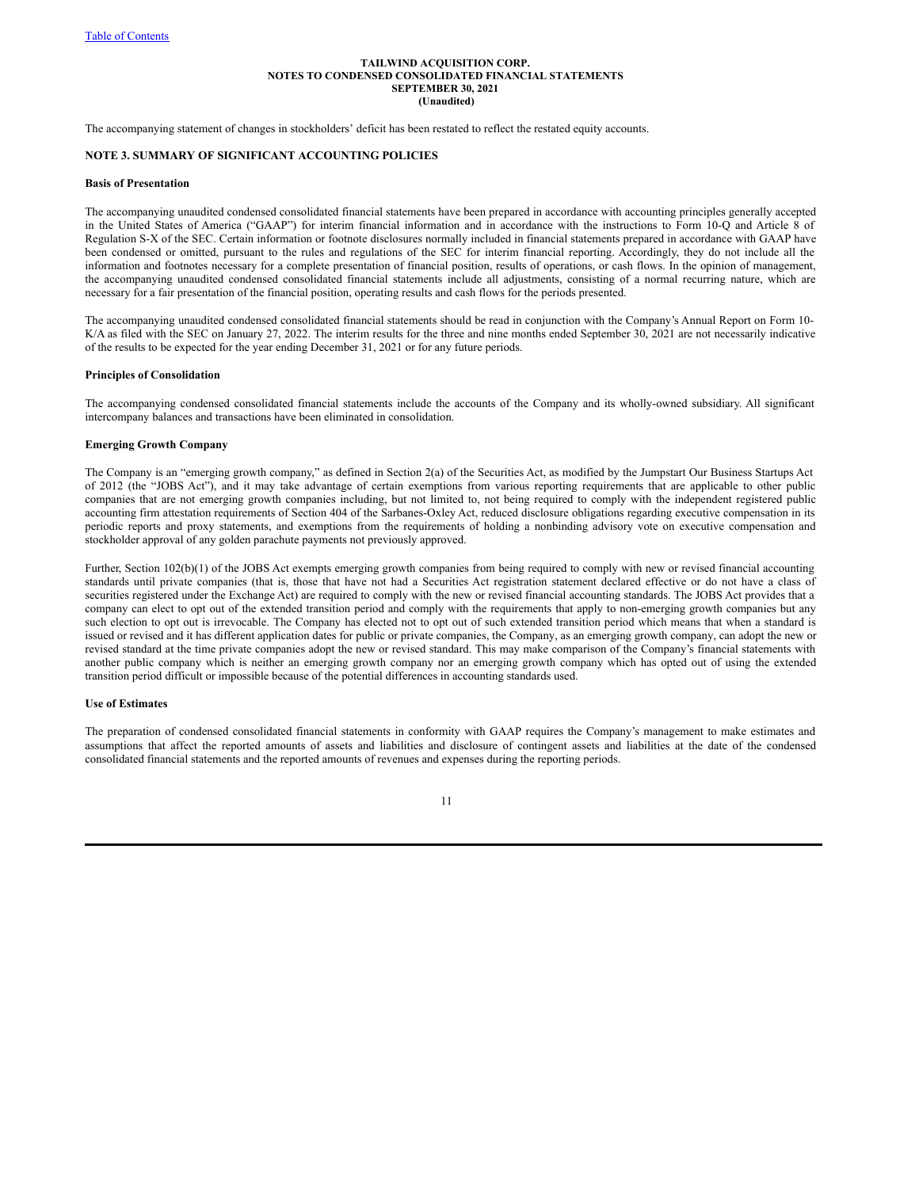The accompanying statement of changes in stockholders' deficit has been restated to reflect the restated equity accounts.

## **NOTE 3. SUMMARY OF SIGNIFICANT ACCOUNTING POLICIES**

#### **Basis of Presentation**

The accompanying unaudited condensed consolidated financial statements have been prepared in accordance with accounting principles generally accepted in the United States of America ("GAAP") for interim financial information and in accordance with the instructions to Form 10-Q and Article 8 of Regulation S-X of the SEC. Certain information or footnote disclosures normally included in financial statements prepared in accordance with GAAP have been condensed or omitted, pursuant to the rules and regulations of the SEC for interim financial reporting. Accordingly, they do not include all the information and footnotes necessary for a complete presentation of financial position, results of operations, or cash flows. In the opinion of management, the accompanying unaudited condensed consolidated financial statements include all adjustments, consisting of a normal recurring nature, which are necessary for a fair presentation of the financial position, operating results and cash flows for the periods presented.

The accompanying unaudited condensed consolidated financial statements should be read in conjunction with the Company's Annual Report on Form 10- K/A as filed with the SEC on January 27, 2022. The interim results for the three and nine months ended September 30, 2021 are not necessarily indicative of the results to be expected for the year ending December 31, 2021 or for any future periods.

#### **Principles of Consolidation**

The accompanying condensed consolidated financial statements include the accounts of the Company and its wholly-owned subsidiary. All significant intercompany balances and transactions have been eliminated in consolidation.

#### **Emerging Growth Company**

The Company is an "emerging growth company," as defined in Section 2(a) of the Securities Act, as modified by the Jumpstart Our Business Startups Act of 2012 (the "JOBS Act"), and it may take advantage of certain exemptions from various reporting requirements that are applicable to other public companies that are not emerging growth companies including, but not limited to, not being required to comply with the independent registered public accounting firm attestation requirements of Section 404 of the Sarbanes-Oxley Act, reduced disclosure obligations regarding executive compensation in its periodic reports and proxy statements, and exemptions from the requirements of holding a nonbinding advisory vote on executive compensation and stockholder approval of any golden parachute payments not previously approved.

Further, Section 102(b)(1) of the JOBS Act exempts emerging growth companies from being required to comply with new or revised financial accounting standards until private companies (that is, those that have not had a Securities Act registration statement declared effective or do not have a class of securities registered under the Exchange Act) are required to comply with the new or revised financial accounting standards. The JOBS Act provides that a company can elect to opt out of the extended transition period and comply with the requirements that apply to non-emerging growth companies but any such election to opt out is irrevocable. The Company has elected not to opt out of such extended transition period which means that when a standard is issued or revised and it has different application dates for public or private companies, the Company, as an emerging growth company, can adopt the new or revised standard at the time private companies adopt the new or revised standard. This may make comparison of the Company's financial statements with another public company which is neither an emerging growth company nor an emerging growth company which has opted out of using the extended transition period difficult or impossible because of the potential differences in accounting standards used.

#### **Use of Estimates**

The preparation of condensed consolidated financial statements in conformity with GAAP requires the Company's management to make estimates and assumptions that affect the reported amounts of assets and liabilities and disclosure of contingent assets and liabilities at the date of the condensed consolidated financial statements and the reported amounts of revenues and expenses during the reporting periods.

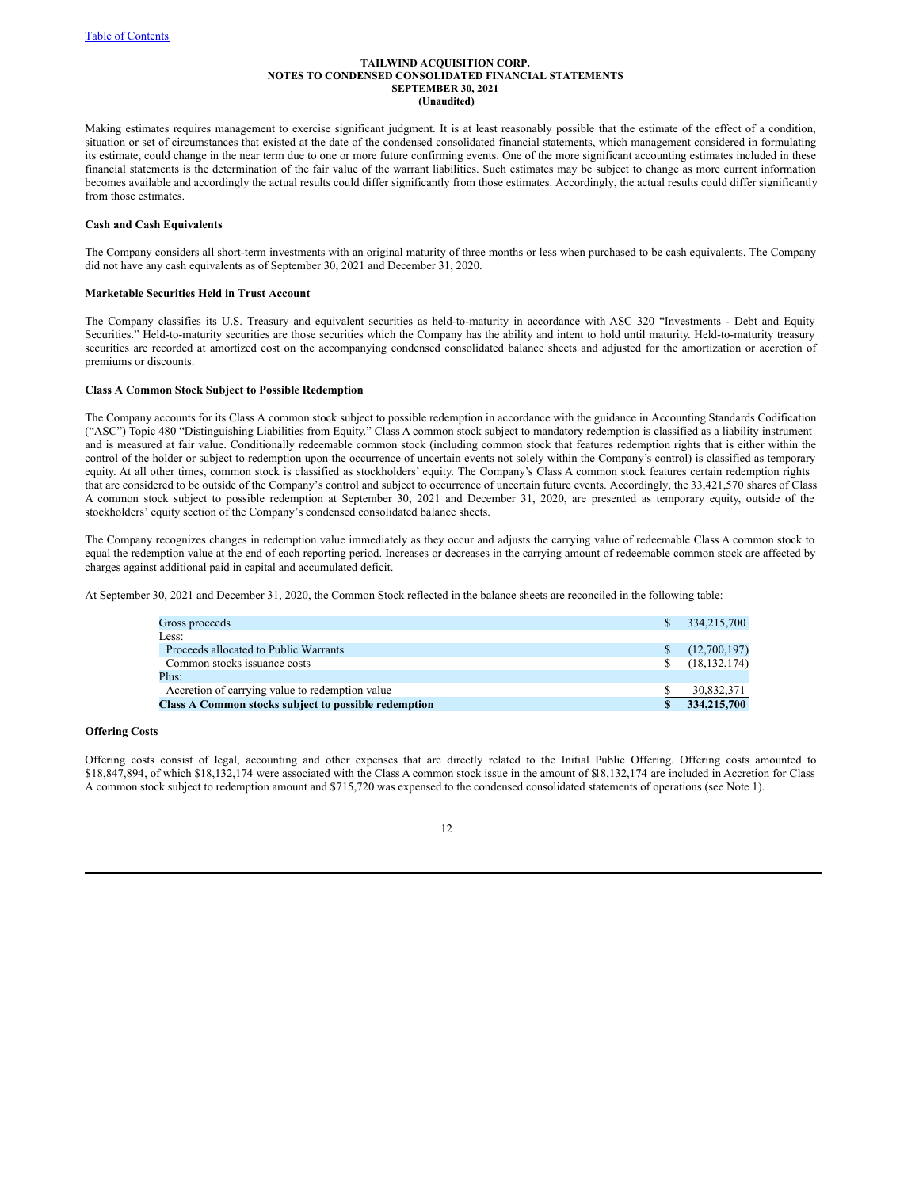Making estimates requires management to exercise significant judgment. It is at least reasonably possible that the estimate of the effect of a condition, situation or set of circumstances that existed at the date of the condensed consolidated financial statements, which management considered in formulating its estimate, could change in the near term due to one or more future confirming events. One of the more significant accounting estimates included in these financial statements is the determination of the fair value of the warrant liabilities. Such estimates may be subject to change as more current information becomes available and accordingly the actual results could differ significantly from those estimates. Accordingly, the actual results could differ significantly from those estimates.

### **Cash and Cash Equivalents**

The Company considers all short-term investments with an original maturity of three months or less when purchased to be cash equivalents. The Company did not have any cash equivalents as of September 30, 2021 and December 31, 2020.

#### **Marketable Securities Held in Trust Account**

The Company classifies its U.S. Treasury and equivalent securities as held-to-maturity in accordance with ASC 320 "Investments - Debt and Equity Securities." Held-to-maturity securities are those securities which the Company has the ability and intent to hold until maturity. Held-to-maturity treasury securities are recorded at amortized cost on the accompanying condensed consolidated balance sheets and adjusted for the amortization or accretion of premiums or discounts.

#### **Class A Common Stock Subject to Possible Redemption**

The Company accounts for its Class A common stock subject to possible redemption in accordance with the guidance in Accounting Standards Codification ("ASC") Topic 480 "Distinguishing Liabilities from Equity." Class A common stock subject to mandatory redemption is classified as a liability instrument and is measured at fair value. Conditionally redeemable common stock (including common stock that features redemption rights that is either within the control of the holder or subject to redemption upon the occurrence of uncertain events not solely within the Company's control) is classified as temporary equity. At all other times, common stock is classified as stockholders' equity. The Company's Class A common stock features certain redemption rights that are considered to be outside of the Company's control and subject to occurrence of uncertain future events. Accordingly, the 33,421,570 shares of Class A common stock subject to possible redemption at September 30, 2021 and December 31, 2020, are presented as temporary equity, outside of the stockholders' equity section of the Company's condensed consolidated balance sheets.

The Company recognizes changes in redemption value immediately as they occur and adjusts the carrying value of redeemable Class A common stock to equal the redemption value at the end of each reporting period. Increases or decreases in the carrying amount of redeemable common stock are affected by charges against additional paid in capital and accumulated deficit.

At September 30, 2021 and December 31, 2020, the Common Stock reflected in the balance sheets are reconciled in the following table:

| Gross proceeds                                       | \$. | 334,215,700    |
|------------------------------------------------------|-----|----------------|
| Less:                                                |     |                |
| Proceeds allocated to Public Warrants                | S   | (12,700,197)   |
| Common stocks issuance costs                         | \$. | (18, 132, 174) |
| Plus:                                                |     |                |
| Accretion of carrying value to redemption value      |     | 30,832,371     |
| Class A Common stocks subject to possible redemption |     | 334,215,700    |

## **Offering Costs**

Offering costs consist of legal, accounting and other expenses that are directly related to the Initial Public Offering. Offering costs amounted to \$18,847,894, of which \$18,132,174 were associated with the Class A common stock issue in the amount of \$18,132,174 are included in Accretion for Class A common stock subject to redemption amount and \$715,720 was expensed to the condensed consolidated statements of operations (see Note 1).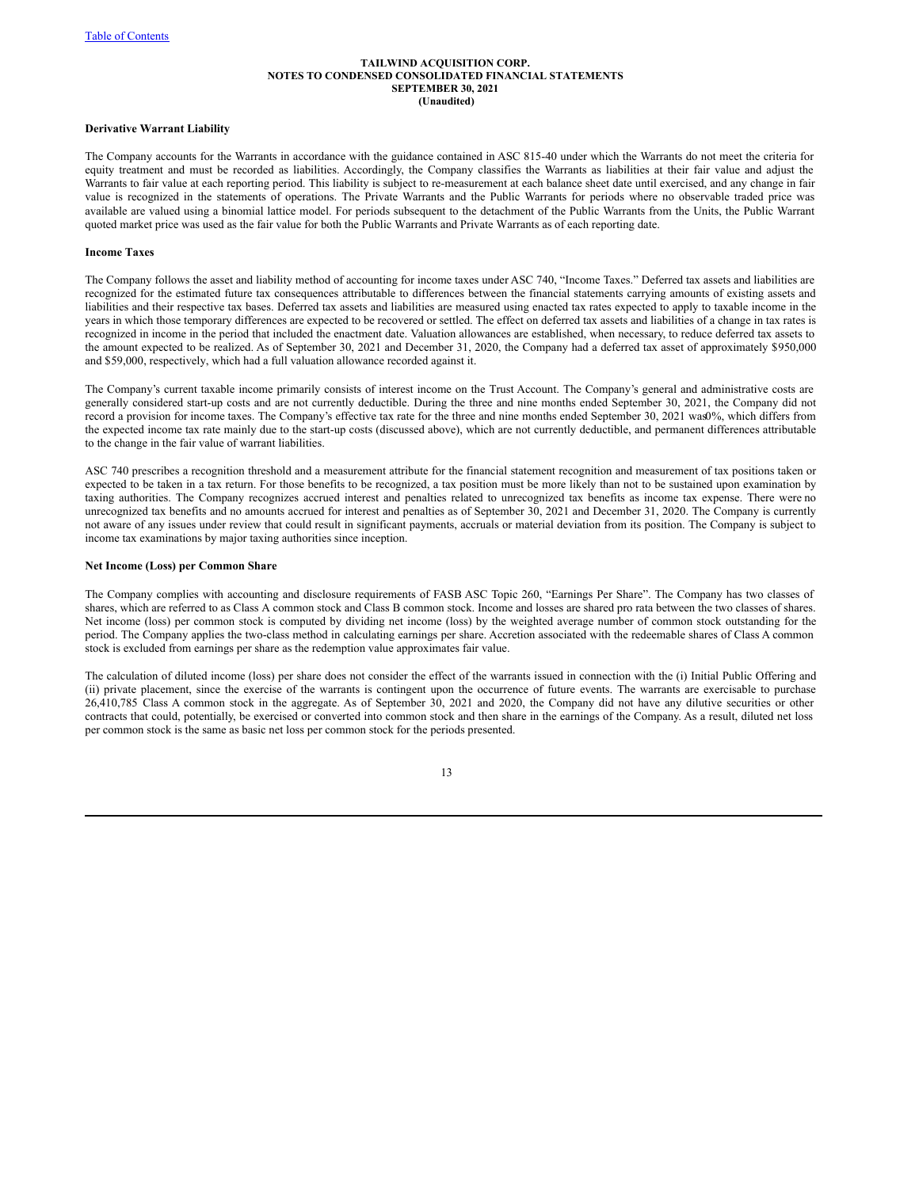#### **Derivative Warrant Liability**

The Company accounts for the Warrants in accordance with the guidance contained in ASC 815-40 under which the Warrants do not meet the criteria for equity treatment and must be recorded as liabilities. Accordingly, the Company classifies the Warrants as liabilities at their fair value and adjust the Warrants to fair value at each reporting period. This liability is subject to re-measurement at each balance sheet date until exercised, and any change in fair value is recognized in the statements of operations. The Private Warrants and the Public Warrants for periods where no observable traded price was available are valued using a binomial lattice model. For periods subsequent to the detachment of the Public Warrants from the Units, the Public Warrant quoted market price was used as the fair value for both the Public Warrants and Private Warrants as of each reporting date.

## **Income Taxes**

The Company follows the asset and liability method of accounting for income taxes under ASC 740, "Income Taxes." Deferred tax assets and liabilities are recognized for the estimated future tax consequences attributable to differences between the financial statements carrying amounts of existing assets and liabilities and their respective tax bases. Deferred tax assets and liabilities are measured using enacted tax rates expected to apply to taxable income in the years in which those temporary differences are expected to be recovered or settled. The effect on deferred tax assets and liabilities of a change in tax rates is recognized in income in the period that included the enactment date. Valuation allowances are established, when necessary, to reduce deferred tax assets to the amount expected to be realized. As of September 30, 2021 and December 31, 2020, the Company had a deferred tax asset of approximately \$950,000 and \$59,000, respectively, which had a full valuation allowance recorded against it.

The Company's current taxable income primarily consists of interest income on the Trust Account. The Company's general and administrative costs are generally considered start-up costs and are not currently deductible. During the three and nine months ended September 30, 2021, the Company did not record a provision for income taxes. The Company's effective tax rate for the three and nine months ended September 30, 2021 was0%, which differs from the expected income tax rate mainly due to the start-up costs (discussed above), which are not currently deductible, and permanent differences attributable to the change in the fair value of warrant liabilities.

ASC 740 prescribes a recognition threshold and a measurement attribute for the financial statement recognition and measurement of tax positions taken or expected to be taken in a tax return. For those benefits to be recognized, a tax position must be more likely than not to be sustained upon examination by taxing authorities. The Company recognizes accrued interest and penalties related to unrecognized tax benefits as income tax expense. There were no unrecognized tax benefits and no amounts accrued for interest and penalties as of September 30, 2021 and December 31, 2020. The Company is currently not aware of any issues under review that could result in significant payments, accruals or material deviation from its position. The Company is subject to income tax examinations by major taxing authorities since inception.

## **Net Income (Loss) per Common Share**

The Company complies with accounting and disclosure requirements of FASB ASC Topic 260, "Earnings Per Share". The Company has two classes of shares, which are referred to as Class A common stock and Class B common stock. Income and losses are shared pro rata between the two classes of shares. Net income (loss) per common stock is computed by dividing net income (loss) by the weighted average number of common stock outstanding for the period. The Company applies the two-class method in calculating earnings per share. Accretion associated with the redeemable shares of Class A common stock is excluded from earnings per share as the redemption value approximates fair value.

The calculation of diluted income (loss) per share does not consider the effect of the warrants issued in connection with the (i) Initial Public Offering and (ii) private placement, since the exercise of the warrants is contingent upon the occurrence of future events. The warrants are exercisable to purchase 26,410,785 Class A common stock in the aggregate. As of September 30, 2021 and 2020, the Company did not have any dilutive securities or other contracts that could, potentially, be exercised or converted into common stock and then share in the earnings of the Company. As a result, diluted net loss per common stock is the same as basic net loss per common stock for the periods presented.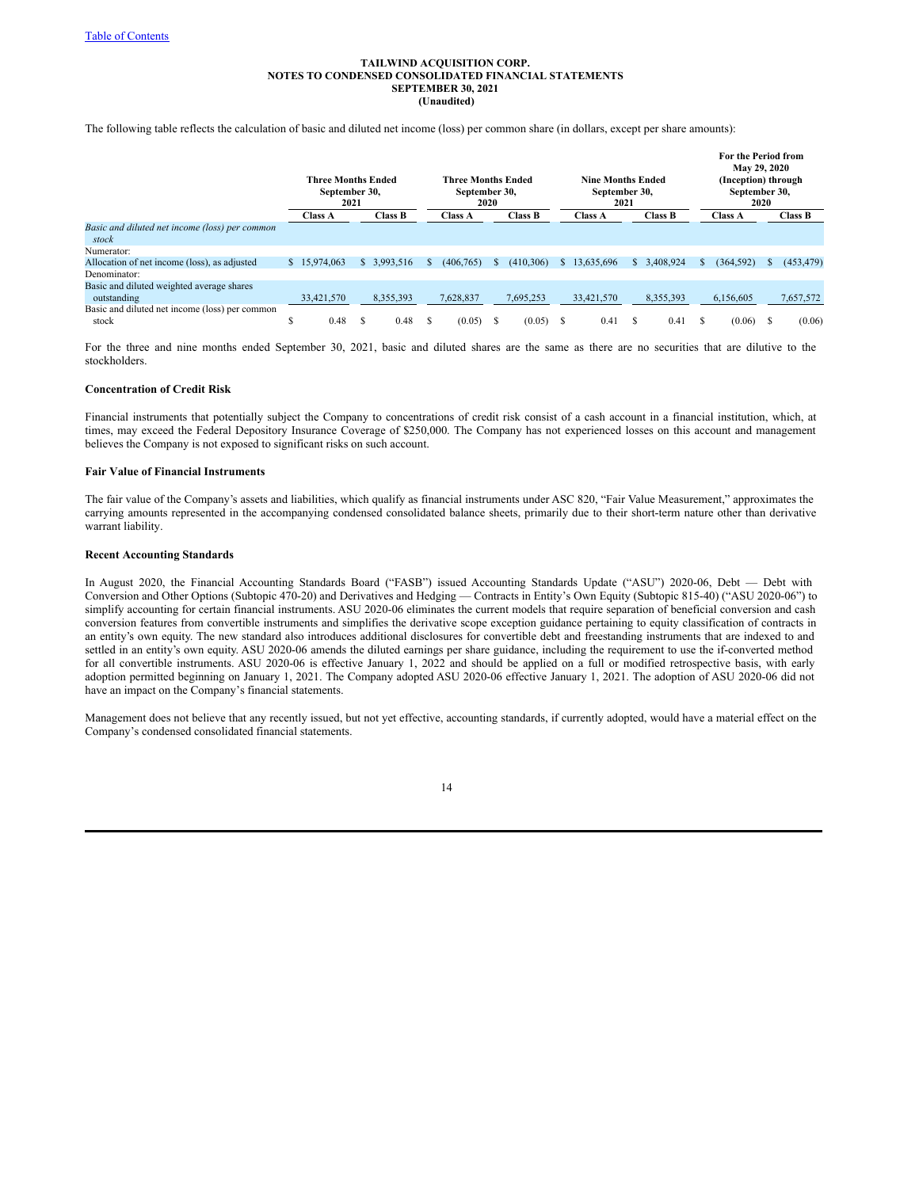The following table reflects the calculation of basic and diluted net income (loss) per common share (in dollars, except per share amounts):

|                                                | <b>Three Months Ended</b><br>September 30,<br>2021 |                |  |                | <b>Three Months Ended</b><br>September 30,<br>2020 |                |    |                |    | <b>Nine Months Ended</b><br>September 30,<br>2021 |    |           |    | For the Period from<br>May 29, 2020<br>(Inception) through<br>September 30,<br>2020 |    |            |  |  |
|------------------------------------------------|----------------------------------------------------|----------------|--|----------------|----------------------------------------------------|----------------|----|----------------|----|---------------------------------------------------|----|-----------|----|-------------------------------------------------------------------------------------|----|------------|--|--|
|                                                |                                                    | <b>Class A</b> |  | <b>Class B</b> |                                                    | <b>Class A</b> |    | <b>Class B</b> |    | <b>Class A</b>                                    |    | Class B   |    | <b>Class A</b>                                                                      |    | Class B    |  |  |
| Basic and diluted net income (loss) per common |                                                    |                |  |                |                                                    |                |    |                |    |                                                   |    |           |    |                                                                                     |    |            |  |  |
| stock                                          |                                                    |                |  |                |                                                    |                |    |                |    |                                                   |    |           |    |                                                                                     |    |            |  |  |
| Numerator:                                     |                                                    |                |  |                |                                                    |                |    |                |    |                                                   |    |           |    |                                                                                     |    |            |  |  |
| Allocation of net income (loss), as adjusted   |                                                    | \$15,974,063   |  | \$3,993,516    | $\mathcal{L}$                                      | (406, 765)     | S. | (410, 306)     | S. | 13,635,696                                        | S. | 3,408,924 | S. | (364, 592)                                                                          | Ъ. | (453, 479) |  |  |
| Denominator:                                   |                                                    |                |  |                |                                                    |                |    |                |    |                                                   |    |           |    |                                                                                     |    |            |  |  |
| Basic and diluted weighted average shares      |                                                    |                |  |                |                                                    |                |    |                |    |                                                   |    |           |    |                                                                                     |    |            |  |  |
| outstanding                                    |                                                    | 33,421,570     |  | 8,355,393      |                                                    | 7,628,837      |    | 7,695,253      |    | 33,421,570                                        |    | 8,355,393 |    | 6,156,605                                                                           |    | 7,657,572  |  |  |
| Basic and diluted net income (loss) per common |                                                    |                |  |                |                                                    |                |    |                |    |                                                   |    |           |    |                                                                                     |    |            |  |  |
| stock                                          | ъ                                                  | 0.48           |  | 0.48           |                                                    | (0.05)         | S  | (0.05)         | S  | 0.41                                              |    | 0.41      | S. | (0.06)                                                                              |    | (0.06)     |  |  |

For the three and nine months ended September 30, 2021, basic and diluted shares are the same as there are no securities that are dilutive to the stockholders.

## **Concentration of Credit Risk**

Financial instruments that potentially subject the Company to concentrations of credit risk consist of a cash account in a financial institution, which, at times, may exceed the Federal Depository Insurance Coverage of \$250,000. The Company has not experienced losses on this account and management believes the Company is not exposed to significant risks on such account.

## **Fair Value of Financial Instruments**

The fair value of the Company's assets and liabilities, which qualify as financial instruments under ASC 820, "Fair Value Measurement," approximates the carrying amounts represented in the accompanying condensed consolidated balance sheets, primarily due to their short-term nature other than derivative warrant liability.

## **Recent Accounting Standards**

In August 2020, the Financial Accounting Standards Board ("FASB") issued Accounting Standards Update ("ASU") 2020-06, Debt — Debt with Conversion and Other Options (Subtopic 470-20) and Derivatives and Hedging — Contracts in Entity's Own Equity (Subtopic 815-40) ("ASU 2020-06") to simplify accounting for certain financial instruments. ASU 2020-06 eliminates the current models that require separation of beneficial conversion and cash conversion features from convertible instruments and simplifies the derivative scope exception guidance pertaining to equity classification of contracts in an entity's own equity. The new standard also introduces additional disclosures for convertible debt and freestanding instruments that are indexed to and settled in an entity's own equity. ASU 2020-06 amends the diluted earnings per share guidance, including the requirement to use the if-converted method for all convertible instruments. ASU 2020-06 is effective January 1, 2022 and should be applied on a full or modified retrospective basis, with early adoption permitted beginning on January 1, 2021. The Company adopted ASU 2020-06 effective January 1, 2021. The adoption of ASU 2020-06 did not have an impact on the Company's financial statements.

Management does not believe that any recently issued, but not yet effective, accounting standards, if currently adopted, would have a material effect on the Company's condensed consolidated financial statements.

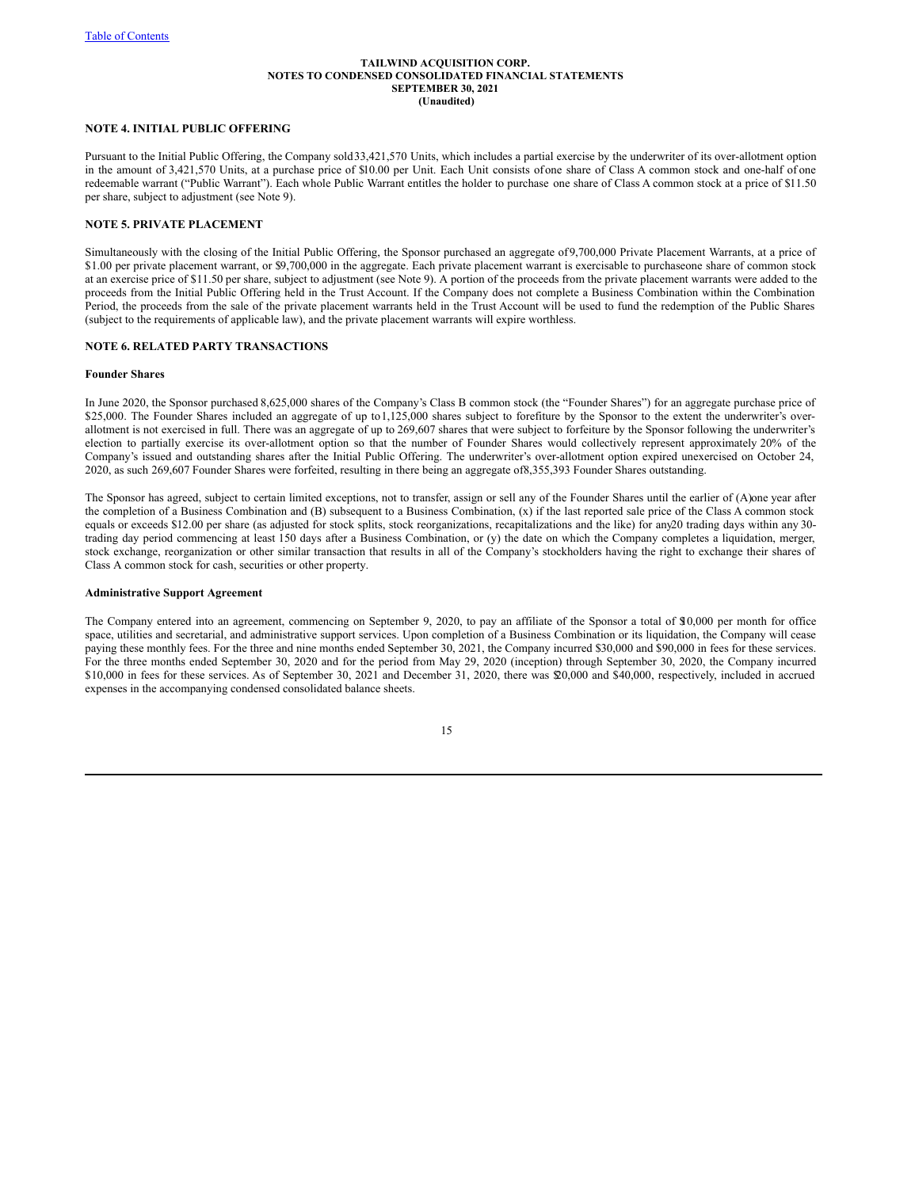## **NOTE 4. INITIAL PUBLIC OFFERING**

Pursuant to the Initial Public Offering, the Company sold33,421,570 Units, which includes a partial exercise by the underwriter of its over-allotment option in the amount of 3,421,570 Units, at a purchase price of \$10.00 per Unit. Each Unit consists ofone share of Class A common stock and one-half of one redeemable warrant ("Public Warrant"). Each whole Public Warrant entitles the holder to purchase one share of Class A common stock at a price of \$11.50 per share, subject to adjustment (see Note 9).

## **NOTE 5. PRIVATE PLACEMENT**

Simultaneously with the closing of the Initial Public Offering, the Sponsor purchased an aggregate of9,700,000 Private Placement Warrants, at a price of \$1.00 per private placement warrant, or \$9,700,000 in the aggregate. Each private placement warrant is exercisable to purchaseone share of common stock at an exercise price of \$11.50 per share, subject to adjustment (see Note 9). A portion of the proceeds from the private placement warrants were added to the proceeds from the Initial Public Offering held in the Trust Account. If the Company does not complete a Business Combination within the Combination Period, the proceeds from the sale of the private placement warrants held in the Trust Account will be used to fund the redemption of the Public Shares (subject to the requirements of applicable law), and the private placement warrants will expire worthless.

## **NOTE 6. RELATED PARTY TRANSACTIONS**

### **Founder Shares**

In June 2020, the Sponsor purchased 8,625,000 shares of the Company's Class B common stock (the "Founder Shares") for an aggregate purchase price of \$25,000. The Founder Shares included an aggregate of up to 1,125,000 shares subject to forefiture by the Sponsor to the extent the underwriter's overallotment is not exercised in full. There was an aggregate of up to 269,607 shares that were subject to forfeiture by the Sponsor following the underwriter's election to partially exercise its over-allotment option so that the number of Founder Shares would collectively represent approximately 20% of the Company's issued and outstanding shares after the Initial Public Offering. The underwriter's over-allotment option expired unexercised on October 24, 2020, as such 269,607 Founder Shares were forfeited, resulting in there being an aggregate of8,355,393 Founder Shares outstanding.

The Sponsor has agreed, subject to certain limited exceptions, not to transfer, assign or sell any of the Founder Shares until the earlier of (A)one year after the completion of a Business Combination and (B) subsequent to a Business Combination, (x) if the last reported sale price of the Class A common stock equals or exceeds \$12.00 per share (as adjusted for stock splits, stock reorganizations, recapitalizations and the like) for any20 trading days within any 30 trading day period commencing at least 150 days after a Business Combination, or (y) the date on which the Company completes a liquidation, merger, stock exchange, reorganization or other similar transaction that results in all of the Company's stockholders having the right to exchange their shares of Class A common stock for cash, securities or other property.

#### **Administrative Support Agreement**

The Company entered into an agreement, commencing on September 9, 2020, to pay an affiliate of the Sponsor a total of \$10,000 per month for office space, utilities and secretarial, and administrative support services. Upon completion of a Business Combination or its liquidation, the Company will cease paying these monthly fees. For the three and nine months ended September 30, 2021, the Company incurred \$30,000 and \$90,000 in fees for these services. For the three months ended September 30, 2020 and for the period from May 29, 2020 (inception) through September 30, 2020, the Company incurred \$10,000 in fees for these services. As of September 30, 2021 and December 31, 2020, there was \$20,000 and \$40,000, respectively, included in accrued expenses in the accompanying condensed consolidated balance sheets.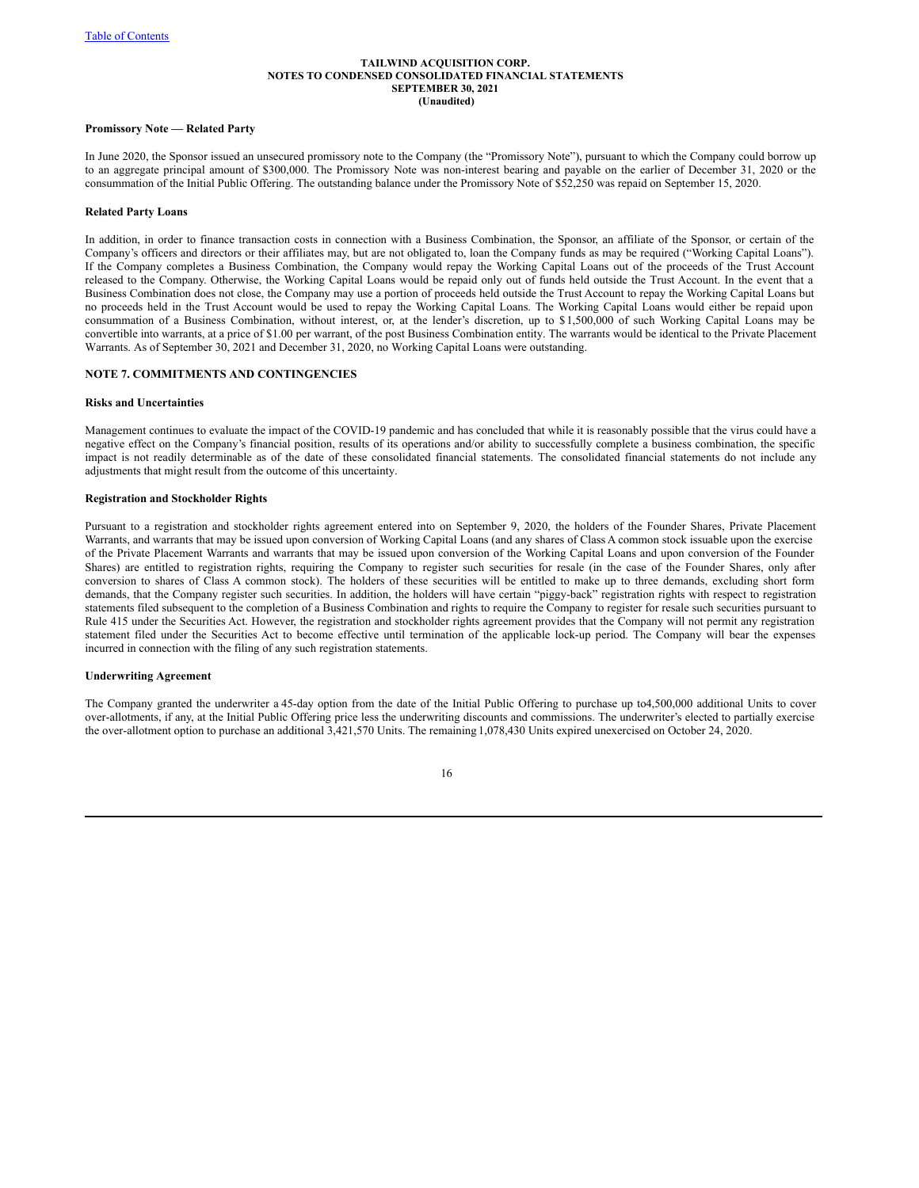#### **Promissory Note — Related Party**

In June 2020, the Sponsor issued an unsecured promissory note to the Company (the "Promissory Note"), pursuant to which the Company could borrow up to an aggregate principal amount of \$300,000. The Promissory Note was non-interest bearing and payable on the earlier of December 31, 2020 or the consummation of the Initial Public Offering. The outstanding balance under the Promissory Note of \$52,250 was repaid on September 15, 2020.

#### **Related Party Loans**

In addition, in order to finance transaction costs in connection with a Business Combination, the Sponsor, an affiliate of the Sponsor, or certain of the Company's officers and directors or their affiliates may, but are not obligated to, loan the Company funds as may be required ("Working Capital Loans"). If the Company completes a Business Combination, the Company would repay the Working Capital Loans out of the proceeds of the Trust Account released to the Company. Otherwise, the Working Capital Loans would be repaid only out of funds held outside the Trust Account. In the event that a Business Combination does not close, the Company may use a portion of proceeds held outside the Trust Account to repay the Working Capital Loans but no proceeds held in the Trust Account would be used to repay the Working Capital Loans. The Working Capital Loans would either be repaid upon consummation of a Business Combination, without interest, or, at the lender's discretion, up to \$ 1,500,000 of such Working Capital Loans may be convertible into warrants, at a price of \$1.00 per warrant, of the post Business Combination entity. The warrants would be identical to the Private Placement Warrants. As of September 30, 2021 and December 31, 2020, no Working Capital Loans were outstanding.

## **NOTE 7. COMMITMENTS AND CONTINGENCIES**

#### **Risks and Uncertainties**

Management continues to evaluate the impact of the COVID-19 pandemic and has concluded that while it is reasonably possible that the virus could have a negative effect on the Company's financial position, results of its operations and/or ability to successfully complete a business combination, the specific impact is not readily determinable as of the date of these consolidated financial statements. The consolidated financial statements do not include any adjustments that might result from the outcome of this uncertainty.

#### **Registration and Stockholder Rights**

Pursuant to a registration and stockholder rights agreement entered into on September 9, 2020, the holders of the Founder Shares, Private Placement Warrants, and warrants that may be issued upon conversion of Working Capital Loans (and any shares of Class A common stock issuable upon the exercise of the Private Placement Warrants and warrants that may be issued upon conversion of the Working Capital Loans and upon conversion of the Founder Shares) are entitled to registration rights, requiring the Company to register such securities for resale (in the case of the Founder Shares, only after conversion to shares of Class A common stock). The holders of these securities will be entitled to make up to three demands, excluding short form demands, that the Company register such securities. In addition, the holders will have certain "piggy-back" registration rights with respect to registration statements filed subsequent to the completion of a Business Combination and rights to require the Company to register for resale such securities pursuant to Rule 415 under the Securities Act. However, the registration and stockholder rights agreement provides that the Company will not permit any registration statement filed under the Securities Act to become effective until termination of the applicable lock-up period. The Company will bear the expenses incurred in connection with the filing of any such registration statements.

## **Underwriting Agreement**

The Company granted the underwriter a 45-day option from the date of the Initial Public Offering to purchase up to4,500,000 additional Units to cover over-allotments, if any, at the Initial Public Offering price less the underwriting discounts and commissions. The underwriter's elected to partially exercise the over-allotment option to purchase an additional 3,421,570 Units. The remaining 1,078,430 Units expired unexercised on October 24, 2020.

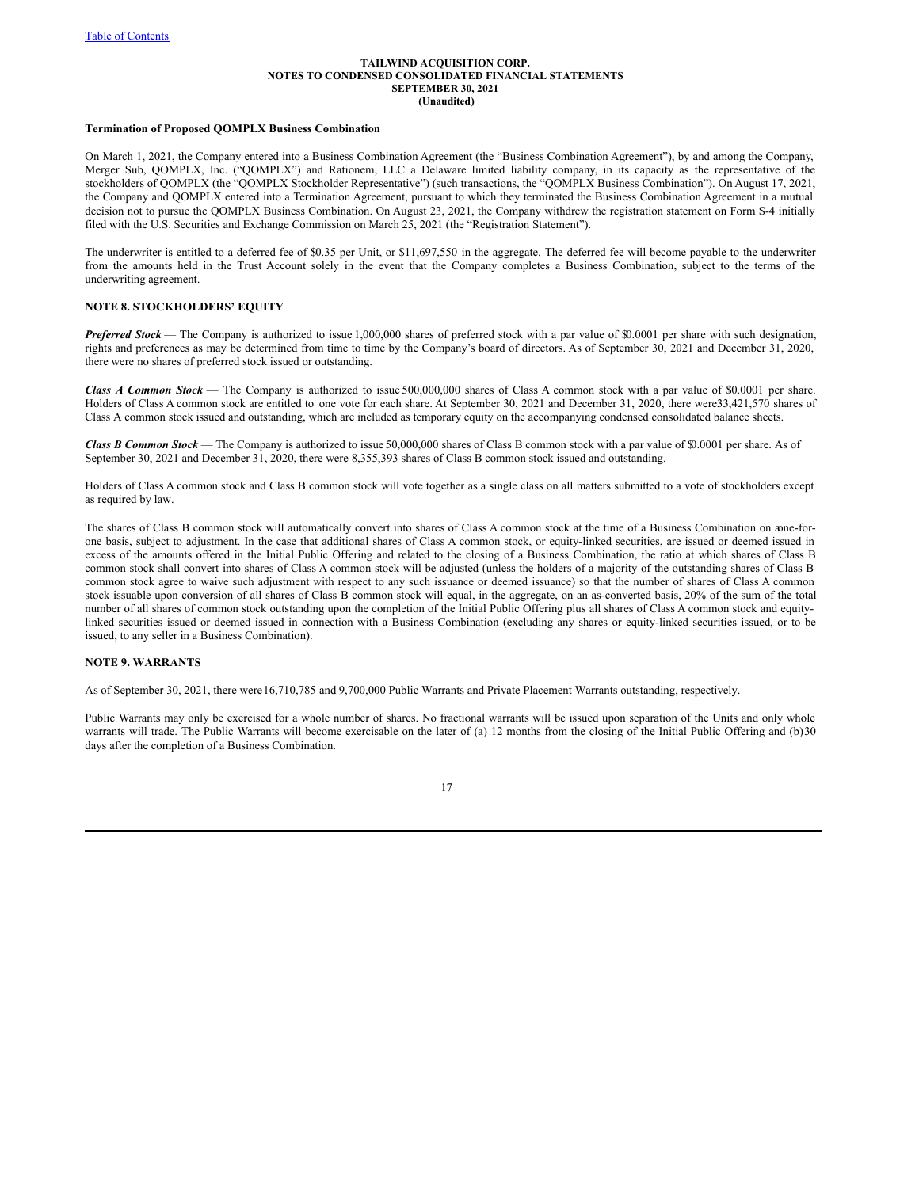## **Termination of Proposed QOMPLX Business Combination**

On March 1, 2021, the Company entered into a Business Combination Agreement (the "Business Combination Agreement"), by and among the Company, Merger Sub, QOMPLX, Inc. ("QOMPLX") and Rationem, LLC a Delaware limited liability company, in its capacity as the representative of the stockholders of QOMPLX (the "QOMPLX Stockholder Representative") (such transactions, the "QOMPLX Business Combination"). On August 17, 2021, the Company and QOMPLX entered into a Termination Agreement, pursuant to which they terminated the Business Combination Agreement in a mutual decision not to pursue the QOMPLX Business Combination. On August 23, 2021, the Company withdrew the registration statement on Form S-4 initially filed with the U.S. Securities and Exchange Commission on March 25, 2021 (the "Registration Statement").

The underwriter is entitled to a deferred fee of \$0.35 per Unit, or \$11,697,550 in the aggregate. The deferred fee will become payable to the underwriter from the amounts held in the Trust Account solely in the event that the Company completes a Business Combination, subject to the terms of the underwriting agreement.

## **NOTE 8. STOCKHOLDERS' EQUITY**

*Preferred Stock* — The Company is authorized to issue 1,000,000 shares of preferred stock with a par value of \$0.0001 per share with such designation, rights and preferences as may be determined from time to time by the Company's board of directors. As of September 30, 2021 and December 31, 2020, there were no shares of preferred stock issued or outstanding.

*Class A Common Stock* — The Company is authorized to issue 500,000,000 shares of Class A common stock with a par value of \$0.0001 per share. Holders of Class A common stock are entitled to one vote for each share. At September 30, 2021 and December 31, 2020, there were33,421,570 shares of Class A common stock issued and outstanding, which are included as temporary equity on the accompanying condensed consolidated balance sheets.

*Class B Common Stock* — The Company is authorized to issue 50,000,000 shares of Class B common stock with a par value of \$0.0001 per share. As of September 30, 2021 and December 31, 2020, there were 8,355,393 shares of Class B common stock issued and outstanding.

Holders of Class A common stock and Class B common stock will vote together as a single class on all matters submitted to a vote of stockholders except as required by law.

The shares of Class B common stock will automatically convert into shares of Class A common stock at the time of a Business Combination on aone-forone basis, subject to adjustment. In the case that additional shares of Class A common stock, or equity-linked securities, are issued or deemed issued in excess of the amounts offered in the Initial Public Offering and related to the closing of a Business Combination, the ratio at which shares of Class B common stock shall convert into shares of Class A common stock will be adjusted (unless the holders of a majority of the outstanding shares of Class B common stock agree to waive such adjustment with respect to any such issuance or deemed issuance) so that the number of shares of Class A common stock issuable upon conversion of all shares of Class B common stock will equal, in the aggregate, on an as-converted basis, 20% of the sum of the total number of all shares of common stock outstanding upon the completion of the Initial Public Offering plus all shares of Class A common stock and equitylinked securities issued or deemed issued in connection with a Business Combination (excluding any shares or equity-linked securities issued, or to be issued, to any seller in a Business Combination).

## **NOTE 9. WARRANTS**

As of September 30, 2021, there were16,710,785 and 9,700,000 Public Warrants and Private Placement Warrants outstanding, respectively.

Public Warrants may only be exercised for a whole number of shares. No fractional warrants will be issued upon separation of the Units and only whole warrants will trade. The Public Warrants will become exercisable on the later of (a) 12 months from the closing of the Initial Public Offering and (b)30 days after the completion of a Business Combination.

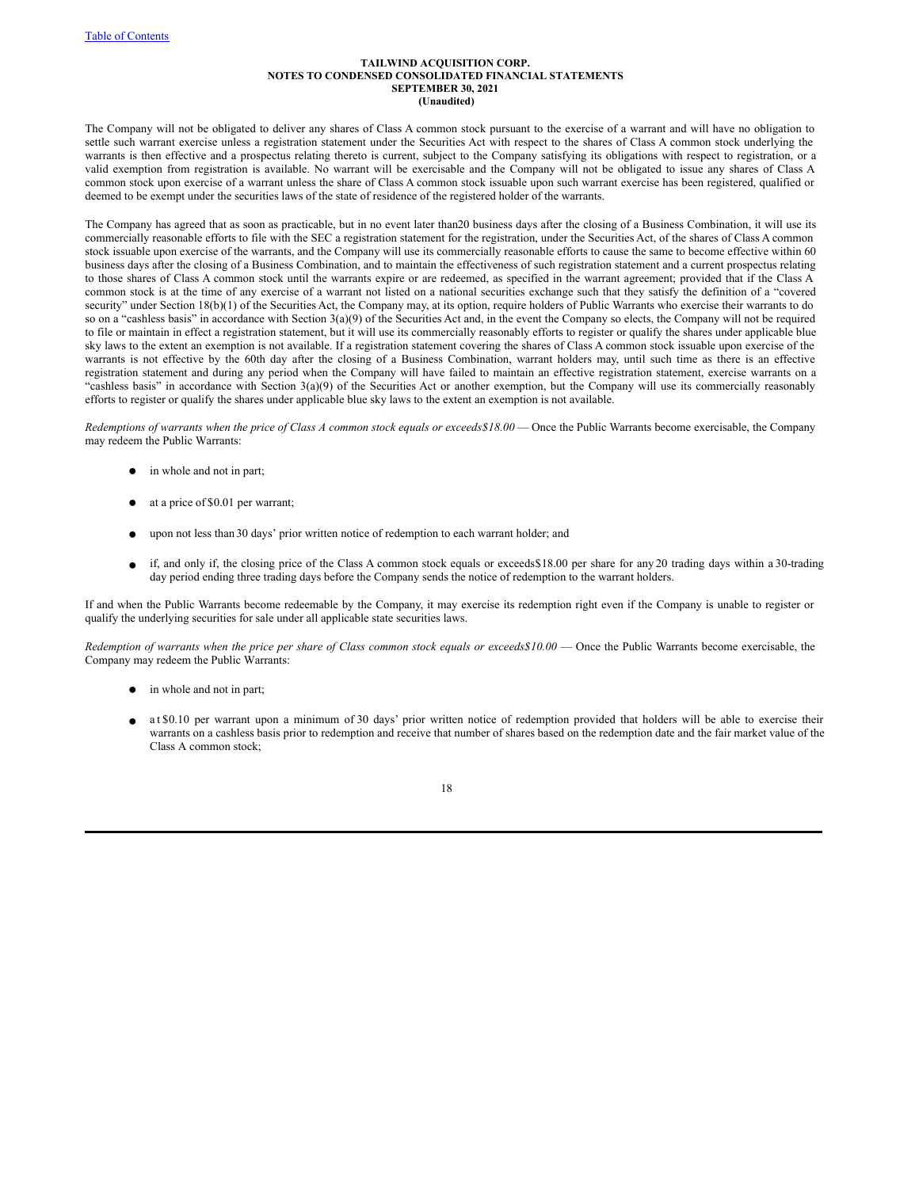The Company will not be obligated to deliver any shares of Class A common stock pursuant to the exercise of a warrant and will have no obligation to settle such warrant exercise unless a registration statement under the Securities Act with respect to the shares of Class A common stock underlying the warrants is then effective and a prospectus relating thereto is current, subject to the Company satisfying its obligations with respect to registration, or a valid exemption from registration is available. No warrant will be exercisable and the Company will not be obligated to issue any shares of Class A common stock upon exercise of a warrant unless the share of Class A common stock issuable upon such warrant exercise has been registered, qualified or deemed to be exempt under the securities laws of the state of residence of the registered holder of the warrants.

The Company has agreed that as soon as practicable, but in no event later than20 business days after the closing of a Business Combination, it will use its commercially reasonable efforts to file with the SEC a registration statement for the registration, under the Securities Act, of the shares of Class A common stock issuable upon exercise of the warrants, and the Company will use its commercially reasonable efforts to cause the same to become effective within 60 business days after the closing of a Business Combination, and to maintain the effectiveness of such registration statement and a current prospectus relating to those shares of Class A common stock until the warrants expire or are redeemed, as specified in the warrant agreement; provided that if the Class A common stock is at the time of any exercise of a warrant not listed on a national securities exchange such that they satisfy the definition of a "covered security" under Section 18(b)(1) of the Securities Act, the Company may, at its option, require holders of Public Warrants who exercise their warrants to do so on a "cashless basis" in accordance with Section 3(a)(9) of the Securities Act and, in the event the Company so elects, the Company will not be required to file or maintain in effect a registration statement, but it will use its commercially reasonably efforts to register or qualify the shares under applicable blue sky laws to the extent an exemption is not available. If a registration statement covering the shares of Class A common stock issuable upon exercise of the warrants is not effective by the 60th day after the closing of a Business Combination, warrant holders may, until such time as there is an effective registration statement and during any period when the Company will have failed to maintain an effective registration statement, exercise warrants on a "cashless basis" in accordance with Section 3(a)(9) of the Securities Act or another exemption, but the Company will use its commercially reasonably efforts to register or qualify the shares under applicable blue sky laws to the extent an exemption is not available.

Redemptions of warrants when the price of Class A common stock equals or exceeds \$18.00 - Once the Public Warrants become exercisable, the Company may redeem the Public Warrants:

- in whole and not in part;
- at a price of \$0.01 per warrant;
- upon not less than 30 days' prior written notice of redemption to each warrant holder; and
- if, and only if, the closing price of the Class A common stock equals or exceeds\$18.00 per share for any 20 trading days within a 30-trading day period ending three trading days before the Company sends the notice of redemption to the warrant holders.

If and when the Public Warrants become redeemable by the Company, it may exercise its redemption right even if the Company is unable to register or qualify the underlying securities for sale under all applicable state securities laws.

Redemption of warrants when the price per share of Class common stock equals or exceeds\$10.00 — Once the Public Warrants become exercisable, the Company may redeem the Public Warrants:

- in whole and not in part;
- at \$0.10 per warrant upon a minimum of 30 days' prior written notice of redemption provided that holders will be able to exercise their warrants on a cashless basis prior to redemption and receive that number of shares based on the redemption date and the fair market value of the Class A common stock;

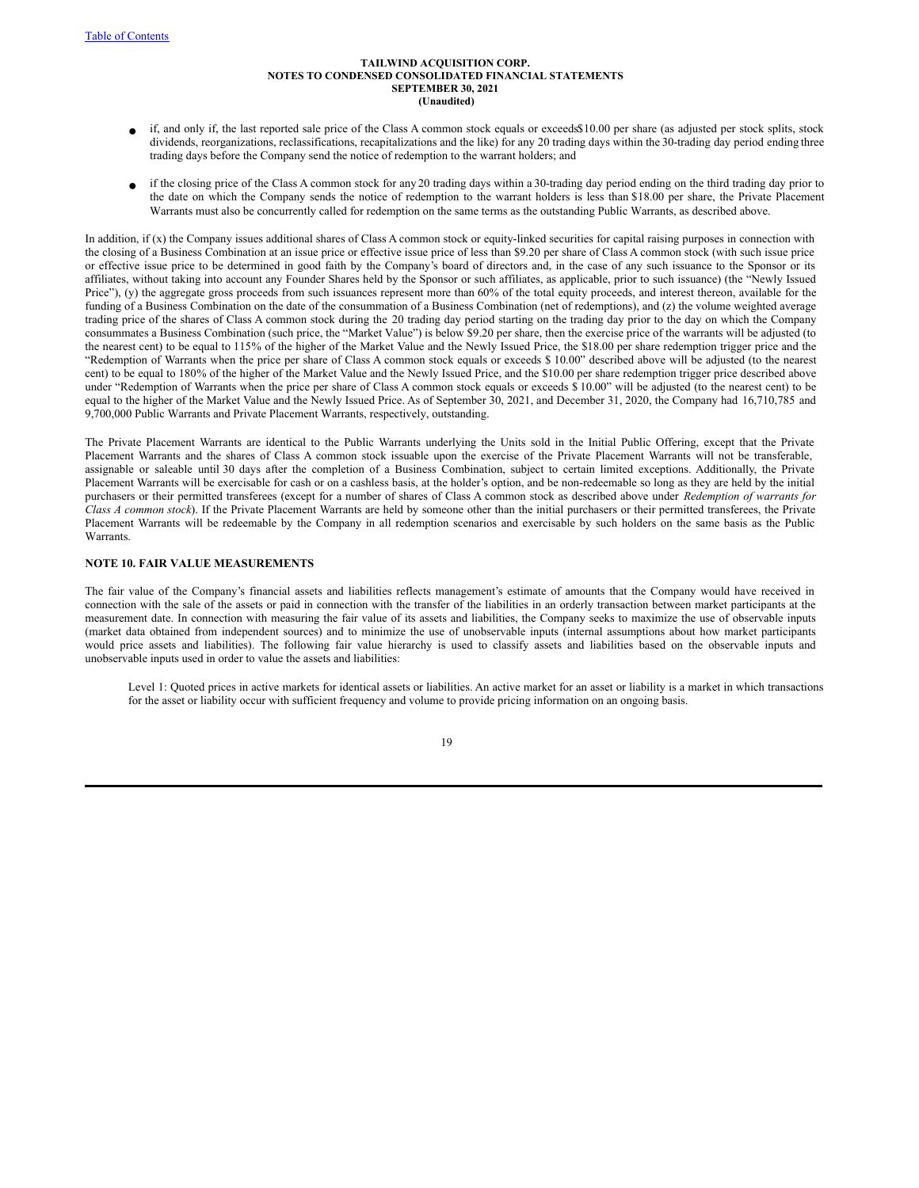- if, and only if, the last reported sale price of the Class A common stock equals or exceeds\$10.00 per share (as adjusted per stock splits, stock dividends, reorganizations, reclassifications, recapitalizations and the like) for any 20 trading days within the 30-trading day period ending three trading days before the Company send the notice of redemption to the warrant holders; and
- if the closing price of the Class A common stock for any 20 trading days within a 30-trading day period ending on the third trading day prior to the date on which the Company sends the notice of redemption to the warrant holders is less than \$18.00 per share, the Private Placement Warrants must also be concurrently called for redemption on the same terms as the outstanding Public Warrants, as described above.

In addition, if (x) the Company issues additional shares of Class A common stock or equity-linked securities for capital raising purposes in connection with the closing of a Business Combination at an issue price or effective issue price of less than \$9.20 per share of Class A common stock (with such issue price or effective issue price to be determined in good faith by the Company's board of directors and, in the case of any such issuance to the Sponsor or its affiliates, without taking into account any Founder Shares held by the Sponsor or such affiliates, as applicable, prior to such issuance) (the "Newly Issued Price"), (y) the aggregate gross proceeds from such issuances represent more than 60% of the total equity proceeds, and interest thereon, available for the funding of a Business Combination on the date of the consummation of a Business Combination (net of redemptions), and (z) the volume weighted average trading price of the shares of Class A common stock during the 20 trading day period starting on the trading day prior to the day on which the Company consummates a Business Combination (such price, the "Market Value") is below \$9.20 per share, then the exercise price of the warrants will be adjusted (to the nearest cent) to be equal to 115% of the higher of the Market Value and the Newly Issued Price, the \$18.00 per share redemption trigger price and the "Redemption of Warrants when the price per share of Class A common stock equals or exceeds \$ 10.00" described above will be adjusted (to the nearest cent) to be equal to 180% of the higher of the Market Value and the Newly Issued Price, and the \$10.00 per share redemption trigger price described above under "Redemption of Warrants when the price per share of Class A common stock equals or exceeds \$ 10.00" will be adjusted (to the nearest cent) to be equal to the higher of the Market Value and the Newly Issued Price. As of September 30, 2021, and December 31, 2020, the Company had 16,710,785 and 9,700,000 Public Warrants and Private Placement Warrants, respectively, outstanding.

The Private Placement Warrants are identical to the Public Warrants underlying the Units sold in the Initial Public Offering, except that the Private Placement Warrants and the shares of Class A common stock issuable upon the exercise of the Private Placement Warrants will not be transferable, assignable or saleable until 30 days after the completion of a Business Combination, subject to certain limited exceptions. Additionally, the Private Placement Warrants will be exercisable for cash or on a cashless basis, at the holder's option, and be non-redeemable so long as they are held by the initial purchasers or their permitted transferees (except for a number of shares of Class A common stock as described above under *Redemption of warrants for Class A common stock*). If the Private Placement Warrants are held by someone other than the initial purchasers or their permitted transferees, the Private Placement Warrants will be redeemable by the Company in all redemption scenarios and exercisable by such holders on the same basis as the Public **Warrants** 

## **NOTE 10. FAIR VALUE MEASUREMENTS**

The fair value of the Company's financial assets and liabilities reflects management's estimate of amounts that the Company would have received in connection with the sale of the assets or paid in connection with the transfer of the liabilities in an orderly transaction between market participants at the measurement date. In connection with measuring the fair value of its assets and liabilities, the Company seeks to maximize the use of observable inputs (market data obtained from independent sources) and to minimize the use of unobservable inputs (internal assumptions about how market participants would price assets and liabilities). The following fair value hierarchy is used to classify assets and liabilities based on the observable inputs and unobservable inputs used in order to value the assets and liabilities:

Level 1: Quoted prices in active markets for identical assets or liabilities. An active market for an asset or liability is a market in which transactions for the asset or liability occur with sufficient frequency and volume to provide pricing information on an ongoing basis.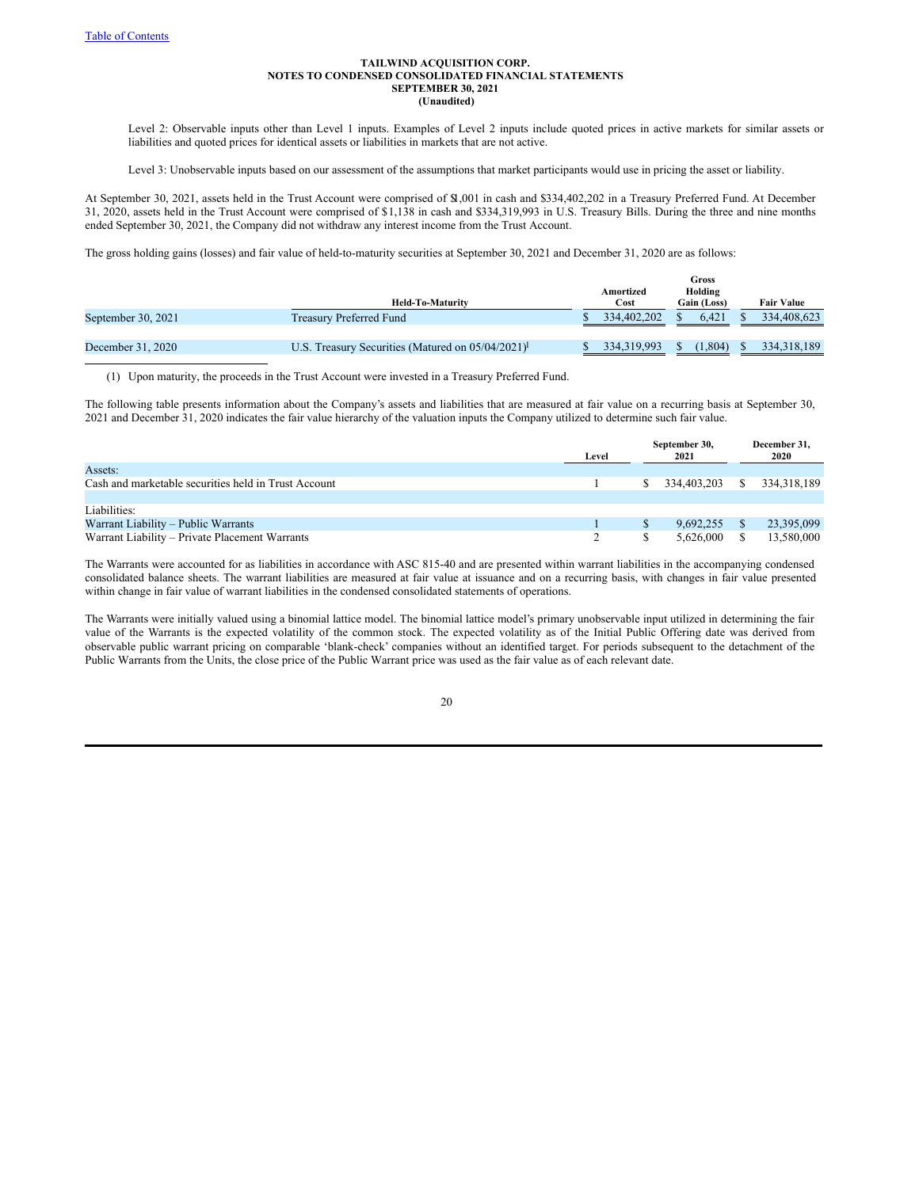Level 2: Observable inputs other than Level 1 inputs. Examples of Level 2 inputs include quoted prices in active markets for similar assets or liabilities and quoted prices for identical assets or liabilities in markets that are not active.

Level 3: Unobservable inputs based on our assessment of the assumptions that market participants would use in pricing the asset or liability.

At September 30, 2021, assets held in the Trust Account were comprised of \$1,001 in cash and \$334,402,202 in a Treasury Preferred Fund. At December 31, 2020, assets held in the Trust Account were comprised of \$1,138 in cash and \$334,319,993 in U.S. Treasury Bills. During the three and nine months ended September 30, 2021, the Company did not withdraw any interest income from the Trust Account.

The gross holding gains (losses) and fair value of held-to-maturity securities at September 30, 2021 and December 31, 2020 are as follows:

|                    |                                                                                    |               | Gross |             |                   |
|--------------------|------------------------------------------------------------------------------------|---------------|-------|-------------|-------------------|
|                    |                                                                                    | Amortized     |       | Holding     |                   |
|                    | <b>Held-To-Maturity</b>                                                            | Cost          |       | Gain (Loss) | <b>Fair Value</b> |
| September 30, 2021 | <b>Treasury Preferred Fund</b>                                                     | 334,402,202   |       | 6.421       | 334,408,623       |
|                    |                                                                                    |               |       |             |                   |
| December 31, 2020  | U.S. Treasury Securities (Matured on $05/04/2021$ <sup><math>\text{F}</math></sup> | 334, 319, 993 |       | 1.804)      | 334, 318, 189     |

(1) Upon maturity, the proceeds in the Trust Account were invested in a Treasury Preferred Fund.

The following table presents information about the Company's assets and liabilities that are measured at fair value on a recurring basis at September 30, 2021 and December 31, 2020 indicates the fair value hierarchy of the valuation inputs the Company utilized to determine such fair value.

|                                                      | Level | September 30,<br>2021 | December 31,<br>2020 |  |
|------------------------------------------------------|-------|-----------------------|----------------------|--|
| Assets:                                              |       |                       |                      |  |
| Cash and marketable securities held in Trust Account |       | 334.403.203           | 334, 318, 189        |  |
|                                                      |       |                       |                      |  |
| Liabilities:                                         |       |                       |                      |  |
| Warrant Liability – Public Warrants                  |       | 9.692.255             | 23,395,099           |  |
| Warrant Liability – Private Placement Warrants       |       | 5.626,000             | 13,580,000           |  |

The Warrants were accounted for as liabilities in accordance with ASC 815-40 and are presented within warrant liabilities in the accompanying condensed consolidated balance sheets. The warrant liabilities are measured at fair value at issuance and on a recurring basis, with changes in fair value presented within change in fair value of warrant liabilities in the condensed consolidated statements of operations.

The Warrants were initially valued using a binomial lattice model. The binomial lattice model's primary unobservable input utilized in determining the fair value of the Warrants is the expected volatility of the common stock. The expected volatility as of the Initial Public Offering date was derived from observable public warrant pricing on comparable 'blank-check' companies without an identified target. For periods subsequent to the detachment of the Public Warrants from the Units, the close price of the Public Warrant price was used as the fair value as of each relevant date.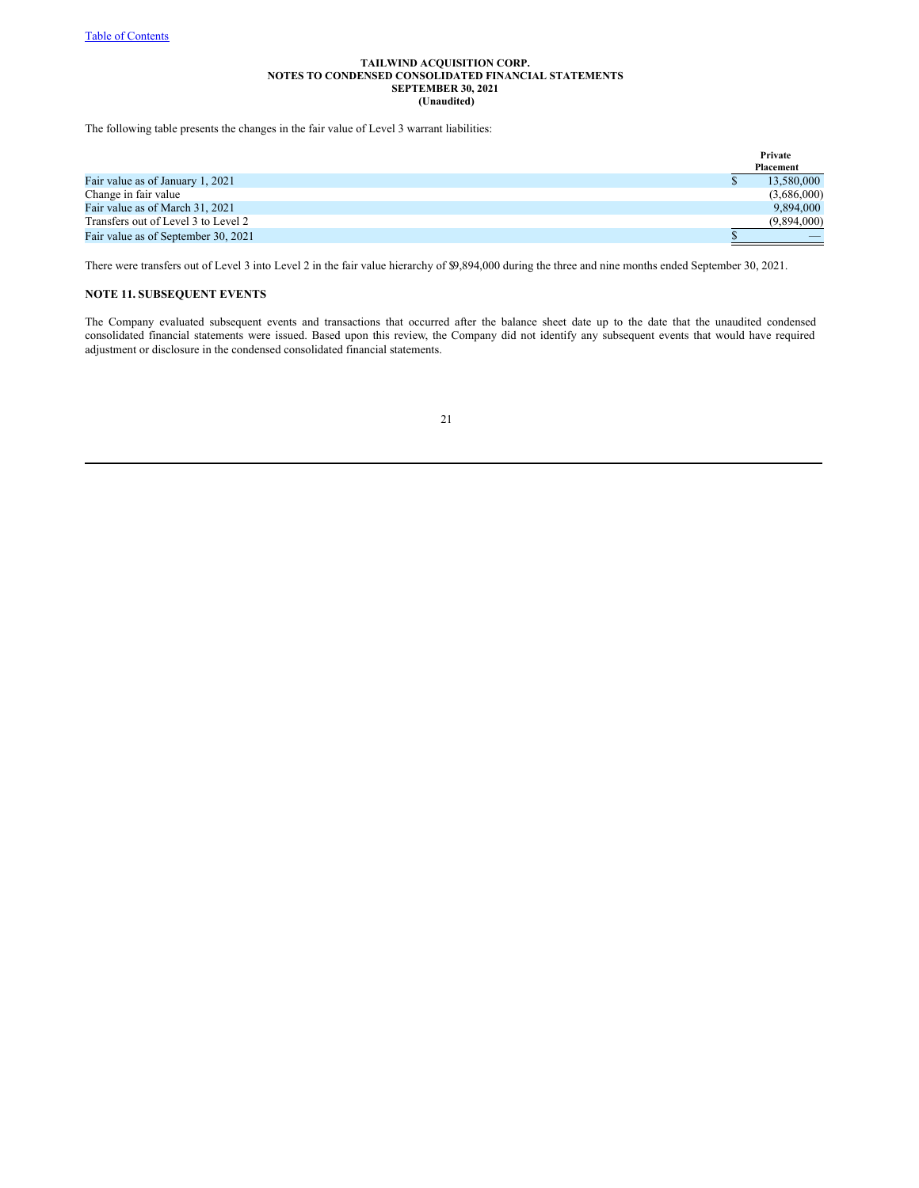The following table presents the changes in the fair value of Level 3 warrant liabilities:

|                                     | Private     |  |
|-------------------------------------|-------------|--|
|                                     | Placement   |  |
| Fair value as of January 1, 2021    | 13,580,000  |  |
| Change in fair value                | (3,686,000) |  |
| Fair value as of March 31, 2021     | 9.894,000   |  |
| Transfers out of Level 3 to Level 2 | (9.894.000) |  |
| Fair value as of September 30, 2021 |             |  |

There were transfers out of Level 3 into Level 2 in the fair value hierarchy of \$9,894,000 during the three and nine months ended September 30, 2021.

# **NOTE 11. SUBSEQUENT EVENTS**

The Company evaluated subsequent events and transactions that occurred after the balance sheet date up to the date that the unaudited condensed consolidated financial statements were issued. Based upon this review, the Company did not identify any subsequent events that would have required adjustment or disclosure in the condensed consolidated financial statements.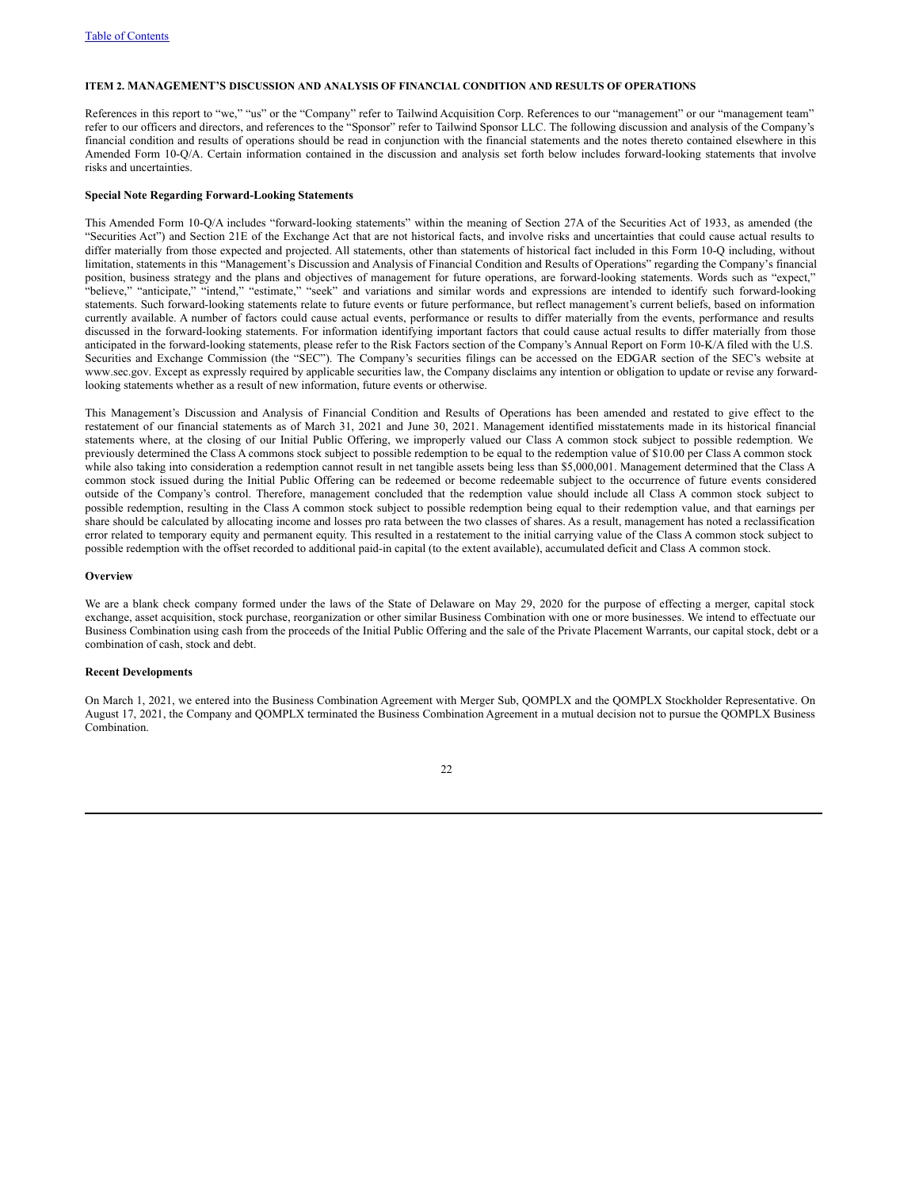## **ITEM 2. MANAGEMENT'S DISCUSSION AND ANALYSIS OF FINANCIAL CONDITION AND RESULTS OF OPERATIONS**

References in this report to "we," "us" or the "Company" refer to Tailwind Acquisition Corp. References to our "management" or our "management team" refer to our officers and directors, and references to the "Sponsor" refer to Tailwind Sponsor LLC. The following discussion and analysis of the Company's financial condition and results of operations should be read in conjunction with the financial statements and the notes thereto contained elsewhere in this Amended Form 10-Q/A. Certain information contained in the discussion and analysis set forth below includes forward-looking statements that involve risks and uncertainties.

## **Special Note Regarding Forward-Looking Statements**

This Amended Form 10-Q/A includes "forward-looking statements" within the meaning of Section 27A of the Securities Act of 1933, as amended (the "Securities Act") and Section 21E of the Exchange Act that are not historical facts, and involve risks and uncertainties that could cause actual results to differ materially from those expected and projected. All statements, other than statements of historical fact included in this Form 10-Q including, without limitation, statements in this "Management's Discussion and Analysis of Financial Condition and Results of Operations" regarding the Company's financial position, business strategy and the plans and objectives of management for future operations, are forward-looking statements. Words such as "expect," "believe," "anticipate," "intend," "estimate," "seek" and variations and similar words and expressions are intended to identify such forward-looking statements. Such forward-looking statements relate to future events or future performance, but reflect management's current beliefs, based on information currently available. A number of factors could cause actual events, performance or results to differ materially from the events, performance and results discussed in the forward-looking statements. For information identifying important factors that could cause actual results to differ materially from those anticipated in the forward-looking statements, please refer to the Risk Factors section of the Company's Annual Report on Form 10-K/A filed with the U.S. Securities and Exchange Commission (the "SEC"). The Company's securities filings can be accessed on the EDGAR section of the SEC's website at www.sec.gov. Except as expressly required by applicable securities law, the Company disclaims any intention or obligation to update or revise any forwardlooking statements whether as a result of new information, future events or otherwise.

This Management's Discussion and Analysis of Financial Condition and Results of Operations has been amended and restated to give effect to the restatement of our financial statements as of March 31, 2021 and June 30, 2021. Management identified misstatements made in its historical financial statements where, at the closing of our Initial Public Offering, we improperly valued our Class A common stock subject to possible redemption. We previously determined the Class A commons stock subject to possible redemption to be equal to the redemption value of \$10.00 per Class A common stock while also taking into consideration a redemption cannot result in net tangible assets being less than \$5,000,001. Management determined that the Class A common stock issued during the Initial Public Offering can be redeemed or become redeemable subject to the occurrence of future events considered outside of the Company's control. Therefore, management concluded that the redemption value should include all Class A common stock subject to possible redemption, resulting in the Class A common stock subject to possible redemption being equal to their redemption value, and that earnings per share should be calculated by allocating income and losses pro rata between the two classes of shares. As a result, management has noted a reclassification error related to temporary equity and permanent equity. This resulted in a restatement to the initial carrying value of the Class A common stock subject to possible redemption with the offset recorded to additional paid-in capital (to the extent available), accumulated deficit and Class A common stock.

#### **Overview**

We are a blank check company formed under the laws of the State of Delaware on May 29, 2020 for the purpose of effecting a merger, capital stock exchange, asset acquisition, stock purchase, reorganization or other similar Business Combination with one or more businesses. We intend to effectuate our Business Combination using cash from the proceeds of the Initial Public Offering and the sale of the Private Placement Warrants, our capital stock, debt or a combination of cash, stock and debt.

### **Recent Developments**

On March 1, 2021, we entered into the Business Combination Agreement with Merger Sub, QOMPLX and the QOMPLX Stockholder Representative. On August 17, 2021, the Company and QOMPLX terminated the Business Combination Agreement in a mutual decision not to pursue the QOMPLX Business Combination.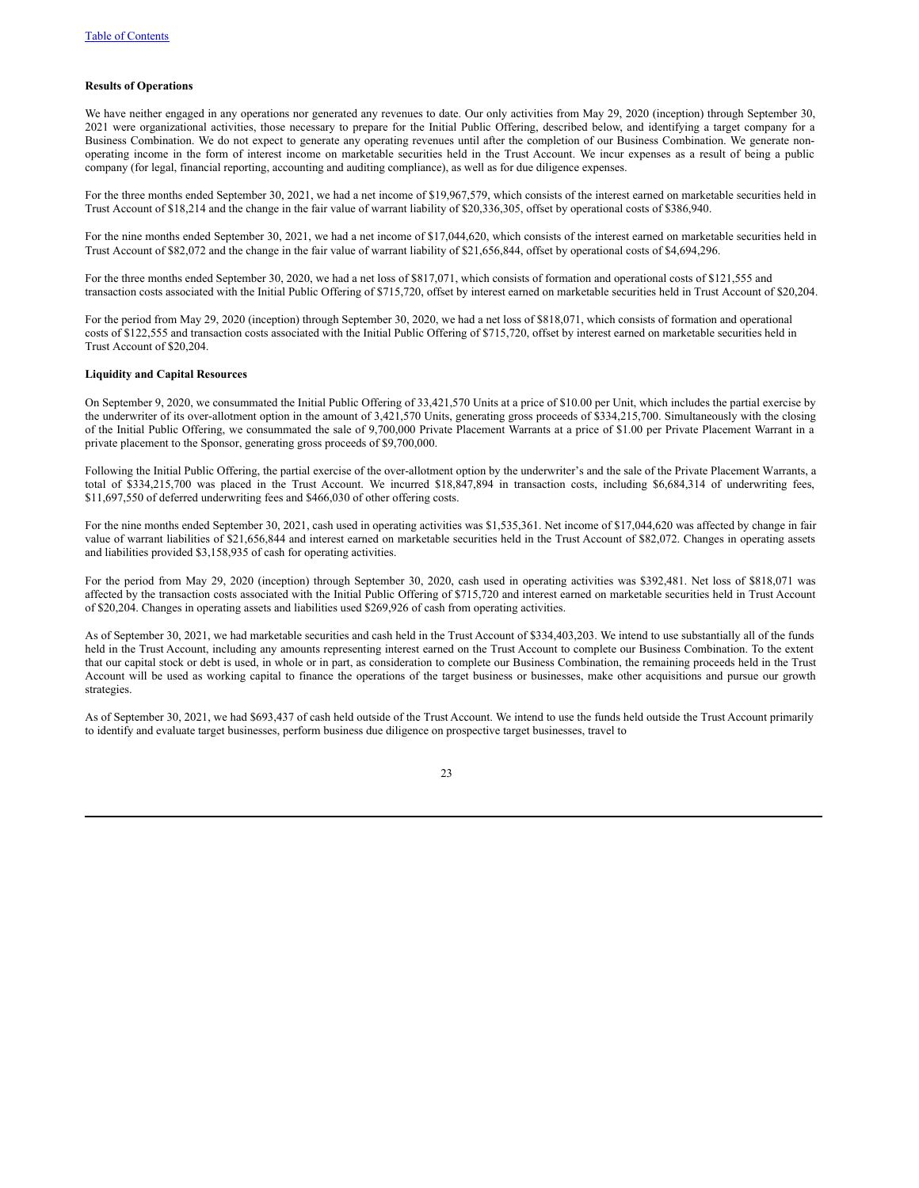## **Results of Operations**

We have neither engaged in any operations nor generated any revenues to date. Our only activities from May 29, 2020 (inception) through September 30, 2021 were organizational activities, those necessary to prepare for the Initial Public Offering, described below, and identifying a target company for a Business Combination. We do not expect to generate any operating revenues until after the completion of our Business Combination. We generate nonoperating income in the form of interest income on marketable securities held in the Trust Account. We incur expenses as a result of being a public company (for legal, financial reporting, accounting and auditing compliance), as well as for due diligence expenses.

For the three months ended September 30, 2021, we had a net income of \$19,967,579, which consists of the interest earned on marketable securities held in Trust Account of \$18,214 and the change in the fair value of warrant liability of \$20,336,305, offset by operational costs of \$386,940.

For the nine months ended September 30, 2021, we had a net income of \$17,044,620, which consists of the interest earned on marketable securities held in Trust Account of \$82,072 and the change in the fair value of warrant liability of \$21,656,844, offset by operational costs of \$4,694,296.

For the three months ended September 30, 2020, we had a net loss of \$817,071, which consists of formation and operational costs of \$121,555 and transaction costs associated with the Initial Public Offering of \$715,720, offset by interest earned on marketable securities held in Trust Account of \$20,204.

For the period from May 29, 2020 (inception) through September 30, 2020, we had a net loss of \$818,071, which consists of formation and operational costs of \$122,555 and transaction costs associated with the Initial Public Offering of \$715,720, offset by interest earned on marketable securities held in Trust Account of \$20,204.

### **Liquidity and Capital Resources**

On September 9, 2020, we consummated the Initial Public Offering of 33,421,570 Units at a price of \$10.00 per Unit, which includes the partial exercise by the underwriter of its over-allotment option in the amount of 3,421,570 Units, generating gross proceeds of \$334,215,700. Simultaneously with the closing of the Initial Public Offering, we consummated the sale of 9,700,000 Private Placement Warrants at a price of \$1.00 per Private Placement Warrant in a private placement to the Sponsor, generating gross proceeds of \$9,700,000.

Following the Initial Public Offering, the partial exercise of the over-allotment option by the underwriter's and the sale of the Private Placement Warrants, a total of \$334,215,700 was placed in the Trust Account. We incurred \$18,847,894 in transaction costs, including \$6,684,314 of underwriting fees, \$11,697,550 of deferred underwriting fees and \$466,030 of other offering costs.

For the nine months ended September 30, 2021, cash used in operating activities was \$1,535,361. Net income of \$17,044,620 was affected by change in fair value of warrant liabilities of \$21,656,844 and interest earned on marketable securities held in the Trust Account of \$82,072. Changes in operating assets and liabilities provided \$3,158,935 of cash for operating activities.

For the period from May 29, 2020 (inception) through September 30, 2020, cash used in operating activities was \$392,481. Net loss of \$818,071 was affected by the transaction costs associated with the Initial Public Offering of \$715,720 and interest earned on marketable securities held in Trust Account of \$20,204. Changes in operating assets and liabilities used \$269,926 of cash from operating activities.

As of September 30, 2021, we had marketable securities and cash held in the Trust Account of \$334,403,203. We intend to use substantially all of the funds held in the Trust Account, including any amounts representing interest earned on the Trust Account to complete our Business Combination. To the extent that our capital stock or debt is used, in whole or in part, as consideration to complete our Business Combination, the remaining proceeds held in the Trust Account will be used as working capital to finance the operations of the target business or businesses, make other acquisitions and pursue our growth strategies.

As of September 30, 2021, we had \$693,437 of cash held outside of the Trust Account. We intend to use the funds held outside the Trust Account primarily to identify and evaluate target businesses, perform business due diligence on prospective target businesses, travel to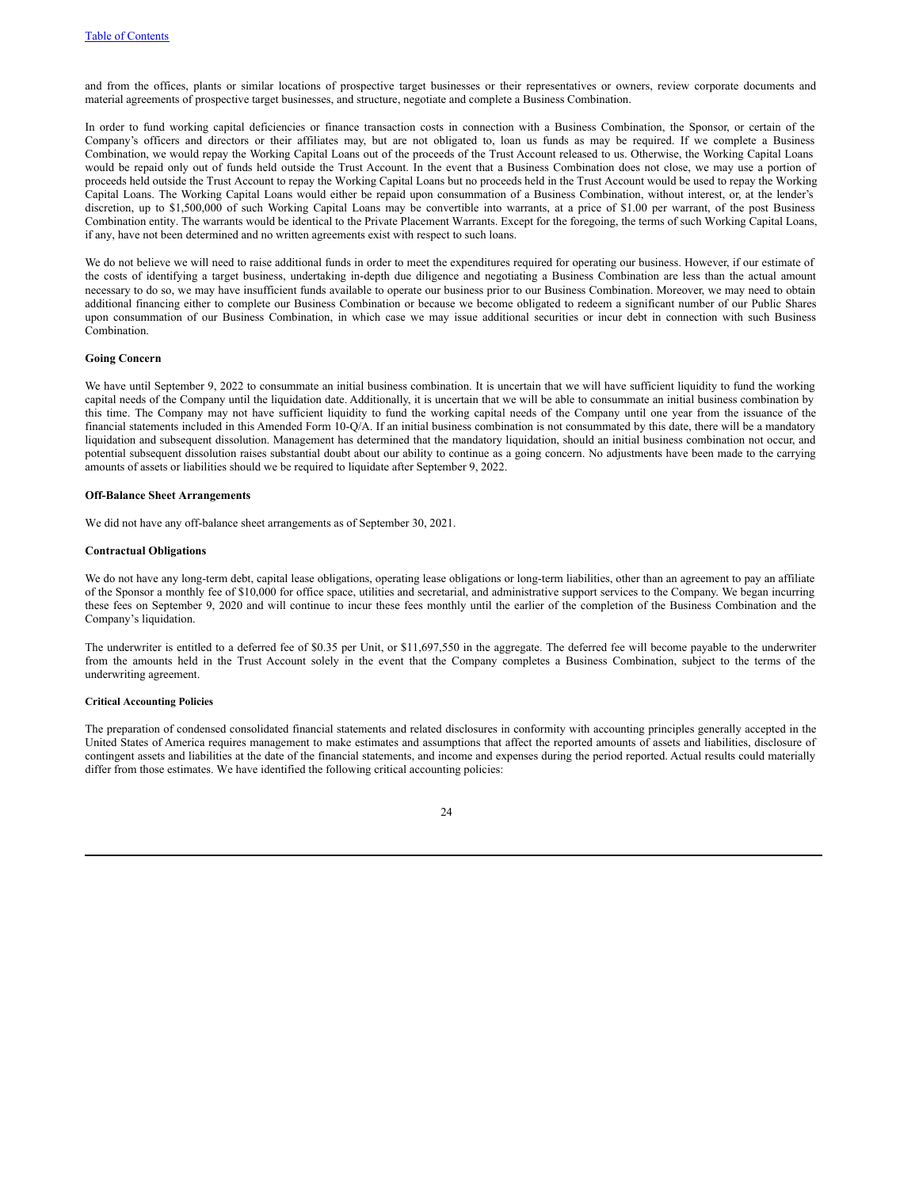and from the offices, plants or similar locations of prospective target businesses or their representatives or owners, review corporate documents and material agreements of prospective target businesses, and structure, negotiate and complete a Business Combination.

In order to fund working capital deficiencies or finance transaction costs in connection with a Business Combination, the Sponsor, or certain of the Company's officers and directors or their affiliates may, but are not obligated to, loan us funds as may be required. If we complete a Business Combination, we would repay the Working Capital Loans out of the proceeds of the Trust Account released to us. Otherwise, the Working Capital Loans would be repaid only out of funds held outside the Trust Account. In the event that a Business Combination does not close, we may use a portion of proceeds held outside the Trust Account to repay the Working Capital Loans but no proceeds held in the Trust Account would be used to repay the Working Capital Loans. The Working Capital Loans would either be repaid upon consummation of a Business Combination, without interest, or, at the lender's discretion, up to \$1,500,000 of such Working Capital Loans may be convertible into warrants, at a price of \$1.00 per warrant, of the post Business Combination entity. The warrants would be identical to the Private Placement Warrants. Except for the foregoing, the terms of such Working Capital Loans, if any, have not been determined and no written agreements exist with respect to such loans.

We do not believe we will need to raise additional funds in order to meet the expenditures required for operating our business. However, if our estimate of the costs of identifying a target business, undertaking in-depth due diligence and negotiating a Business Combination are less than the actual amount necessary to do so, we may have insufficient funds available to operate our business prior to our Business Combination. Moreover, we may need to obtain additional financing either to complete our Business Combination or because we become obligated to redeem a significant number of our Public Shares upon consummation of our Business Combination, in which case we may issue additional securities or incur debt in connection with such Business **Combination** 

#### **Going Concern**

We have until September 9, 2022 to consummate an initial business combination. It is uncertain that we will have sufficient liquidity to fund the working capital needs of the Company until the liquidation date. Additionally, it is uncertain that we will be able to consummate an initial business combination by this time. The Company may not have sufficient liquidity to fund the working capital needs of the Company until one year from the issuance of the financial statements included in this Amended Form 10-Q/A. If an initial business combination is not consummated by this date, there will be a mandatory liquidation and subsequent dissolution. Management has determined that the mandatory liquidation, should an initial business combination not occur, and potential subsequent dissolution raises substantial doubt about our ability to continue as a going concern. No adjustments have been made to the carrying amounts of assets or liabilities should we be required to liquidate after September 9, 2022.

### **Off-Balance Sheet Arrangements**

We did not have any off-balance sheet arrangements as of September 30, 2021.

## **Contractual Obligations**

We do not have any long-term debt, capital lease obligations, operating lease obligations or long-term liabilities, other than an agreement to pay an affiliate of the Sponsor a monthly fee of \$10,000 for office space, utilities and secretarial, and administrative support services to the Company. We began incurring these fees on September 9, 2020 and will continue to incur these fees monthly until the earlier of the completion of the Business Combination and the Company's liquidation.

The underwriter is entitled to a deferred fee of \$0.35 per Unit, or \$11,697,550 in the aggregate. The deferred fee will become payable to the underwriter from the amounts held in the Trust Account solely in the event that the Company completes a Business Combination, subject to the terms of the underwriting agreement.

## **Critical Accounting Policies**

The preparation of condensed consolidated financial statements and related disclosures in conformity with accounting principles generally accepted in the United States of America requires management to make estimates and assumptions that affect the reported amounts of assets and liabilities, disclosure of contingent assets and liabilities at the date of the financial statements, and income and expenses during the period reported. Actual results could materially differ from those estimates. We have identified the following critical accounting policies:

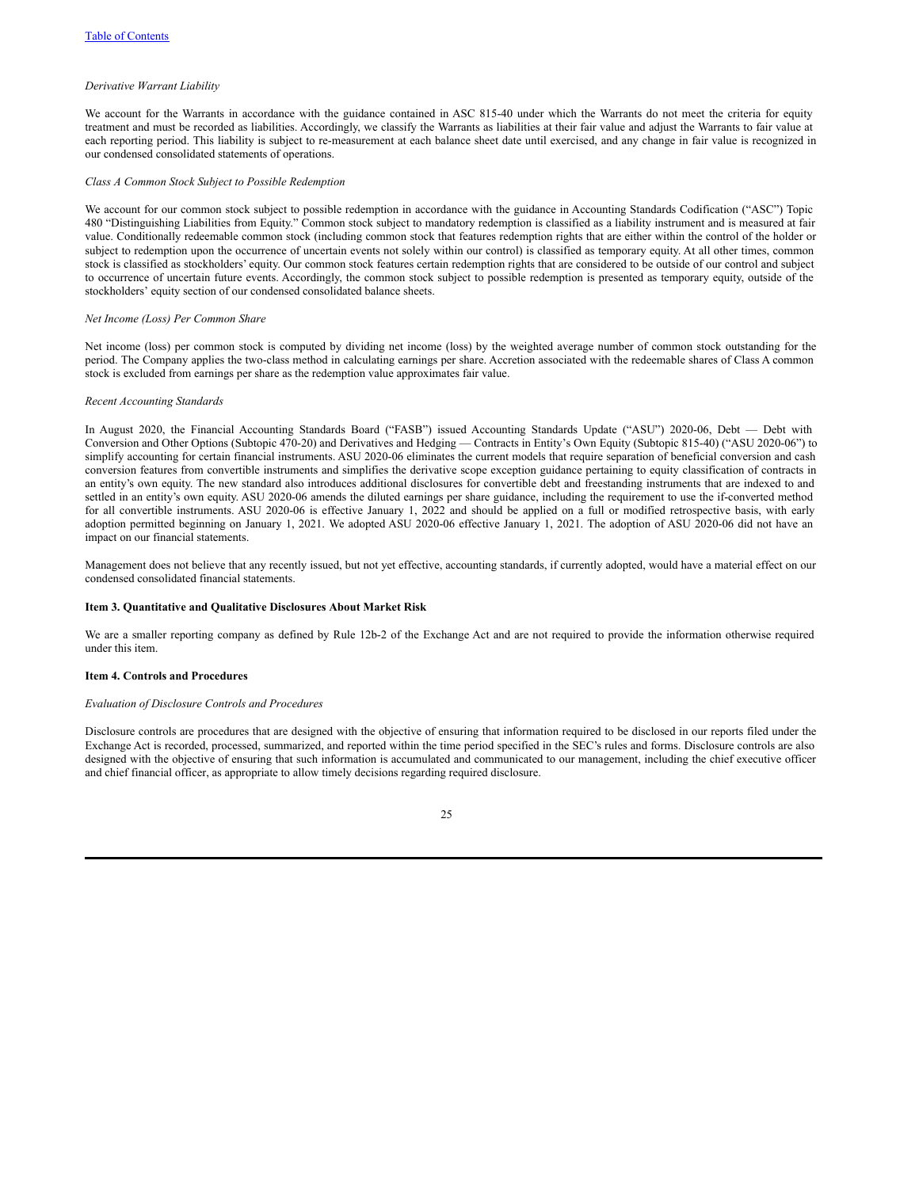### *Derivative Warrant Liability*

We account for the Warrants in accordance with the guidance contained in ASC 815-40 under which the Warrants do not meet the criteria for equity treatment and must be recorded as liabilities. Accordingly, we classify the Warrants as liabilities at their fair value and adjust the Warrants to fair value at each reporting period. This liability is subject to re-measurement at each balance sheet date until exercised, and any change in fair value is recognized in our condensed consolidated statements of operations.

#### *Class A Common Stock Subject to Possible Redemption*

We account for our common stock subject to possible redemption in accordance with the guidance in Accounting Standards Codification ("ASC") Topic 480 "Distinguishing Liabilities from Equity." Common stock subject to mandatory redemption is classified as a liability instrument and is measured at fair value. Conditionally redeemable common stock (including common stock that features redemption rights that are either within the control of the holder or subject to redemption upon the occurrence of uncertain events not solely within our control) is classified as temporary equity. At all other times, common stock is classified as stockholders' equity. Our common stock features certain redemption rights that are considered to be outside of our control and subject to occurrence of uncertain future events. Accordingly, the common stock subject to possible redemption is presented as temporary equity, outside of the stockholders' equity section of our condensed consolidated balance sheets.

#### *Net Income (Loss) Per Common Share*

Net income (loss) per common stock is computed by dividing net income (loss) by the weighted average number of common stock outstanding for the period. The Company applies the two-class method in calculating earnings per share. Accretion associated with the redeemable shares of Class A common stock is excluded from earnings per share as the redemption value approximates fair value.

## *Recent Accounting Standards*

In August 2020, the Financial Accounting Standards Board ("FASB") issued Accounting Standards Update ("ASU") 2020-06, Debt — Debt with Conversion and Other Options (Subtopic 470-20) and Derivatives and Hedging — Contracts in Entity's Own Equity (Subtopic 815-40) ("ASU 2020-06") to simplify accounting for certain financial instruments. ASU 2020-06 eliminates the current models that require separation of beneficial conversion and cash conversion features from convertible instruments and simplifies the derivative scope exception guidance pertaining to equity classification of contracts in an entity's own equity. The new standard also introduces additional disclosures for convertible debt and freestanding instruments that are indexed to and settled in an entity's own equity. ASU 2020-06 amends the diluted earnings per share guidance, including the requirement to use the if-converted method for all convertible instruments. ASU 2020-06 is effective January 1, 2022 and should be applied on a full or modified retrospective basis, with early adoption permitted beginning on January 1, 2021. We adopted ASU 2020-06 effective January 1, 2021. The adoption of ASU 2020-06 did not have an impact on our financial statements.

Management does not believe that any recently issued, but not yet effective, accounting standards, if currently adopted, would have a material effect on our condensed consolidated financial statements.

#### **Item 3. Quantitative and Qualitative Disclosures About Market Risk**

We are a smaller reporting company as defined by Rule 12b-2 of the Exchange Act and are not required to provide the information otherwise required under this item.

## **Item 4. Controls and Procedures**

#### *Evaluation of Disclosure Controls and Procedures*

Disclosure controls are procedures that are designed with the objective of ensuring that information required to be disclosed in our reports filed under the Exchange Act is recorded, processed, summarized, and reported within the time period specified in the SEC's rules and forms. Disclosure controls are also designed with the objective of ensuring that such information is accumulated and communicated to our management, including the chief executive officer and chief financial officer, as appropriate to allow timely decisions regarding required disclosure.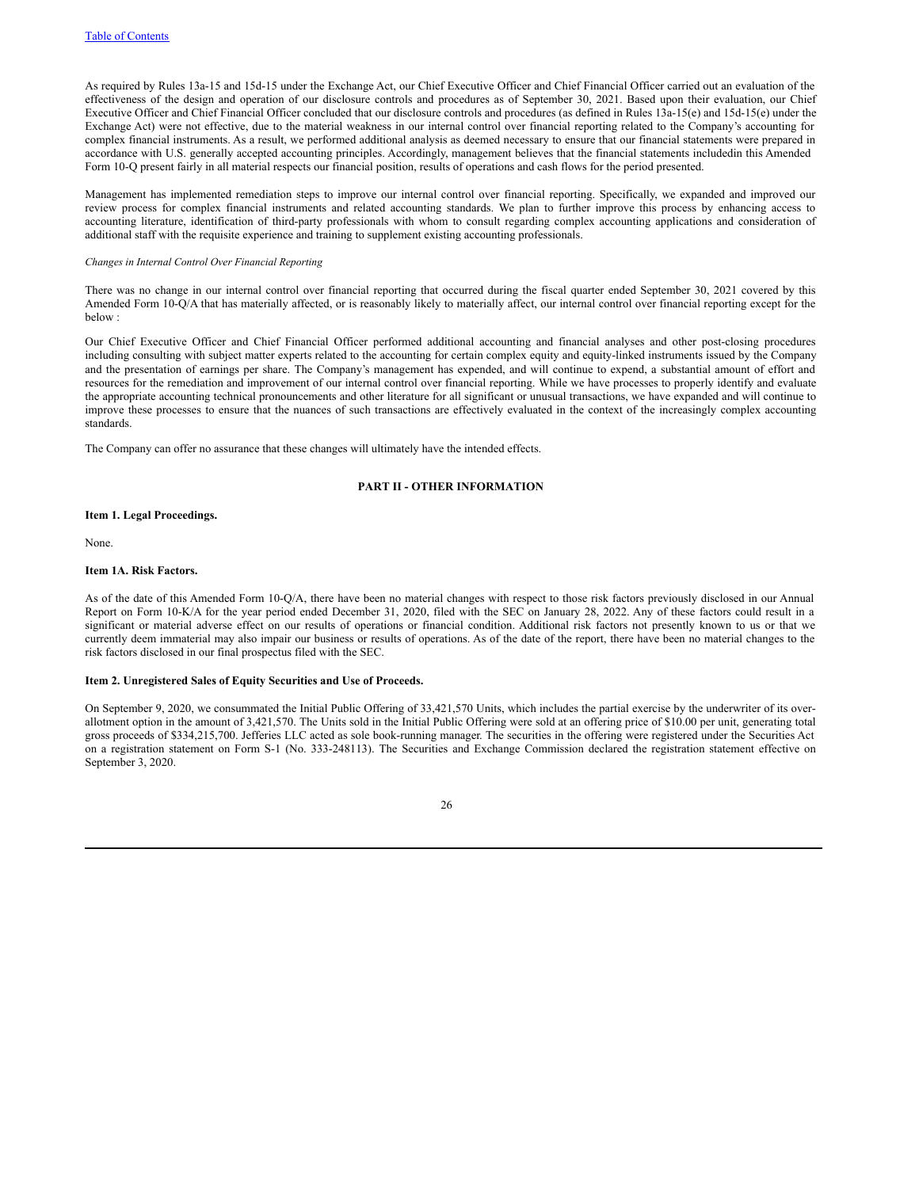As required by Rules 13a-15 and 15d-15 under the Exchange Act, our Chief Executive Officer and Chief Financial Officer carried out an evaluation of the effectiveness of the design and operation of our disclosure controls and procedures as of September 30, 2021. Based upon their evaluation, our Chief Executive Officer and Chief Financial Officer concluded that our disclosure controls and procedures (as defined in Rules 13a-15(e) and 15d-15(e) under the Exchange Act) were not effective, due to the material weakness in our internal control over financial reporting related to the Company's accounting for complex financial instruments. As a result, we performed additional analysis as deemed necessary to ensure that our financial statements were prepared in accordance with U.S. generally accepted accounting principles. Accordingly, management believes that the financial statements includedin this Amended Form 10-Q present fairly in all material respects our financial position, results of operations and cash flows for the period presented.

Management has implemented remediation steps to improve our internal control over financial reporting. Specifically, we expanded and improved our review process for complex financial instruments and related accounting standards. We plan to further improve this process by enhancing access to accounting literature, identification of third-party professionals with whom to consult regarding complex accounting applications and consideration of additional staff with the requisite experience and training to supplement existing accounting professionals.

## *Changes in Internal Control Over Financial Reporting*

There was no change in our internal control over financial reporting that occurred during the fiscal quarter ended September 30, 2021 covered by this Amended Form 10-Q/A that has materially affected, or is reasonably likely to materially affect, our internal control over financial reporting except for the below :

Our Chief Executive Officer and Chief Financial Officer performed additional accounting and financial analyses and other post-closing procedures including consulting with subject matter experts related to the accounting for certain complex equity and equity-linked instruments issued by the Company and the presentation of earnings per share. The Company's management has expended, and will continue to expend, a substantial amount of effort and resources for the remediation and improvement of our internal control over financial reporting. While we have processes to properly identify and evaluate the appropriate accounting technical pronouncements and other literature for all significant or unusual transactions, we have expanded and will continue to improve these processes to ensure that the nuances of such transactions are effectively evaluated in the context of the increasingly complex accounting standards.

The Company can offer no assurance that these changes will ultimately have the intended effects.

## **PART II - OTHER INFORMATION**

### **Item 1. Legal Proceedings.**

None.

# **Item 1A. Risk Factors.**

As of the date of this Amended Form 10-Q/A, there have been no material changes with respect to those risk factors previously disclosed in our Annual Report on Form 10-K/A for the year period ended December 31, 2020, filed with the SEC on January 28, 2022. Any of these factors could result in a significant or material adverse effect on our results of operations or financial condition. Additional risk factors not presently known to us or that we currently deem immaterial may also impair our business or results of operations. As of the date of the report, there have been no material changes to the risk factors disclosed in our final prospectus filed with the SEC.

#### **Item 2. Unregistered Sales of Equity Securities and Use of Proceeds.**

On September 9, 2020, we consummated the Initial Public Offering of 33,421,570 Units, which includes the partial exercise by the underwriter of its overallotment option in the amount of 3,421,570. The Units sold in the Initial Public Offering were sold at an offering price of \$10.00 per unit, generating total gross proceeds of \$334,215,700. Jefferies LLC acted as sole book-running manager. The securities in the offering were registered under the Securities Act on a registration statement on Form S-1 (No. 333-248113). The Securities and Exchange Commission declared the registration statement effective on September 3, 2020.

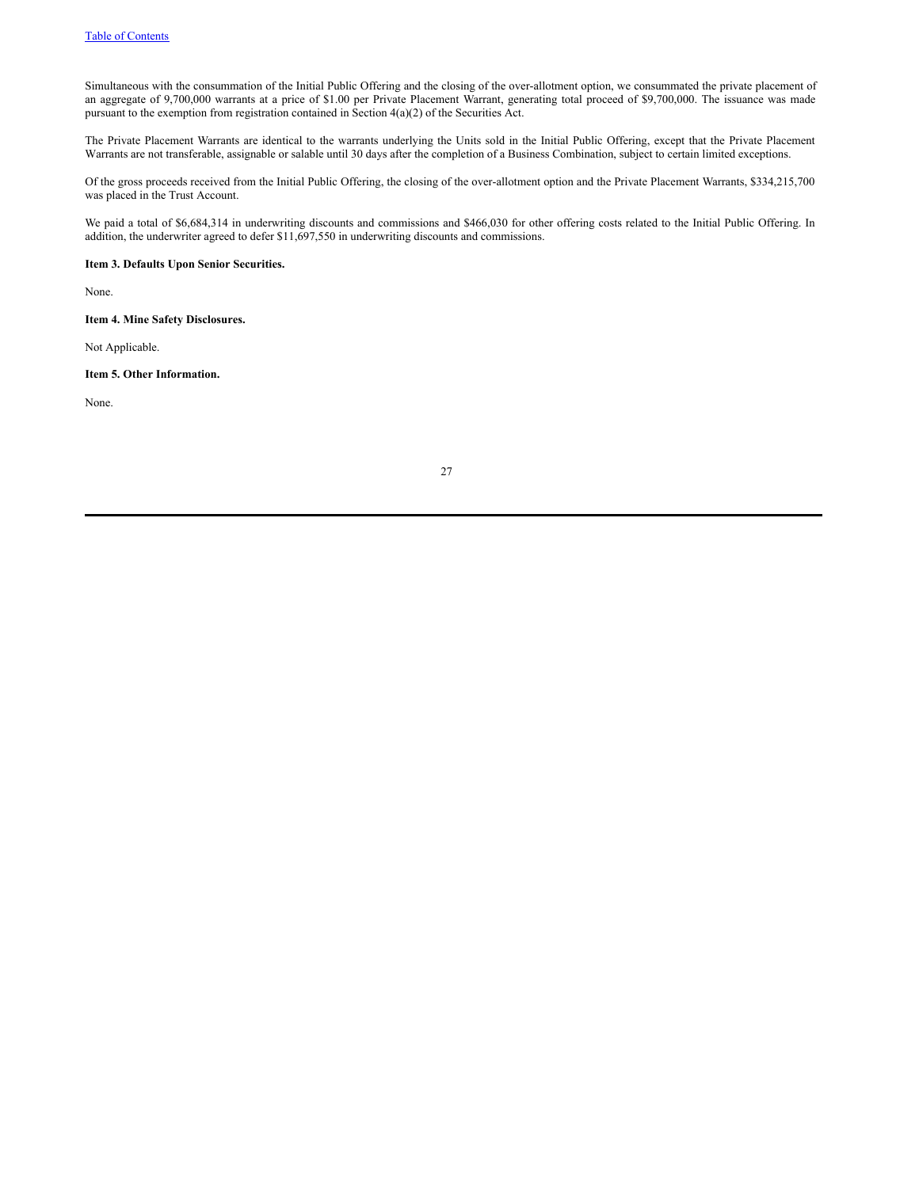Simultaneous with the consummation of the Initial Public Offering and the closing of the over-allotment option, we consummated the private placement of an aggregate of 9,700,000 warrants at a price of \$1.00 per Private Placement Warrant, generating total proceed of \$9,700,000. The issuance was made pursuant to the exemption from registration contained in Section 4(a)(2) of the Securities Act.

The Private Placement Warrants are identical to the warrants underlying the Units sold in the Initial Public Offering, except that the Private Placement Warrants are not transferable, assignable or salable until 30 days after the completion of a Business Combination, subject to certain limited exceptions.

Of the gross proceeds received from the Initial Public Offering, the closing of the over-allotment option and the Private Placement Warrants, \$334,215,700 was placed in the Trust Account.

We paid a total of \$6,684,314 in underwriting discounts and commissions and \$466,030 for other offering costs related to the Initial Public Offering. In addition, the underwriter agreed to defer \$11,697,550 in underwriting discounts and commissions.

**Item 3. Defaults Upon Senior Securities.**

None.

**Item 4. Mine Safety Disclosures.**

Not Applicable.

**Item 5. Other Information.**

None.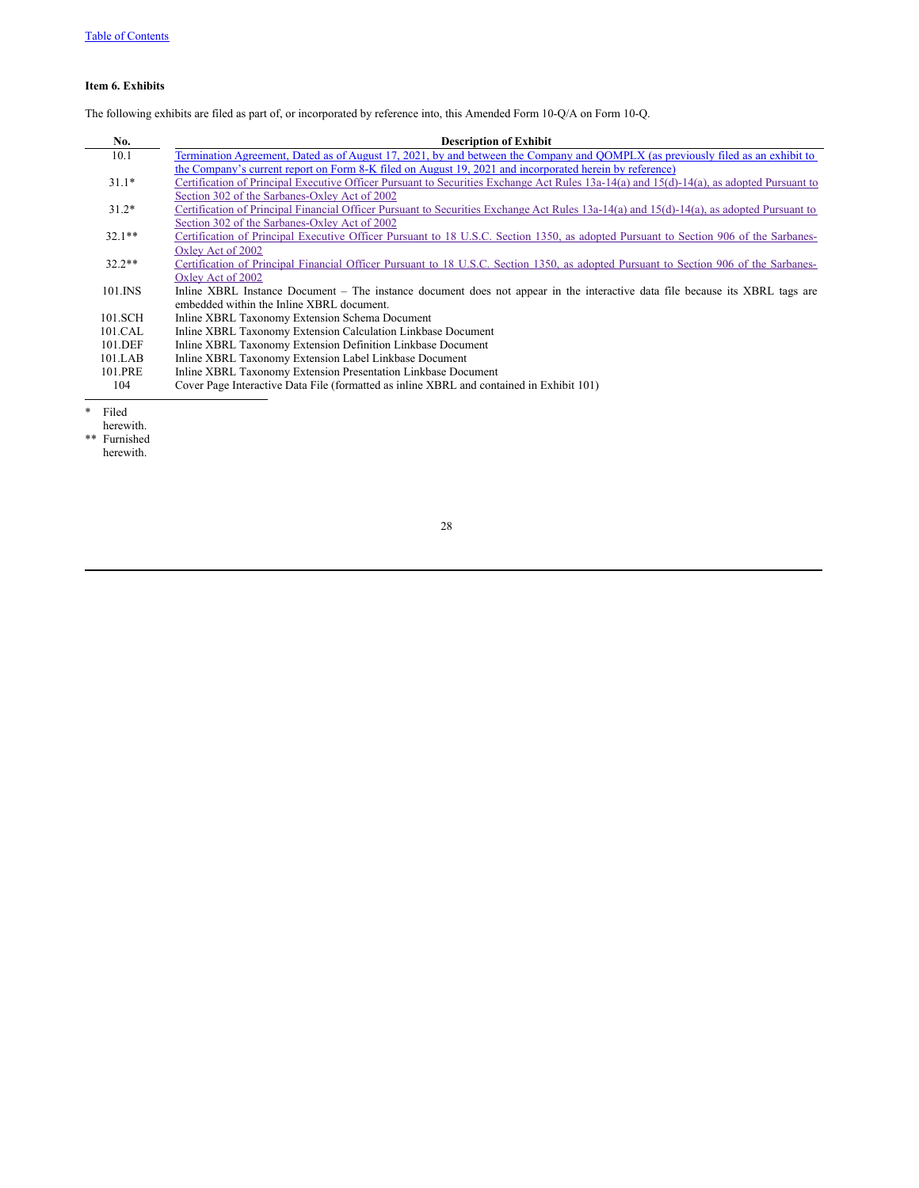# **Item 6. Exhibits**

The following exhibits are filed as part of, or incorporated by reference into, this Amended Form 10-Q/A on Form 10-Q.

| No.      | <b>Description of Exhibit</b>                                                                                                            |
|----------|------------------------------------------------------------------------------------------------------------------------------------------|
| 10.1     | Termination Agreement, Dated as of August 17, 2021, by and between the Company and QOMPLX (as previously filed as an exhibit to          |
|          | the Company's current report on Form 8-K filed on August 19, 2021 and incorporated herein by reference)                                  |
| $31.1*$  | Certification of Principal Executive Officer Pursuant to Securities Exchange Act Rules 13a-14(a) and 15(d)-14(a), as adopted Pursuant to |
|          | Section 302 of the Sarbanes-Oxley Act of 2002                                                                                            |
| $31.2*$  | Certification of Principal Financial Officer Pursuant to Securities Exchange Act Rules 13a-14(a) and 15(d)-14(a), as adopted Pursuant to |
|          | Section 302 of the Sarbanes-Oxley Act of 2002                                                                                            |
| $32.1**$ | Certification of Principal Executive Officer Pursuant to 18 U.S.C. Section 1350, as adopted Pursuant to Section 906 of the Sarbanes-     |
|          | Oxley Act of 2002                                                                                                                        |
| $32.2**$ | Certification of Principal Financial Officer Pursuant to 18 U.S.C. Section 1350, as adopted Pursuant to Section 906 of the Sarbanes-     |
|          | Oxley Act of 2002                                                                                                                        |
| 101.INS  | Inline XBRL Instance Document – The instance document does not appear in the interactive data file because its XBRL tags are             |
|          | embedded within the Inline XBRL document.                                                                                                |
| 101.SCH  | Inline XBRL Taxonomy Extension Schema Document                                                                                           |
| 101.CAL  | Inline XBRL Taxonomy Extension Calculation Linkbase Document                                                                             |
| 101.DEF  | Inline XBRL Taxonomy Extension Definition Linkbase Document                                                                              |
| 101.LAB  | Inline XBRL Taxonomy Extension Label Linkbase Document                                                                                   |
| 101.PRE  | Inline XBRL Taxonomy Extension Presentation Linkbase Document                                                                            |
| 104      | Cover Page Interactive Data File (formatted as inline XBRL and contained in Exhibit 101)                                                 |

\* Filed

herewith.

\*\* Furnished

herewith.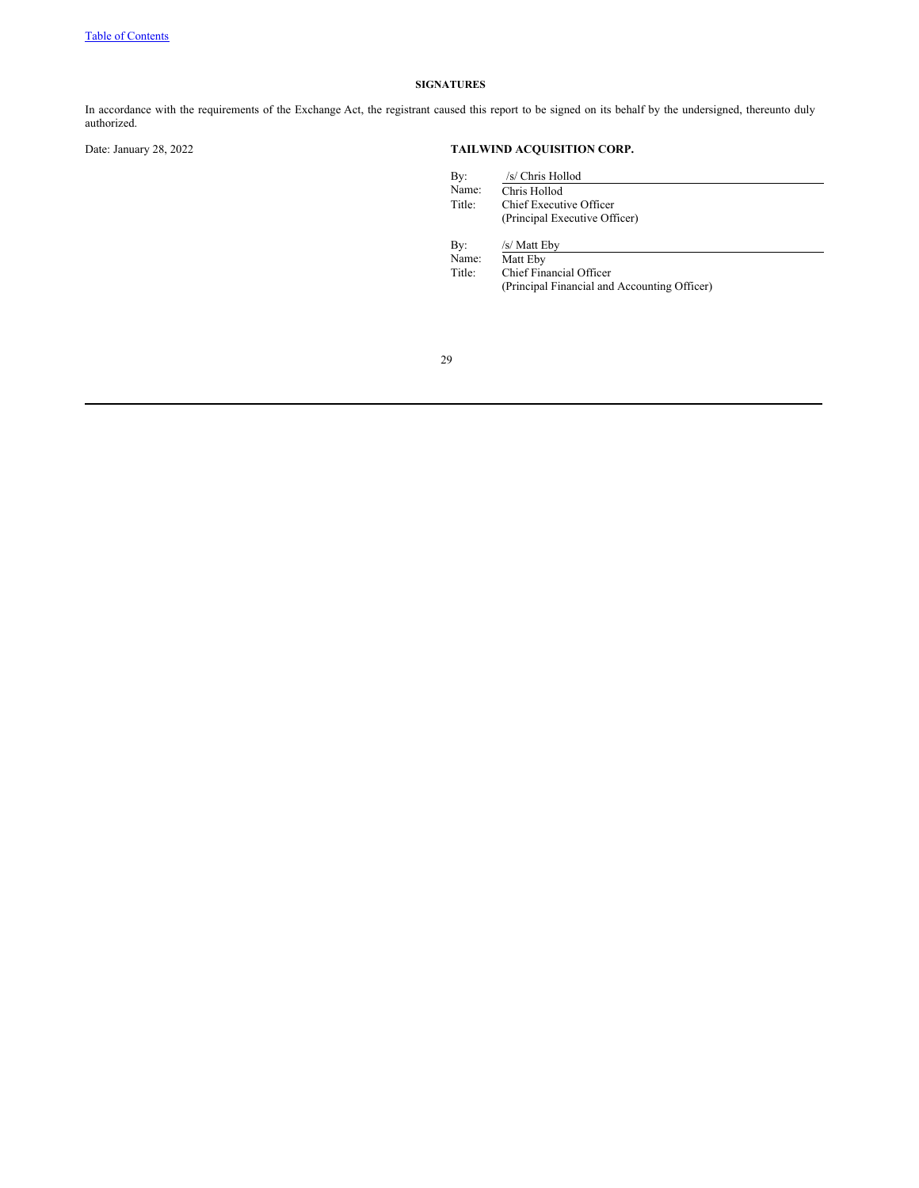# **SIGNATURES**

In accordance with the requirements of the Exchange Act, the registrant caused this report to be signed on its behalf by the undersigned, thereunto duly authorized.

# Date: January 28, 2022 **TAILWIND ACQUISITION CORP.**

| By:    | /s/ Chris Hollod                             |
|--------|----------------------------------------------|
| Name:  | Chris Hollod                                 |
| Title: | Chief Executive Officer                      |
|        | (Principal Executive Officer)                |
| By:    | /s/ Matt Eby                                 |
| Name:  | Matt Eby                                     |
| Title: | Chief Financial Officer                      |
|        | (Principal Financial and Accounting Officer) |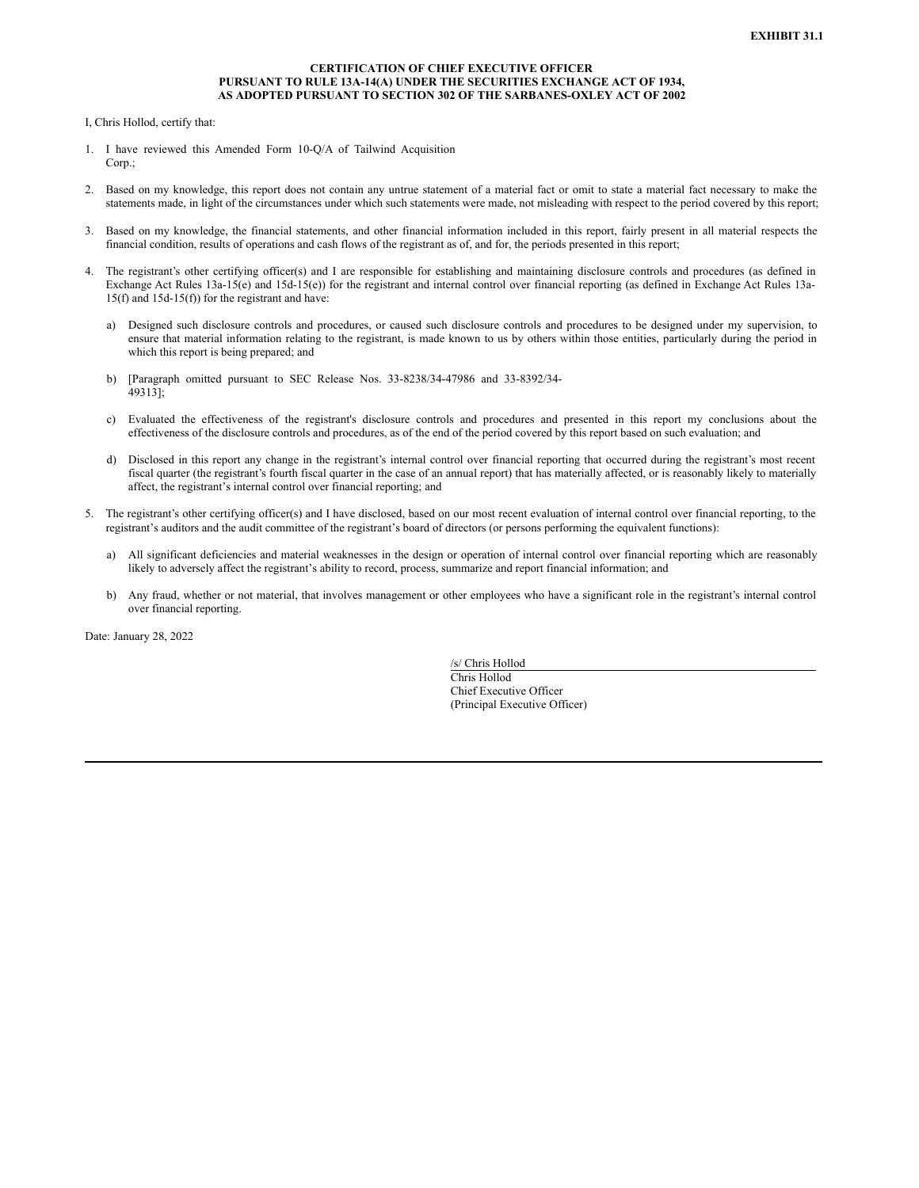## **CERTIFICATION OF CHIEF EXECUTIVE OFFICER PURSUANT TO RULE 13A-14(A) UNDER THE SECURITIES EXCHANGE ACT OF 1934, AS ADOPTED PURSUANT TO SECTION 302 OF THE SARBANES-OXLEY ACT OF 2002**

<span id="page-31-0"></span>I, Chris Hollod, certify that:

- 1. I have reviewed this Amended Form 10-Q/A of Tailwind Acquisition Corp.:
- 2. Based on my knowledge, this report does not contain any untrue statement of a material fact or omit to state a material fact necessary to make the statements made, in light of the circumstances under which such statements were made, not misleading with respect to the period covered by this report;
- 3. Based on my knowledge, the financial statements, and other financial information included in this report, fairly present in all material respects the financial condition, results of operations and cash flows of the registrant as of, and for, the periods presented in this report;
- 4. The registrant's other certifying officer(s) and I are responsible for establishing and maintaining disclosure controls and procedures (as defined in Exchange Act Rules 13a-15(e) and 15d-15(e)) for the registrant and internal control over financial reporting (as defined in Exchange Act Rules 13a-15(f) and 15d-15(f)) for the registrant and have:
	- a) Designed such disclosure controls and procedures, or caused such disclosure controls and procedures to be designed under my supervision, to ensure that material information relating to the registrant, is made known to us by others within those entities, particularly during the period in which this report is being prepared; and
	- b) [Paragraph omitted pursuant to SEC Release Nos. 33-8238/34-47986 and 33-8392/34- 49313];
	- c) Evaluated the effectiveness of the registrant's disclosure controls and procedures and presented in this report my conclusions about the effectiveness of the disclosure controls and procedures, as of the end of the period covered by this report based on such evaluation; and
	- d) Disclosed in this report any change in the registrant's internal control over financial reporting that occurred during the registrant's most recent fiscal quarter (the registrant's fourth fiscal quarter in the case of an annual report) that has materially affected, or is reasonably likely to materially affect, the registrant's internal control over financial reporting; and
- 5. The registrant's other certifying officer(s) and I have disclosed, based on our most recent evaluation of internal control over financial reporting, to the registrant's auditors and the audit committee of the registrant's board of directors (or persons performing the equivalent functions):
	- a) All significant deficiencies and material weaknesses in the design or operation of internal control over financial reporting which are reasonably likely to adversely affect the registrant's ability to record, process, summarize and report financial information; and
	- b) Any fraud, whether or not material, that involves management or other employees who have a significant role in the registrant's internal control over financial reporting.

Date: January 28, 2022

/s/ Chris Hollod Chris Hollod Chief Executive Officer (Principal Executive Officer)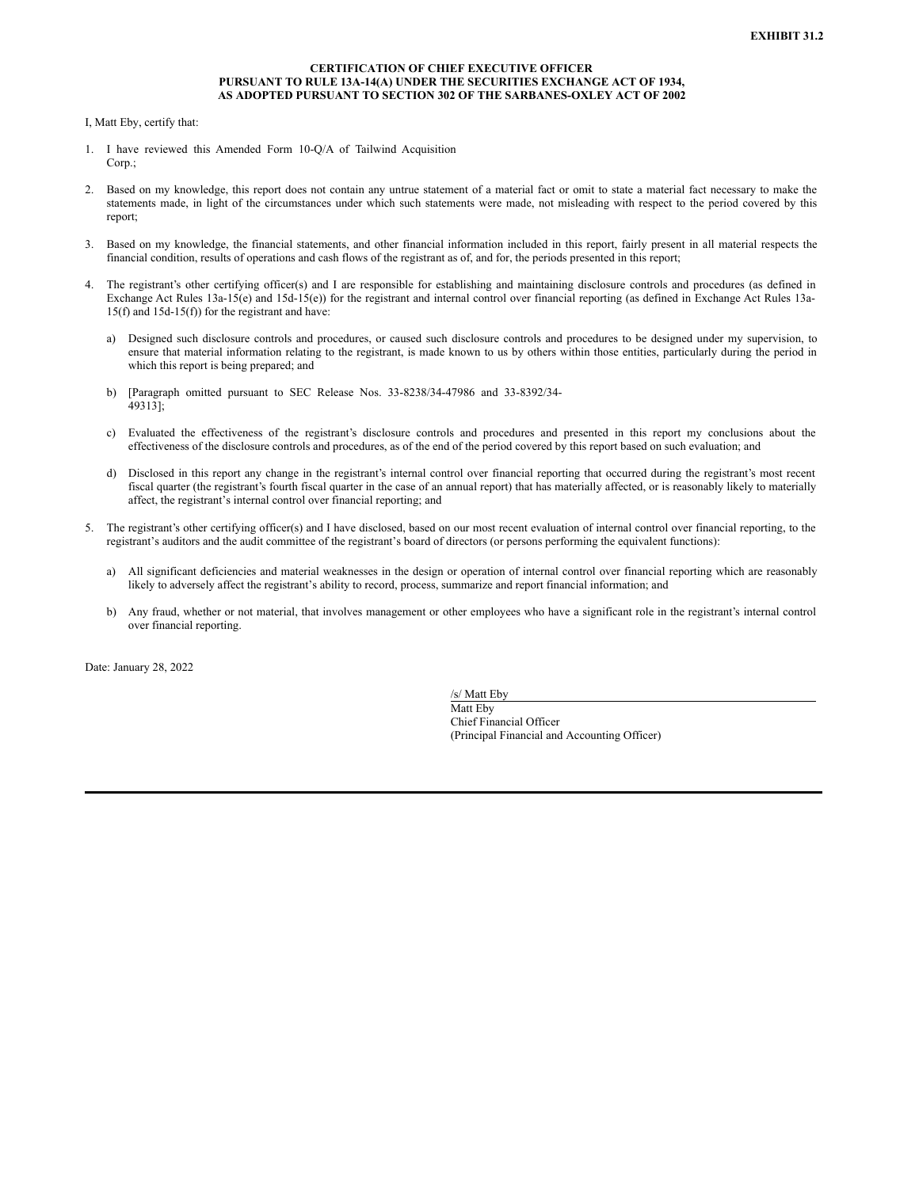## **CERTIFICATION OF CHIEF EXECUTIVE OFFICER PURSUANT TO RULE 13A-14(A) UNDER THE SECURITIES EXCHANGE ACT OF 1934, AS ADOPTED PURSUANT TO SECTION 302 OF THE SARBANES-OXLEY ACT OF 2002**

<span id="page-32-0"></span>I, Matt Eby, certify that:

- 1. I have reviewed this Amended Form 10-Q/A of Tailwind Acquisition Corp.:
- 2. Based on my knowledge, this report does not contain any untrue statement of a material fact or omit to state a material fact necessary to make the statements made, in light of the circumstances under which such statements were made, not misleading with respect to the period covered by this report;
- 3. Based on my knowledge, the financial statements, and other financial information included in this report, fairly present in all material respects the financial condition, results of operations and cash flows of the registrant as of, and for, the periods presented in this report;
- The registrant's other certifying officer(s) and I are responsible for establishing and maintaining disclosure controls and procedures (as defined in Exchange Act Rules 13a-15(e) and 15d-15(e)) for the registrant and internal control over financial reporting (as defined in Exchange Act Rules 13a-15(f) and 15d-15(f)) for the registrant and have:
	- a) Designed such disclosure controls and procedures, or caused such disclosure controls and procedures to be designed under my supervision, to ensure that material information relating to the registrant, is made known to us by others within those entities, particularly during the period in which this report is being prepared; and
	- b) [Paragraph omitted pursuant to SEC Release Nos. 33-8238/34-47986 and 33-8392/34- 49313];
	- c) Evaluated the effectiveness of the registrant's disclosure controls and procedures and presented in this report my conclusions about the effectiveness of the disclosure controls and procedures, as of the end of the period covered by this report based on such evaluation; and
	- d) Disclosed in this report any change in the registrant's internal control over financial reporting that occurred during the registrant's most recent fiscal quarter (the registrant's fourth fiscal quarter in the case of an annual report) that has materially affected, or is reasonably likely to materially affect, the registrant's internal control over financial reporting; and
- 5. The registrant's other certifying officer(s) and I have disclosed, based on our most recent evaluation of internal control over financial reporting, to the registrant's auditors and the audit committee of the registrant's board of directors (or persons performing the equivalent functions):
	- a) All significant deficiencies and material weaknesses in the design or operation of internal control over financial reporting which are reasonably likely to adversely affect the registrant's ability to record, process, summarize and report financial information; and
	- b) Any fraud, whether or not material, that involves management or other employees who have a significant role in the registrant's internal control over financial reporting.

Date: January 28, 2022

/s/ Matt Eby Matt Eby Chief Financial Officer (Principal Financial and Accounting Officer)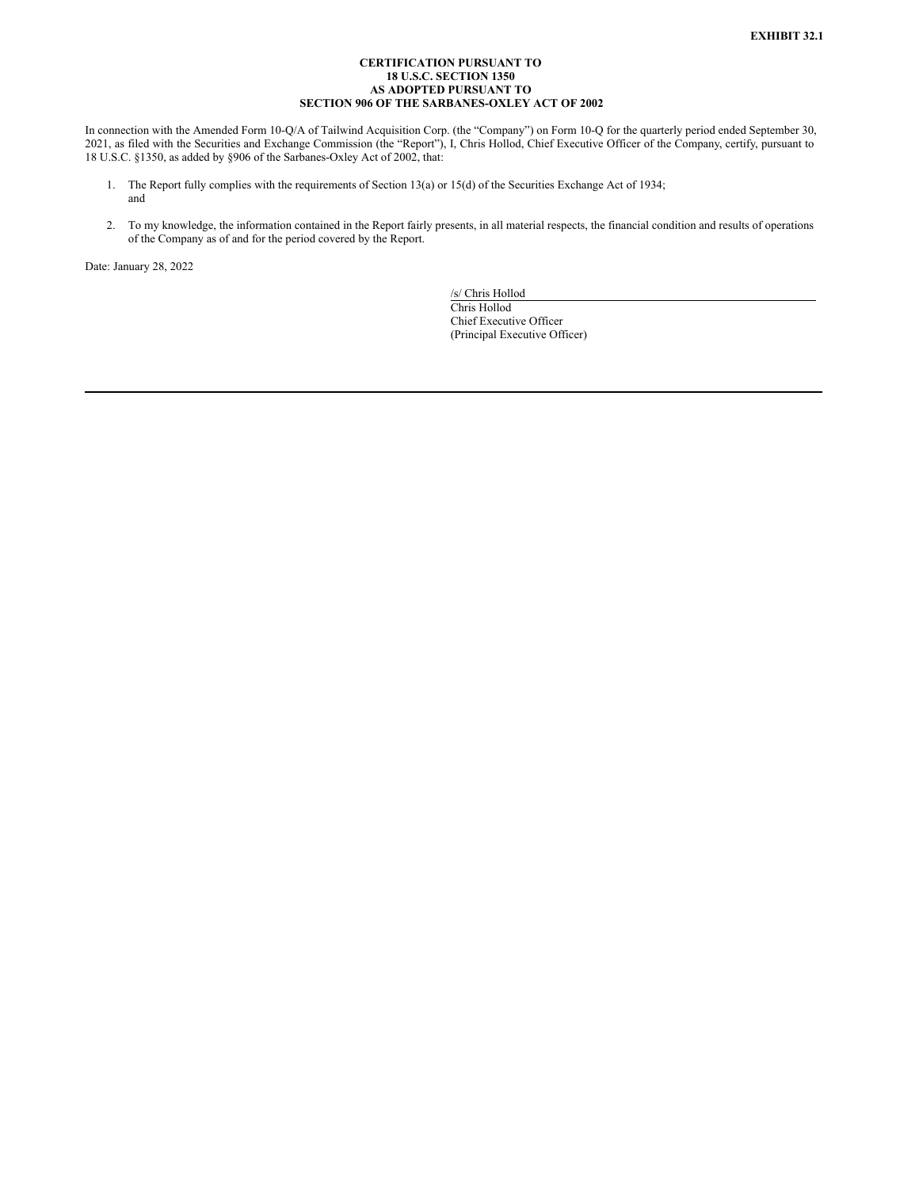## **CERTIFICATION PURSUANT TO 18 U.S.C. SECTION 1350 AS ADOPTED PURSUANT TO SECTION 906 OF THE SARBANES-OXLEY ACT OF 2002**

<span id="page-33-0"></span>In connection with the Amended Form 10-Q/A of Tailwind Acquisition Corp. (the "Company") on Form 10-Q for the quarterly period ended September 30, 2021, as filed with the Securities and Exchange Commission (the "Report"), I, Chris Hollod, Chief Executive Officer of the Company, certify, pursuant to 18 U.S.C. §1350, as added by §906 of the Sarbanes-Oxley Act of 2002, that:

- 1. The Report fully complies with the requirements of Section 13(a) or 15(d) of the Securities Exchange Act of 1934; and
- 2. To my knowledge, the information contained in the Report fairly presents, in all material respects, the financial condition and results of operations of the Company as of and for the period covered by the Report.

Date: January 28, 2022

/s/ Chris Hollod Chris Hollod Chief Executive Officer (Principal Executive Officer)